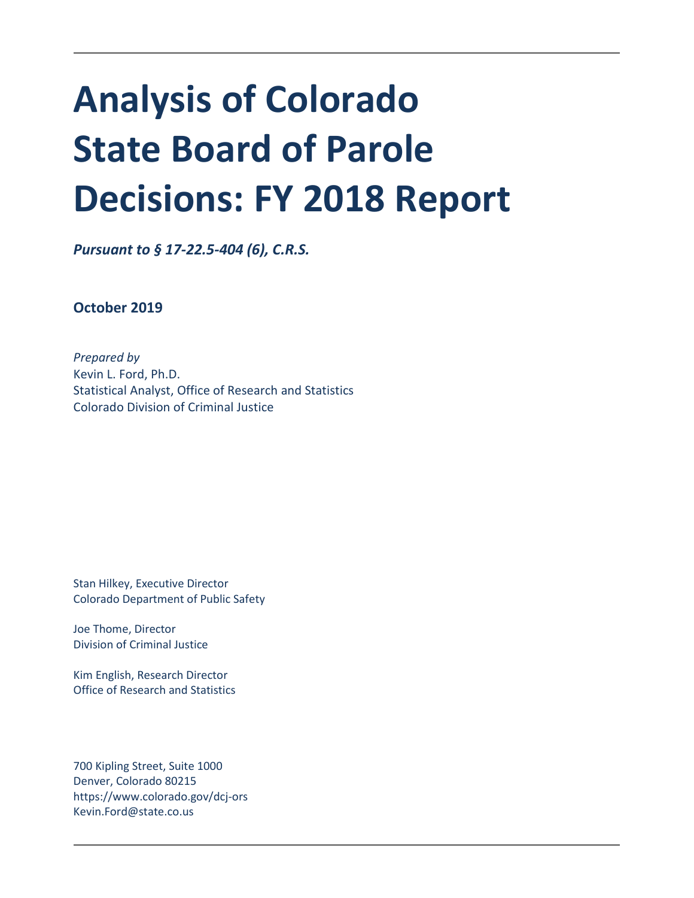# **Analysis of Colorado State Board of Parole Decisions: FY 2018 Report**

*Pursuant to § 17-22.5-404 (6), C.R.S.*

**October 2019**

*Prepared by*  Kevin L. Ford, Ph.D. Statistical Analyst, Office of Research and Statistics Colorado Division of Criminal Justice

Stan Hilkey, Executive Director Colorado Department of Public Safety

Joe Thome, Director Division of Criminal Justice

Kim English, Research Director Office of Research and Statistics

700 Kipling Street, Suite 1000 Denver, Colorado 80215 https://www.colorado.gov/dcj-ors Kevin.Ford@state.co.us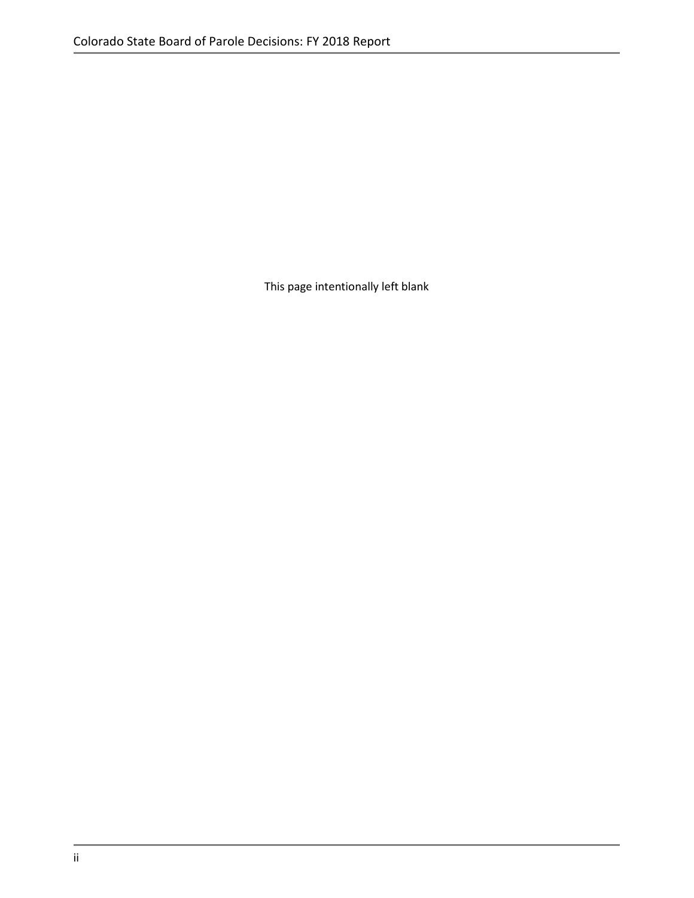This page intentionally left blank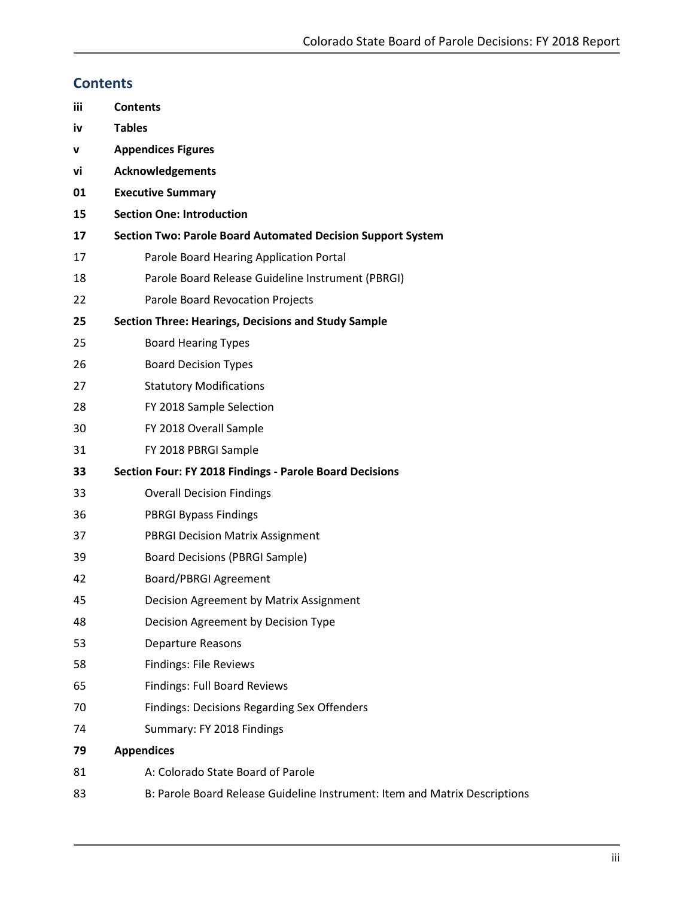## **Contents**

| iii | <b>Contents</b>                                                    |  |  |
|-----|--------------------------------------------------------------------|--|--|
| iv  | <b>Tables</b>                                                      |  |  |
| v   | <b>Appendices Figures</b>                                          |  |  |
| vi  | <b>Acknowledgements</b>                                            |  |  |
| 01  | <b>Executive Summary</b>                                           |  |  |
| 15  | <b>Section One: Introduction</b>                                   |  |  |
| 17  | <b>Section Two: Parole Board Automated Decision Support System</b> |  |  |
| 17  | Parole Board Hearing Application Portal                            |  |  |
| 18  | Parole Board Release Guideline Instrument (PBRGI)                  |  |  |
| 22  | Parole Board Revocation Projects                                   |  |  |
| 25  | <b>Section Three: Hearings, Decisions and Study Sample</b>         |  |  |
| 25  | <b>Board Hearing Types</b>                                         |  |  |
| 26  | <b>Board Decision Types</b>                                        |  |  |
| 27  | <b>Statutory Modifications</b>                                     |  |  |
| 28  | FY 2018 Sample Selection                                           |  |  |
| 30  | FY 2018 Overall Sample                                             |  |  |
| 31  | FY 2018 PBRGI Sample                                               |  |  |
| 33  | Section Four: FY 2018 Findings - Parole Board Decisions            |  |  |
| 33  | <b>Overall Decision Findings</b>                                   |  |  |
| 36  | <b>PBRGI Bypass Findings</b>                                       |  |  |
| 37  | <b>PBRGI Decision Matrix Assignment</b>                            |  |  |
| 39  | <b>Board Decisions (PBRGI Sample)</b>                              |  |  |
| 42  | Board/PBRGI Agreement                                              |  |  |
| 45  | Decision Agreement by Matrix Assignment                            |  |  |
| 48  | Decision Agreement by Decision Type                                |  |  |
| 53  | <b>Departure Reasons</b>                                           |  |  |
| 58  | Findings: File Reviews                                             |  |  |
| 65  | <b>Findings: Full Board Reviews</b>                                |  |  |
| 70  | Findings: Decisions Regarding Sex Offenders                        |  |  |
| 74  | Summary: FY 2018 Findings                                          |  |  |
| 79  | <b>Appendices</b>                                                  |  |  |
| 81  | A: Colorado State Board of Parole                                  |  |  |
|     |                                                                    |  |  |

B: Parole Board Release Guideline Instrument: Item and Matrix Descriptions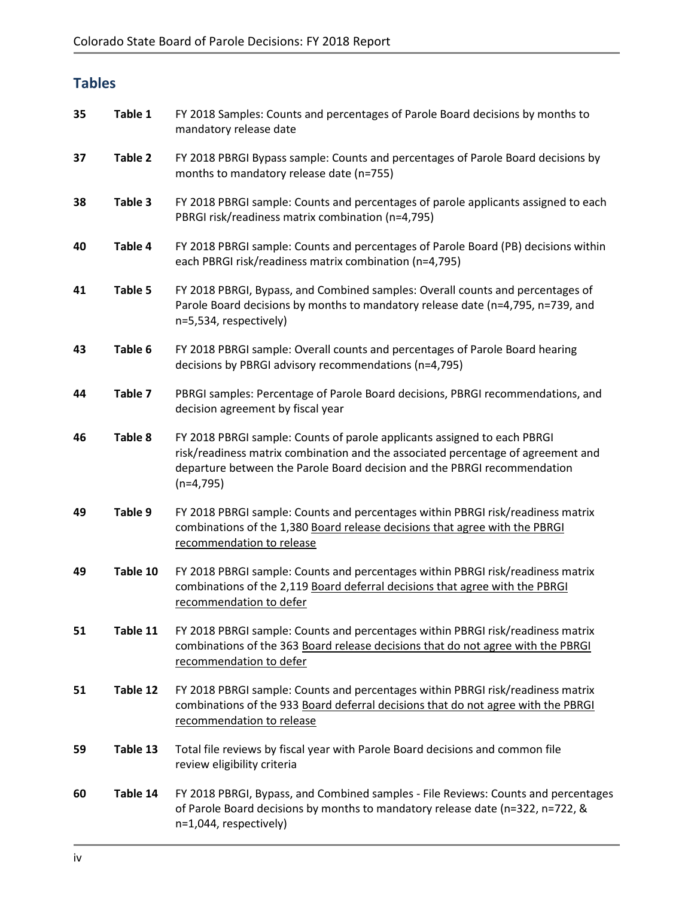## **Tables**

| 35 | Table 1  | FY 2018 Samples: Counts and percentages of Parole Board decisions by months to<br>mandatory release date                                                                                                                                                |
|----|----------|---------------------------------------------------------------------------------------------------------------------------------------------------------------------------------------------------------------------------------------------------------|
| 37 | Table 2  | FY 2018 PBRGI Bypass sample: Counts and percentages of Parole Board decisions by<br>months to mandatory release date (n=755)                                                                                                                            |
| 38 | Table 3  | FY 2018 PBRGI sample: Counts and percentages of parole applicants assigned to each<br>PBRGI risk/readiness matrix combination (n=4,795)                                                                                                                 |
| 40 | Table 4  | FY 2018 PBRGI sample: Counts and percentages of Parole Board (PB) decisions within<br>each PBRGI risk/readiness matrix combination (n=4,795)                                                                                                            |
| 41 | Table 5  | FY 2018 PBRGI, Bypass, and Combined samples: Overall counts and percentages of<br>Parole Board decisions by months to mandatory release date (n=4,795, n=739, and<br>n=5,534, respectively)                                                             |
| 43 | Table 6  | FY 2018 PBRGI sample: Overall counts and percentages of Parole Board hearing<br>decisions by PBRGI advisory recommendations (n=4,795)                                                                                                                   |
| 44 | Table 7  | PBRGI samples: Percentage of Parole Board decisions, PBRGI recommendations, and<br>decision agreement by fiscal year                                                                                                                                    |
| 46 | Table 8  | FY 2018 PBRGI sample: Counts of parole applicants assigned to each PBRGI<br>risk/readiness matrix combination and the associated percentage of agreement and<br>departure between the Parole Board decision and the PBRGI recommendation<br>$(n=4,795)$ |
| 49 | Table 9  | FY 2018 PBRGI sample: Counts and percentages within PBRGI risk/readiness matrix<br>combinations of the 1,380 Board release decisions that agree with the PBRGI<br>recommendation to release                                                             |
| 49 | Table 10 | FY 2018 PBRGI sample: Counts and percentages within PBRGI risk/readiness matrix<br>combinations of the 2,119 Board deferral decisions that agree with the PBRGI<br>recommendation to defer                                                              |
| 51 | Table 11 | FY 2018 PBRGI sample: Counts and percentages within PBRGI risk/readiness matrix<br>combinations of the 363 Board release decisions that do not agree with the PBRGI<br>recommendation to defer                                                          |
| 51 | Table 12 | FY 2018 PBRGI sample: Counts and percentages within PBRGI risk/readiness matrix<br>combinations of the 933 Board deferral decisions that do not agree with the PBRGI<br>recommendation to release                                                       |
| 59 | Table 13 | Total file reviews by fiscal year with Parole Board decisions and common file<br>review eligibility criteria                                                                                                                                            |
| 60 | Table 14 | FY 2018 PBRGI, Bypass, and Combined samples - File Reviews: Counts and percentages<br>of Parole Board decisions by months to mandatory release date (n=322, n=722, &<br>n=1,044, respectively)                                                          |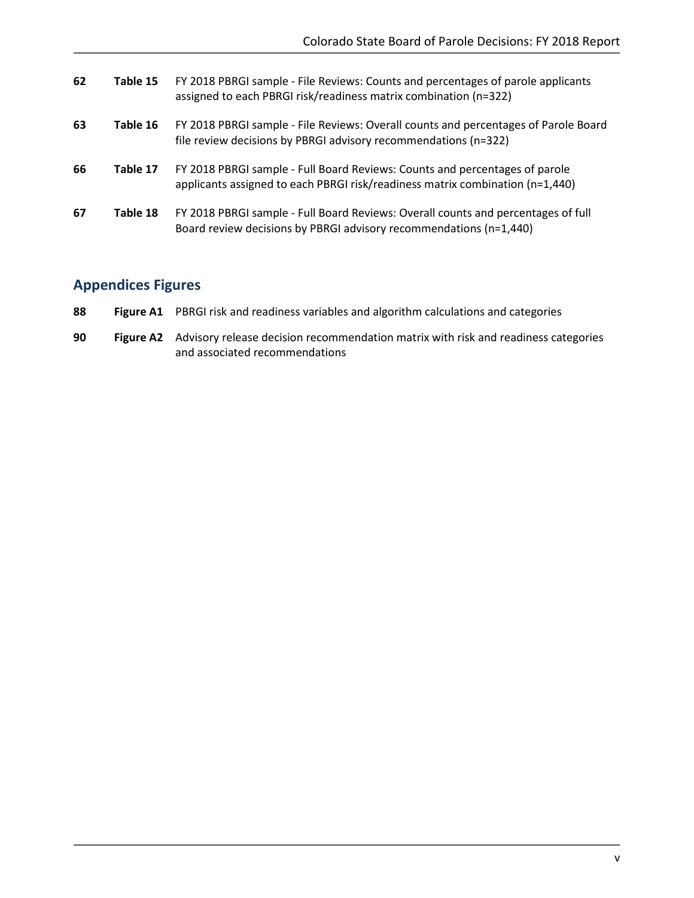| 62 | Table 15 | FY 2018 PBRGI sample - File Reviews: Counts and percentages of parole applicants<br>assigned to each PBRGI risk/readiness matrix combination (n=322)         |
|----|----------|--------------------------------------------------------------------------------------------------------------------------------------------------------------|
| 63 | Table 16 | FY 2018 PBRGI sample - File Reviews: Overall counts and percentages of Parole Board<br>file review decisions by PBRGI advisory recommendations (n=322)       |
| 66 | Table 17 | FY 2018 PBRGI sample - Full Board Reviews: Counts and percentages of parole<br>applicants assigned to each PBRGI risk/readiness matrix combination (n=1,440) |
| 67 | Table 18 | FY 2018 PBRGI sample - Full Board Reviews: Overall counts and percentages of full<br>Board review decisions by PBRGI advisory recommendations (n=1,440)      |

## **Appendices Figures**

- **88 Figure A1** PBRGI risk and readiness variables and algorithm calculations and categories
- **90 Figure A2** Advisory release decision recommendation matrix with risk and readiness categories and associated recommendations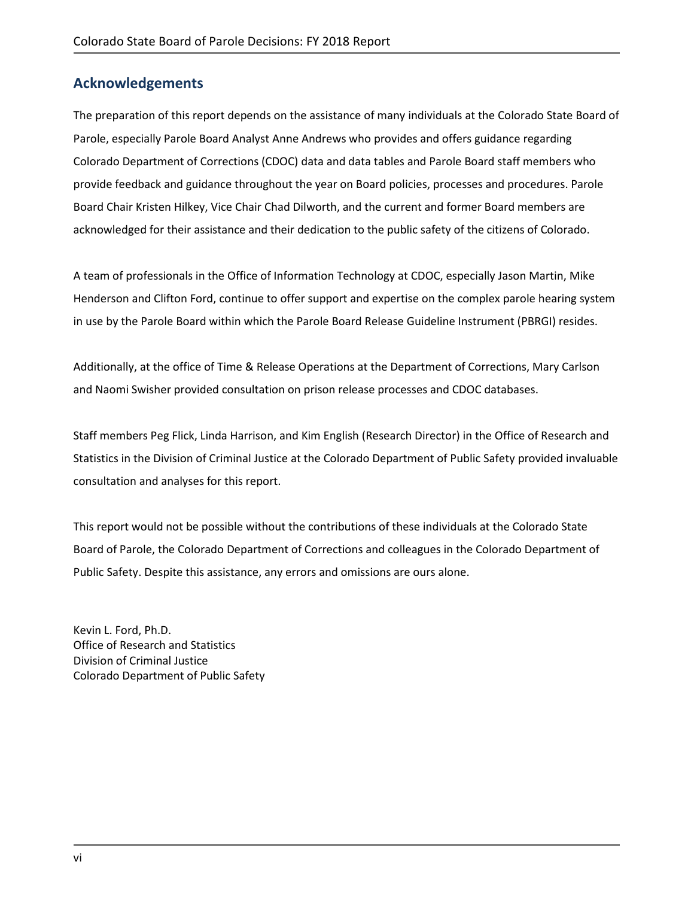## **Acknowledgements**

The preparation of this report depends on the assistance of many individuals at the Colorado State Board of Parole, especially Parole Board Analyst Anne Andrews who provides and offers guidance regarding Colorado Department of Corrections (CDOC) data and data tables and Parole Board staff members who provide feedback and guidance throughout the year on Board policies, processes and procedures. Parole Board Chair Kristen Hilkey, Vice Chair Chad Dilworth, and the current and former Board members are acknowledged for their assistance and their dedication to the public safety of the citizens of Colorado.

A team of professionals in the Office of Information Technology at CDOC, especially Jason Martin, Mike Henderson and Clifton Ford, continue to offer support and expertise on the complex parole hearing system in use by the Parole Board within which the Parole Board Release Guideline Instrument (PBRGI) resides.

Additionally, at the office of Time & Release Operations at the Department of Corrections, Mary Carlson and Naomi Swisher provided consultation on prison release processes and CDOC databases.

Staff members Peg Flick, Linda Harrison, and Kim English (Research Director) in the Office of Research and Statistics in the Division of Criminal Justice at the Colorado Department of Public Safety provided invaluable consultation and analyses for this report.

This report would not be possible without the contributions of these individuals at the Colorado State Board of Parole, the Colorado Department of Corrections and colleagues in the Colorado Department of Public Safety. Despite this assistance, any errors and omissions are ours alone.

Kevin L. Ford, Ph.D. Office of Research and Statistics Division of Criminal Justice Colorado Department of Public Safety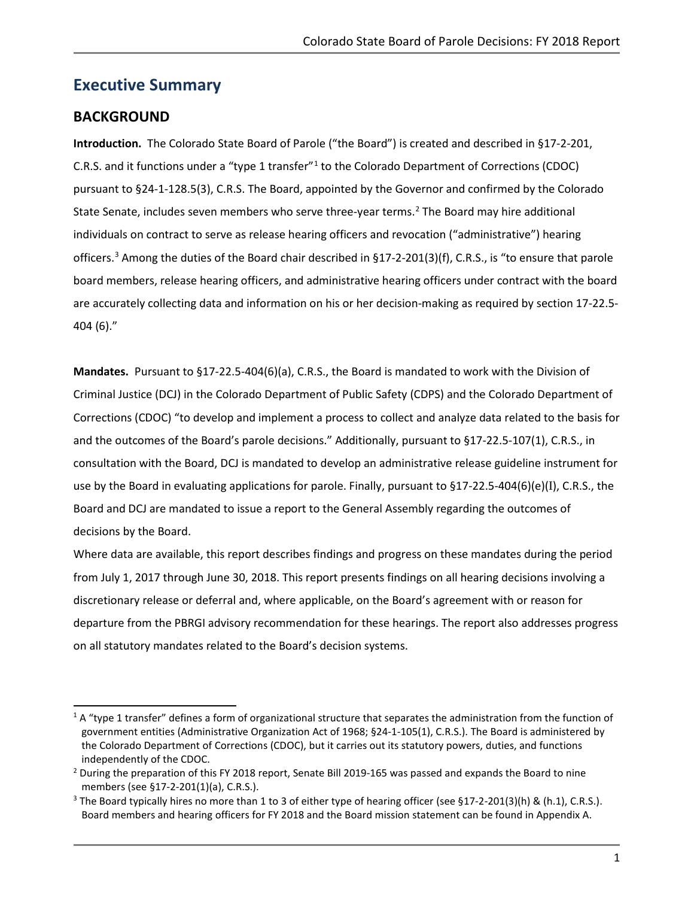## **Executive Summary**

## **BACKGROUND**

**Introduction.** The Colorado State Board of Parole ("the Board") is created and described in §17-2-201, C.R.S. and it functions under a "type 1 transfer"[1](#page-6-0) to the Colorado Department of Corrections (CDOC) pursuant to §24-1-128.5(3), C.R.S. The Board, appointed by the Governor and confirmed by the Colorado State Senate, includes seven members who serve three-year terms.<sup>[2](#page-6-1)</sup> The Board may hire additional individuals on contract to serve as release hearing officers and revocation ("administrative") hearing officers[.3](#page-6-2) Among the duties of the Board chair described in §17-2-201(3)(f), C.R.S., is "to ensure that parole board members, release hearing officers, and administrative hearing officers under contract with the board are accurately collecting data and information on his or her decision-making as required by section 17-22.5- 404 (6)."

**Mandates.** Pursuant to §17-22.5-404(6)(a), C.R.S., the Board is mandated to work with the Division of Criminal Justice (DCJ) in the Colorado Department of Public Safety (CDPS) and the Colorado Department of Corrections (CDOC) "to develop and implement a process to collect and analyze data related to the basis for and the outcomes of the Board's parole decisions." Additionally, pursuant to §17-22.5-107(1), C.R.S., in consultation with the Board, DCJ is mandated to develop an administrative release guideline instrument for use by the Board in evaluating applications for parole. Finally, pursuant to §17-22.5-404(6)(e)(I), C.R.S., the Board and DCJ are mandated to issue a report to the General Assembly regarding the outcomes of decisions by the Board.

Where data are available, this report describes findings and progress on these mandates during the period from July 1, 2017 through June 30, 2018. This report presents findings on all hearing decisions involving a discretionary release or deferral and, where applicable, on the Board's agreement with or reason for departure from the PBRGI advisory recommendation for these hearings. The report also addresses progress on all statutory mandates related to the Board's decision systems.

<span id="page-6-0"></span> $1A$  "type 1 transfer" defines a form of organizational structure that separates the administration from the function of government entities (Administrative Organization Act of 1968; §24-1-105(1), C.R.S.). The Board is administered by the Colorado Department of Corrections (CDOC), but it carries out its statutory powers, duties, and functions independently of the CDOC.

<span id="page-6-1"></span><sup>&</sup>lt;sup>2</sup> During the preparation of this FY 2018 report, Senate Bill 2019-165 was passed and expands the Board to nine members (see §17-2-201(1)(a), C.R.S.).

<span id="page-6-2"></span><sup>&</sup>lt;sup>3</sup> The Board typically hires no more than 1 to 3 of either type of hearing officer (see §17-2-201(3)(h) & (h.1), C.R.S.). Board members and hearing officers for FY 2018 and the Board mission statement can be found in Appendix A.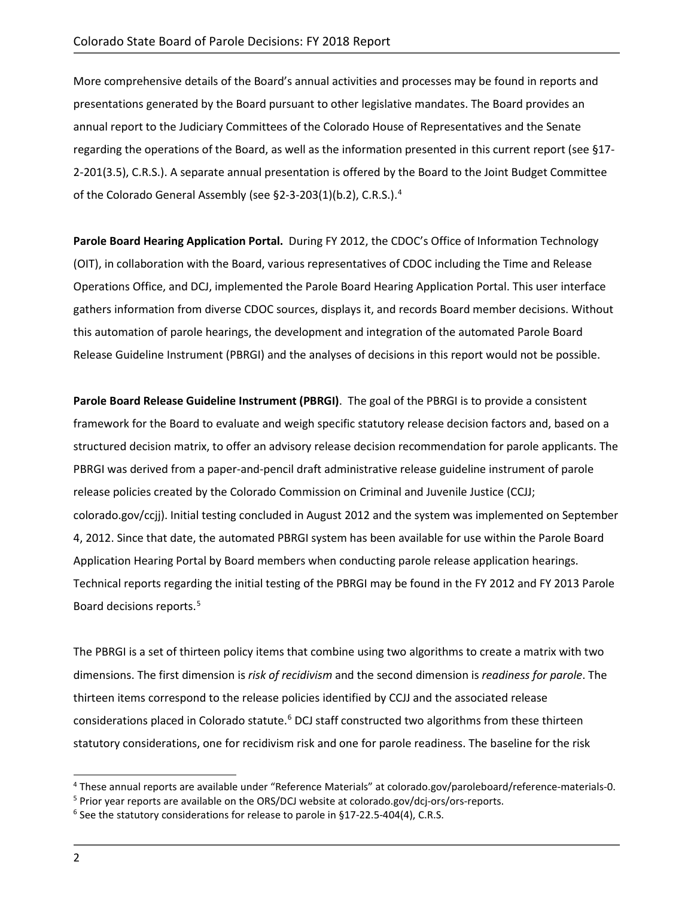More comprehensive details of the Board's annual activities and processes may be found in reports and presentations generated by the Board pursuant to other legislative mandates. The Board provides an annual report to the Judiciary Committees of the Colorado House of Representatives and the Senate regarding the operations of the Board, as well as the information presented in this current report (see §17- 2-201(3.5), C.R.S.). A separate annual presentation is offered by the Board to the Joint Budget Committee of the Colorado General Assembly (see §2-3-203(1)(b.2), C.R.S.). [4](#page-7-0)

**Parole Board Hearing Application Portal.** During FY 2012, the CDOC's Office of Information Technology (OIT), in collaboration with the Board, various representatives of CDOC including the Time and Release Operations Office, and DCJ, implemented the Parole Board Hearing Application Portal. This user interface gathers information from diverse CDOC sources, displays it, and records Board member decisions. Without this automation of parole hearings, the development and integration of the automated Parole Board Release Guideline Instrument (PBRGI) and the analyses of decisions in this report would not be possible.

**Parole Board Release Guideline Instrument (PBRGI)**. The goal of the PBRGI is to provide a consistent framework for the Board to evaluate and weigh specific statutory release decision factors and, based on a structured decision matrix, to offer an advisory release decision recommendation for parole applicants. The PBRGI was derived from a paper-and-pencil draft administrative release guideline instrument of parole release policies created by the Colorado Commission on Criminal and Juvenile Justice (CCJJ; colorado.gov/ccjj). Initial testing concluded in August 2012 and the system was implemented on September 4, 2012. Since that date, the automated PBRGI system has been available for use within the Parole Board Application Hearing Portal by Board members when conducting parole release application hearings. Technical reports regarding the initial testing of the PBRGI may be found in the FY 2012 and FY 2013 Parole Board decisions reports.<sup>[5](#page-7-1)</sup>

The PBRGI is a set of thirteen policy items that combine using two algorithms to create a matrix with two dimensions. The first dimension is *risk of recidivism* and the second dimension is *readiness for parole*. The thirteen items correspond to the release policies identified by CCJJ and the associated release considerations placed in Colorado statute.<sup>[6](#page-7-2)</sup> DCJ staff constructed two algorithms from these thirteen statutory considerations, one for recidivism risk and one for parole readiness. The baseline for the risk

<span id="page-7-0"></span> <sup>4</sup> These annual reports are available under "Reference Materials" at colorado.gov/paroleboard/reference-materials-0.

<span id="page-7-1"></span><sup>&</sup>lt;sup>5</sup> Prior year reports are available on the ORS/DCJ website at colorado.gov/dcj-ors/ors-reports.

<span id="page-7-2"></span> $6$  See the statutory considerations for release to parole in §17-22.5-404(4), C.R.S.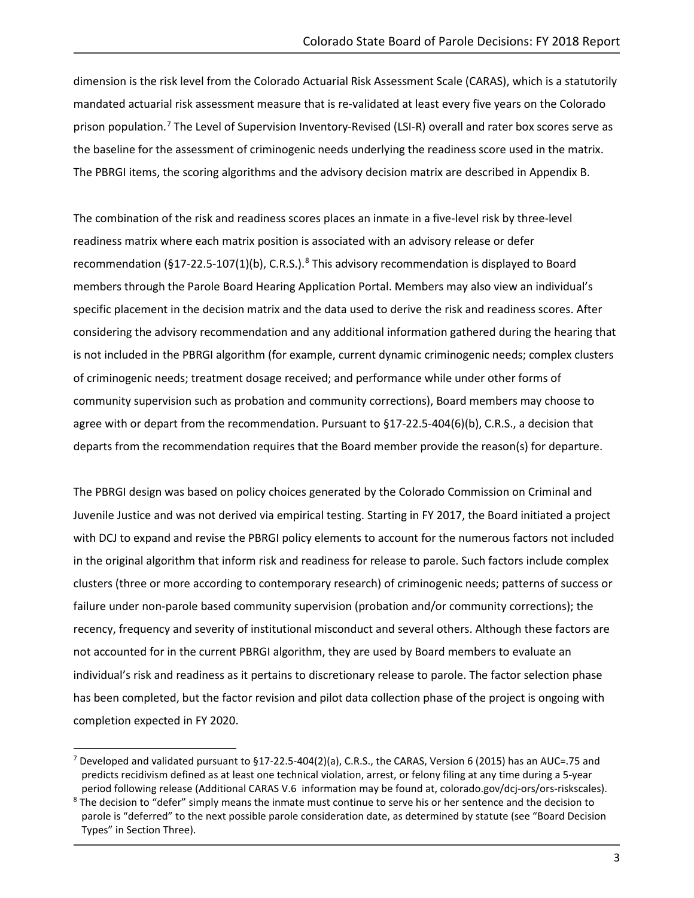dimension is the risk level from the Colorado Actuarial Risk Assessment Scale (CARAS), which is a statutorily mandated actuarial risk assessment measure that is re-validated at least every five years on the Colorado prison population.<sup>[7](#page-8-0)</sup> The Level of Supervision Inventory-Revised (LSI-R) overall and rater box scores serve as the baseline for the assessment of criminogenic needs underlying the readiness score used in the matrix. The PBRGI items, the scoring algorithms and the advisory decision matrix are described in Appendix B.

The combination of the risk and readiness scores places an inmate in a five-level risk by three-level readiness matrix where each matrix position is associated with an advisory release or defer recommendation (§17-22.5-107(1)(b), C.R.S.).<sup>[8](#page-8-1)</sup> This advisory recommendation is displayed to Board members through the Parole Board Hearing Application Portal. Members may also view an individual's specific placement in the decision matrix and the data used to derive the risk and readiness scores. After considering the advisory recommendation and any additional information gathered during the hearing that is not included in the PBRGI algorithm (for example, current dynamic criminogenic needs; complex clusters of criminogenic needs; treatment dosage received; and performance while under other forms of community supervision such as probation and community corrections), Board members may choose to agree with or depart from the recommendation. Pursuant to §17-22.5-404(6)(b), C.R.S., a decision that departs from the recommendation requires that the Board member provide the reason(s) for departure.

The PBRGI design was based on policy choices generated by the Colorado Commission on Criminal and Juvenile Justice and was not derived via empirical testing. Starting in FY 2017, the Board initiated a project with DCJ to expand and revise the PBRGI policy elements to account for the numerous factors not included in the original algorithm that inform risk and readiness for release to parole. Such factors include complex clusters (three or more according to contemporary research) of criminogenic needs; patterns of success or failure under non-parole based community supervision (probation and/or community corrections); the recency, frequency and severity of institutional misconduct and several others. Although these factors are not accounted for in the current PBRGI algorithm, they are used by Board members to evaluate an individual's risk and readiness as it pertains to discretionary release to parole. The factor selection phase has been completed, but the factor revision and pilot data collection phase of the project is ongoing with completion expected in FY 2020.

<span id="page-8-0"></span><sup>&</sup>lt;sup>7</sup> Developed and validated pursuant to §17-22.5-404(2)(a), C.R.S., the CARAS, Version 6 (2015) has an AUC=.75 and predicts recidivism defined as at least one technical violation, arrest, or felony filing at any time during a 5-year period following release (Additional CARAS V.6 information may be found at, colorado.gov/dcj-ors/ors-riskscales).

<span id="page-8-1"></span> $8$  The decision to "defer" simply means the inmate must continue to serve his or her sentence and the decision to parole is "deferred" to the next possible parole consideration date, as determined by statute (see "Board Decision Types" in Section Three).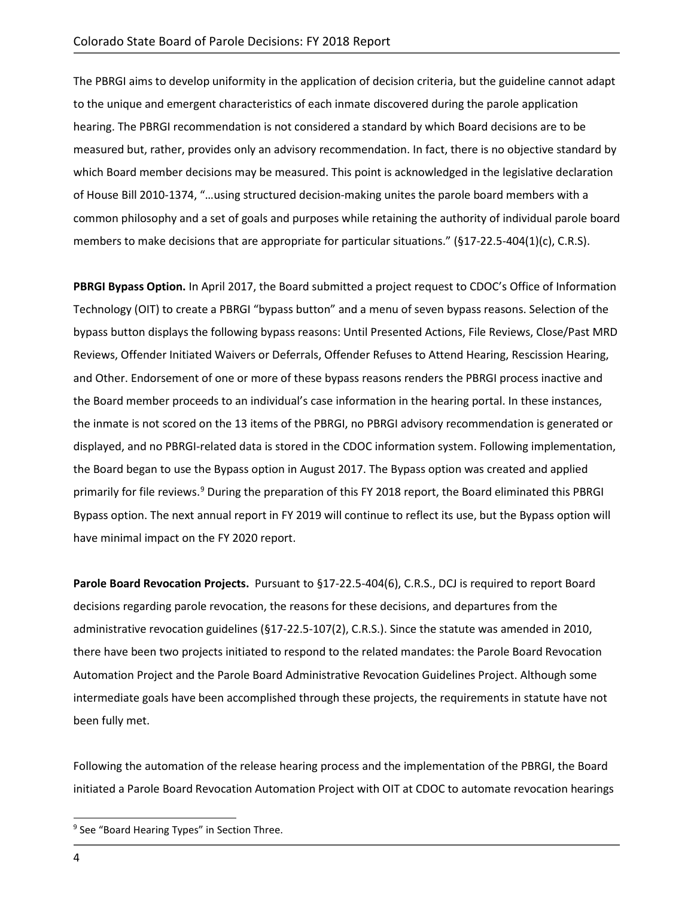The PBRGI aims to develop uniformity in the application of decision criteria, but the guideline cannot adapt to the unique and emergent characteristics of each inmate discovered during the parole application hearing. The PBRGI recommendation is not considered a standard by which Board decisions are to be measured but, rather, provides only an advisory recommendation. In fact, there is no objective standard by which Board member decisions may be measured. This point is acknowledged in the legislative declaration of House Bill 2010-1374, "…using structured decision-making unites the parole board members with a common philosophy and a set of goals and purposes while retaining the authority of individual parole board members to make decisions that are appropriate for particular situations." (§17-22.5-404(1)(c), C.R.S).

**PBRGI Bypass Option.** In April 2017, the Board submitted a project request to CDOC's Office of Information Technology (OIT) to create a PBRGI "bypass button" and a menu of seven bypass reasons. Selection of the bypass button displays the following bypass reasons: Until Presented Actions, File Reviews, Close/Past MRD Reviews, Offender Initiated Waivers or Deferrals, Offender Refuses to Attend Hearing, Rescission Hearing, and Other. Endorsement of one or more of these bypass reasons renders the PBRGI process inactive and the Board member proceeds to an individual's case information in the hearing portal. In these instances, the inmate is not scored on the 13 items of the PBRGI, no PBRGI advisory recommendation is generated or displayed, and no PBRGI-related data is stored in the CDOC information system. Following implementation, the Board began to use the Bypass option in August 2017. The Bypass option was created and applied primarily for file reviews.<sup>[9](#page-9-0)</sup> During the preparation of this FY 2018 report, the Board eliminated this PBRGI Bypass option. The next annual report in FY 2019 will continue to reflect its use, but the Bypass option will have minimal impact on the FY 2020 report.

**Parole Board Revocation Projects.** Pursuant to §17-22.5-404(6), C.R.S., DCJ is required to report Board decisions regarding parole revocation, the reasons for these decisions, and departures from the administrative revocation guidelines (§17-22.5-107(2), C.R.S.). Since the statute was amended in 2010, there have been two projects initiated to respond to the related mandates: the Parole Board Revocation Automation Project and the Parole Board Administrative Revocation Guidelines Project. Although some intermediate goals have been accomplished through these projects, the requirements in statute have not been fully met.

Following the automation of the release hearing process and the implementation of the PBRGI, the Board initiated a Parole Board Revocation Automation Project with OIT at CDOC to automate revocation hearings

<span id="page-9-0"></span><sup>&</sup>lt;sup>9</sup> See "Board Hearing Types" in Section Three.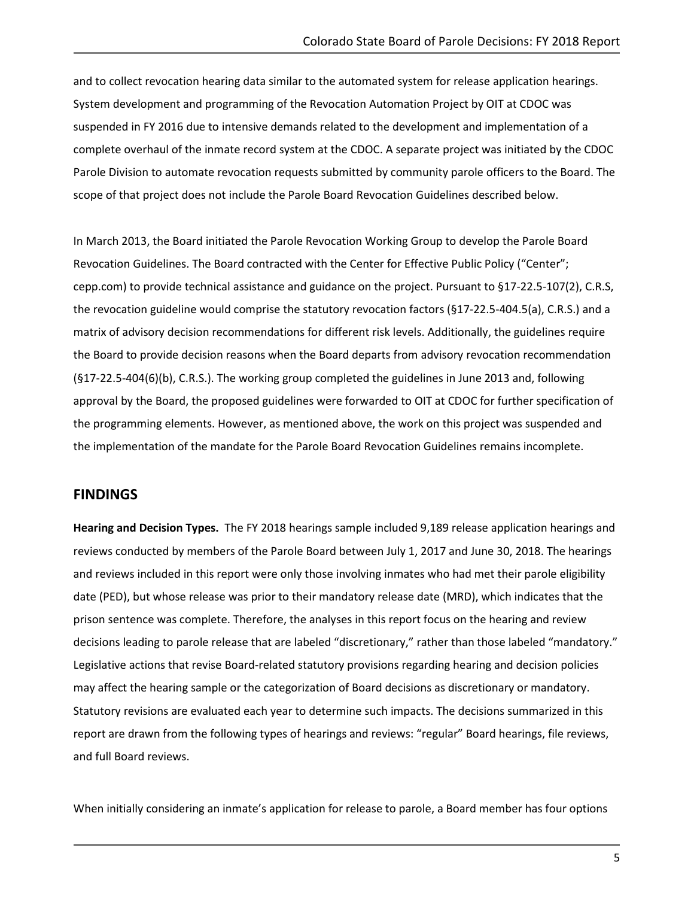and to collect revocation hearing data similar to the automated system for release application hearings. System development and programming of the Revocation Automation Project by OIT at CDOC was suspended in FY 2016 due to intensive demands related to the development and implementation of a complete overhaul of the inmate record system at the CDOC. A separate project was initiated by the CDOC Parole Division to automate revocation requests submitted by community parole officers to the Board. The scope of that project does not include the Parole Board Revocation Guidelines described below.

In March 2013, the Board initiated the Parole Revocation Working Group to develop the Parole Board Revocation Guidelines. The Board contracted with the Center for Effective Public Policy ("Center"; cepp.com) to provide technical assistance and guidance on the project. Pursuant to §17-22.5-107(2), C.R.S, the revocation guideline would comprise the statutory revocation factors (§17-22.5-404.5(a), C.R.S.) and a matrix of advisory decision recommendations for different risk levels. Additionally, the guidelines require the Board to provide decision reasons when the Board departs from advisory revocation recommendation (§17-22.5-404(6)(b), C.R.S.). The working group completed the guidelines in June 2013 and, following approval by the Board, the proposed guidelines were forwarded to OIT at CDOC for further specification of the programming elements. However, as mentioned above, the work on this project was suspended and the implementation of the mandate for the Parole Board Revocation Guidelines remains incomplete.

#### **FINDINGS**

**Hearing and Decision Types.** The FY 2018 hearings sample included 9,189 release application hearings and reviews conducted by members of the Parole Board between July 1, 2017 and June 30, 2018. The hearings and reviews included in this report were only those involving inmates who had met their parole eligibility date (PED), but whose release was prior to their mandatory release date (MRD), which indicates that the prison sentence was complete. Therefore, the analyses in this report focus on the hearing and review decisions leading to parole release that are labeled "discretionary," rather than those labeled "mandatory." Legislative actions that revise Board-related statutory provisions regarding hearing and decision policies may affect the hearing sample or the categorization of Board decisions as discretionary or mandatory. Statutory revisions are evaluated each year to determine such impacts. The decisions summarized in this report are drawn from the following types of hearings and reviews: "regular" Board hearings, file reviews, and full Board reviews.

When initially considering an inmate's application for release to parole, a Board member has four options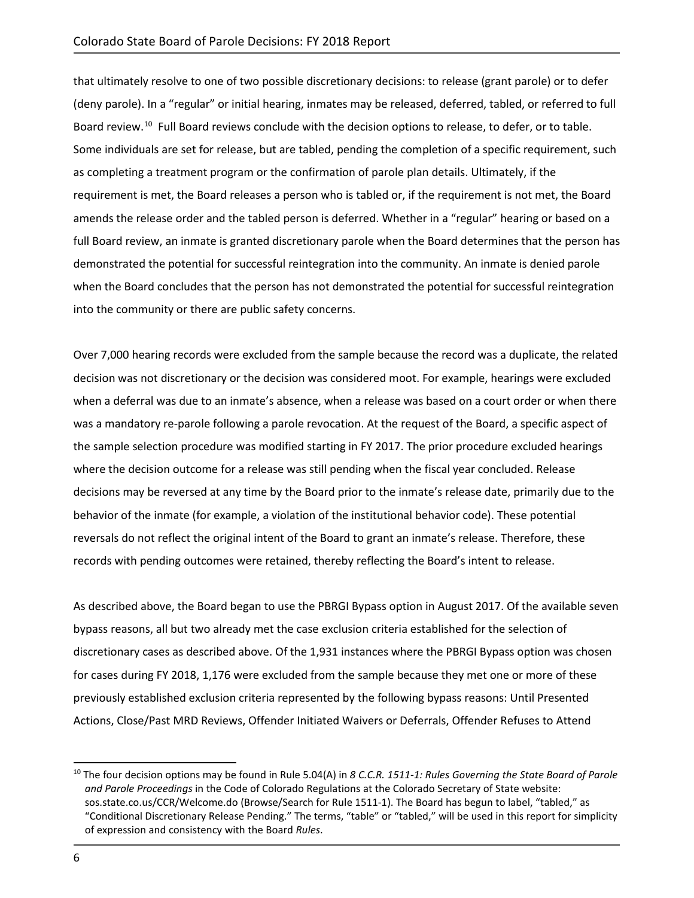that ultimately resolve to one of two possible discretionary decisions: to release (grant parole) or to defer (deny parole). In a "regular" or initial hearing, inmates may be released, deferred, tabled, or referred to full Board review.<sup>[10](#page-11-0)</sup> Full Board reviews conclude with the decision options to release, to defer, or to table. Some individuals are set for release, but are tabled, pending the completion of a specific requirement, such as completing a treatment program or the confirmation of parole plan details. Ultimately, if the requirement is met, the Board releases a person who is tabled or, if the requirement is not met, the Board amends the release order and the tabled person is deferred. Whether in a "regular" hearing or based on a full Board review, an inmate is granted discretionary parole when the Board determines that the person has demonstrated the potential for successful reintegration into the community. An inmate is denied parole when the Board concludes that the person has not demonstrated the potential for successful reintegration into the community or there are public safety concerns.

Over 7,000 hearing records were excluded from the sample because the record was a duplicate, the related decision was not discretionary or the decision was considered moot. For example, hearings were excluded when a deferral was due to an inmate's absence, when a release was based on a court order or when there was a mandatory re-parole following a parole revocation. At the request of the Board, a specific aspect of the sample selection procedure was modified starting in FY 2017. The prior procedure excluded hearings where the decision outcome for a release was still pending when the fiscal year concluded. Release decisions may be reversed at any time by the Board prior to the inmate's release date, primarily due to the behavior of the inmate (for example, a violation of the institutional behavior code). These potential reversals do not reflect the original intent of the Board to grant an inmate's release. Therefore, these records with pending outcomes were retained, thereby reflecting the Board's intent to release.

As described above, the Board began to use the PBRGI Bypass option in August 2017. Of the available seven bypass reasons, all but two already met the case exclusion criteria established for the selection of discretionary cases as described above. Of the 1,931 instances where the PBRGI Bypass option was chosen for cases during FY 2018, 1,176 were excluded from the sample because they met one or more of these previously established exclusion criteria represented by the following bypass reasons: Until Presented Actions, Close/Past MRD Reviews, Offender Initiated Waivers or Deferrals, Offender Refuses to Attend

<span id="page-11-0"></span> <sup>10</sup> The four decision options may be found in Rule 5.04(A) in *8 C.C.R. 1511-1: Rules Governing the State Board of Parole and Parole Proceedings* in the Code of Colorado Regulations at the Colorado Secretary of State website: sos.state.co.us/CCR/Welcome.do (Browse/Search for Rule 1511-1). The Board has begun to label, "tabled," as "Conditional Discretionary Release Pending." The terms, "table" or "tabled," will be used in this report for simplicity of expression and consistency with the Board *Rules*.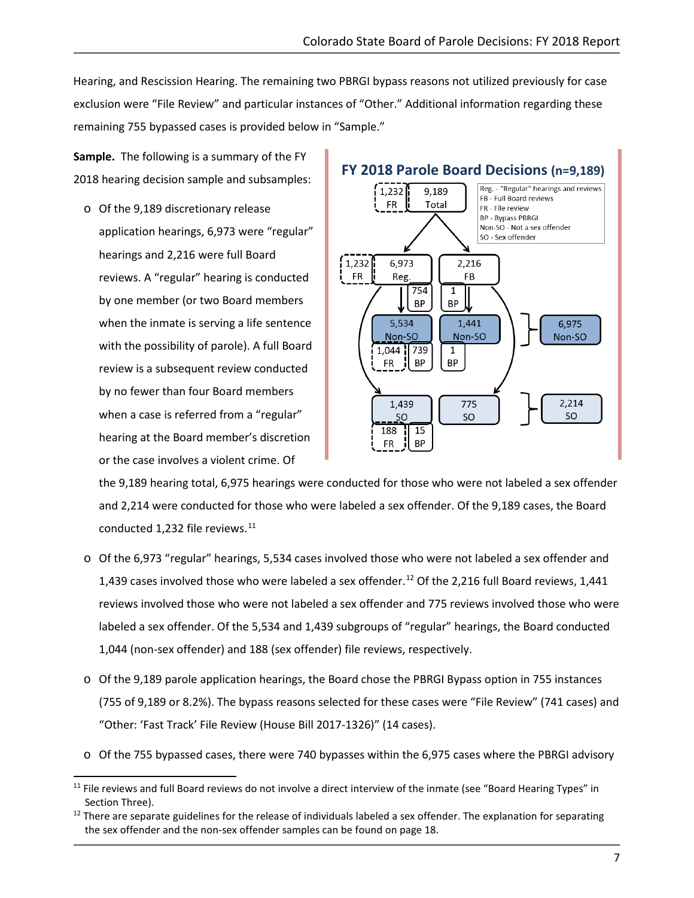Hearing, and Rescission Hearing. The remaining two PBRGI bypass reasons not utilized previously for case exclusion were "File Review" and particular instances of "Other." Additional information regarding these remaining 755 bypassed cases is provided below in "Sample."

**Sample.** The following is a summary of the FY 2018 hearing decision sample and subsamples:

o Of the 9,189 discretionary release application hearings, 6,973 were "regular" hearings and 2,216 were full Board reviews. A "regular" hearing is conducted by one member (or two Board members when the inmate is serving a life sentence with the possibility of parole). A full Board review is a subsequent review conducted by no fewer than four Board members when a case is referred from a "regular" hearing at the Board member's discretion or the case involves a violent crime. Of



the 9,189 hearing total, 6,975 hearings were conducted for those who were not labeled a sex offender and 2,214 were conducted for those who were labeled a sex offender. Of the 9,189 cases, the Board conducted 1,232 file reviews.<sup>[11](#page-12-0)</sup>

- o Of the 6,973 "regular" hearings, 5,534 cases involved those who were not labeled a sex offender and 1,439 cases involved those who were labeled a sex offender.<sup>[12](#page-12-1)</sup> Of the 2,216 full Board reviews, 1,441 reviews involved those who were not labeled a sex offender and 775 reviews involved those who were labeled a sex offender. Of the 5,534 and 1,439 subgroups of "regular" hearings, the Board conducted 1,044 (non-sex offender) and 188 (sex offender) file reviews, respectively.
- o Of the 9,189 parole application hearings, the Board chose the PBRGI Bypass option in 755 instances (755 of 9,189 or 8.2%). The bypass reasons selected for these cases were "File Review" (741 cases) and "Other: 'Fast Track' File Review (House Bill 2017-1326)" (14 cases).
- o Of the 755 bypassed cases, there were 740 bypasses within the 6,975 cases where the PBRGI advisory

<span id="page-12-0"></span> $11$  File reviews and full Board reviews do not involve a direct interview of the inmate (see "Board Hearing Types" in Section Three).

<span id="page-12-1"></span> $12$  There are separate guidelines for the release of individuals labeled a sex offender. The explanation for separating the sex offender and the non-sex offender samples can be found on page 18.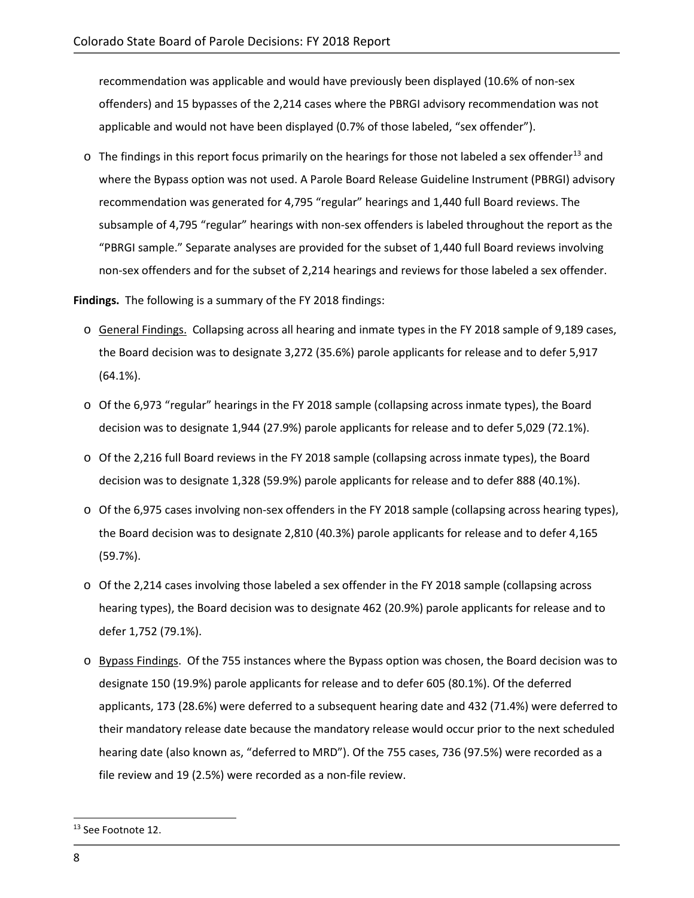recommendation was applicable and would have previously been displayed (10.6% of non-sex offenders) and 15 bypasses of the 2,214 cases where the PBRGI advisory recommendation was not applicable and would not have been displayed (0.7% of those labeled, "sex offender").

 $\circ$  The findings in this report focus primarily on the hearings for those not labeled a sex offender<sup>[13](#page-13-0)</sup> and where the Bypass option was not used. A Parole Board Release Guideline Instrument (PBRGI) advisory recommendation was generated for 4,795 "regular" hearings and 1,440 full Board reviews. The subsample of 4,795 "regular" hearings with non-sex offenders is labeled throughout the report as the "PBRGI sample." Separate analyses are provided for the subset of 1,440 full Board reviews involving non-sex offenders and for the subset of 2,214 hearings and reviews for those labeled a sex offender.

**Findings.** The following is a summary of the FY 2018 findings:

- o General Findings.Collapsing across all hearing and inmate types in the FY 2018 sample of 9,189 cases, the Board decision was to designate 3,272 (35.6%) parole applicants for release and to defer 5,917 (64.1%).
- o Of the 6,973 "regular" hearings in the FY 2018 sample (collapsing across inmate types), the Board decision was to designate 1,944 (27.9%) parole applicants for release and to defer 5,029 (72.1%).
- o Of the 2,216 full Board reviews in the FY 2018 sample (collapsing across inmate types), the Board decision was to designate 1,328 (59.9%) parole applicants for release and to defer 888 (40.1%).
- o Of the 6,975 cases involving non-sex offenders in the FY 2018 sample (collapsing across hearing types), the Board decision was to designate 2,810 (40.3%) parole applicants for release and to defer 4,165 (59.7%).
- o Of the 2,214 cases involving those labeled a sex offender in the FY 2018 sample (collapsing across hearing types), the Board decision was to designate 462 (20.9%) parole applicants for release and to defer 1,752 (79.1%).
- $\circ$  Bypass Findings. Of the 755 instances where the Bypass option was chosen, the Board decision was to designate 150 (19.9%) parole applicants for release and to defer 605 (80.1%). Of the deferred applicants, 173 (28.6%) were deferred to a subsequent hearing date and 432 (71.4%) were deferred to their mandatory release date because the mandatory release would occur prior to the next scheduled hearing date (also known as, "deferred to MRD"). Of the 755 cases, 736 (97.5%) were recorded as a file review and 19 (2.5%) were recorded as a non-file review.

<span id="page-13-0"></span><sup>&</sup>lt;sup>13</sup> See Footnote 12.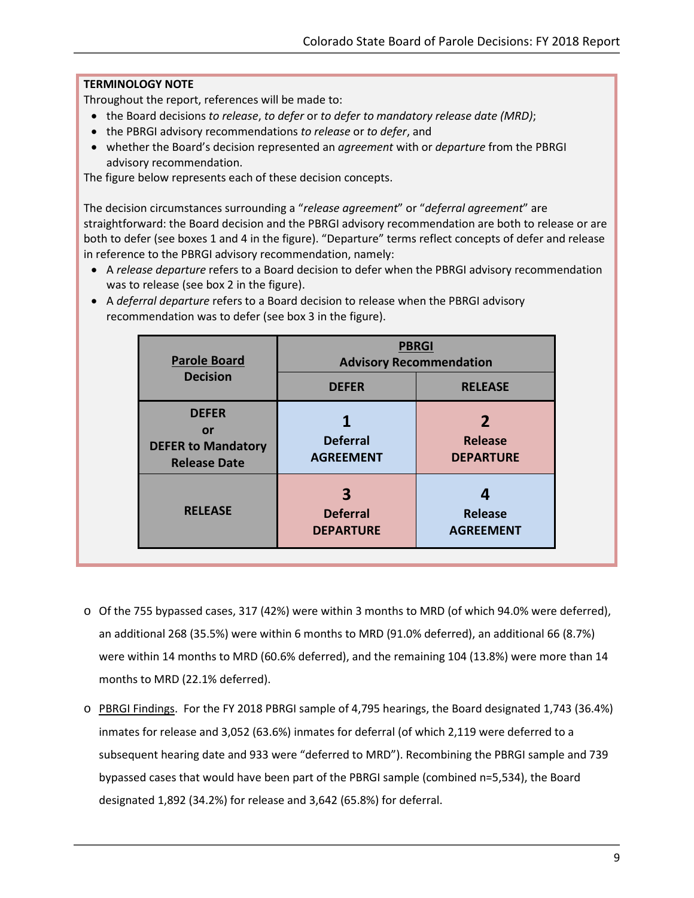#### **TERMINOLOGY NOTE**

Throughout the report, references will be made to:

- the Board decisions *to release*, *to defer* or *to defer to mandatory release date (MRD)*;
- the PBRGI advisory recommendations *to release* or *to defer*, and
- whether the Board's decision represented an *agreement* with or *departure* from the PBRGI advisory recommendation.

The figure below represents each of these decision concepts.

The decision circumstances surrounding a "*release agreement*" or "*deferral agreement*" are straightforward: the Board decision and the PBRGI advisory recommendation are both to release or are both to defer (see boxes 1 and 4 in the figure). "Departure" terms reflect concepts of defer and release in reference to the PBRGI advisory recommendation, namely:

- A *release departure* refers to a Board decision to defer when the PBRGI advisory recommendation was to release (see box 2 in the figure).
- A *deferral departure* refers to a Board decision to release when the PBRGI advisory recommendation was to defer (see box 3 in the figure).

| <b>Parole Board</b><br><b>Decision</b>                                 | <b>PBRGI</b><br><b>Advisory Recommendation</b> |                                    |
|------------------------------------------------------------------------|------------------------------------------------|------------------------------------|
|                                                                        | <b>DEFER</b>                                   | <b>RELEASE</b>                     |
| <b>DEFER</b><br>or<br><b>DEFER to Mandatory</b><br><b>Release Date</b> | <b>Deferral</b><br><b>AGREEMENT</b>            | <b>Release</b><br><b>DEPARTURE</b> |
| <b>RELEASE</b>                                                         | 3<br><b>Deferral</b><br><b>DEPARTURE</b>       | <b>Release</b><br><b>AGREEMENT</b> |

- o Of the 755 bypassed cases, 317 (42%) were within 3 months to MRD (of which 94.0% were deferred), an additional 268 (35.5%) were within 6 months to MRD (91.0% deferred), an additional 66 (8.7%) were within 14 months to MRD (60.6% deferred), and the remaining 104 (13.8%) were more than 14 months to MRD (22.1% deferred).
- o PBRGI Findings. For the FY 2018 PBRGI sample of 4,795 hearings, the Board designated 1,743 (36.4%) inmates for release and 3,052 (63.6%) inmates for deferral (of which 2,119 were deferred to a subsequent hearing date and 933 were "deferred to MRD"). Recombining the PBRGI sample and 739 bypassed cases that would have been part of the PBRGI sample (combined n=5,534), the Board designated 1,892 (34.2%) for release and 3,642 (65.8%) for deferral.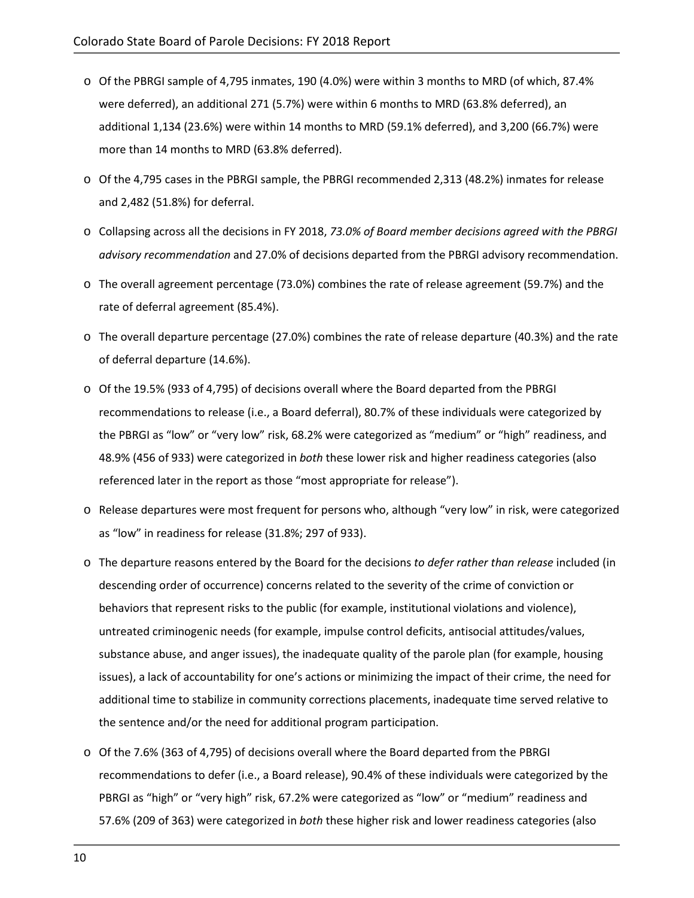- o Of the PBRGI sample of 4,795 inmates, 190 (4.0%) were within 3 months to MRD (of which, 87.4% were deferred), an additional 271 (5.7%) were within 6 months to MRD (63.8% deferred), an additional 1,134 (23.6%) were within 14 months to MRD (59.1% deferred), and 3,200 (66.7%) were more than 14 months to MRD (63.8% deferred).
- o Of the 4,795 cases in the PBRGI sample, the PBRGI recommended 2,313 (48.2%) inmates for release and 2,482 (51.8%) for deferral.
- o Collapsing across all the decisions in FY 2018, *73.0% of Board member decisions agreed with the PBRGI advisory recommendation* and 27.0% of decisions departed from the PBRGI advisory recommendation.
- o The overall agreement percentage (73.0%) combines the rate of release agreement (59.7%) and the rate of deferral agreement (85.4%).
- o The overall departure percentage (27.0%) combines the rate of release departure (40.3%) and the rate of deferral departure (14.6%).
- o Of the 19.5% (933 of 4,795) of decisions overall where the Board departed from the PBRGI recommendations to release (i.e., a Board deferral), 80.7% of these individuals were categorized by the PBRGI as "low" or "very low" risk, 68.2% were categorized as "medium" or "high" readiness, and 48.9% (456 of 933) were categorized in *both* these lower risk and higher readiness categories (also referenced later in the report as those "most appropriate for release").
- o Release departures were most frequent for persons who, although "very low" in risk, were categorized as "low" in readiness for release (31.8%; 297 of 933).
- o The departure reasons entered by the Board for the decisions *to defer rather than release* included (in descending order of occurrence) concerns related to the severity of the crime of conviction or behaviors that represent risks to the public (for example, institutional violations and violence), untreated criminogenic needs (for example, impulse control deficits, antisocial attitudes/values, substance abuse, and anger issues), the inadequate quality of the parole plan (for example, housing issues), a lack of accountability for one's actions or minimizing the impact of their crime, the need for additional time to stabilize in community corrections placements, inadequate time served relative to the sentence and/or the need for additional program participation.
- o Of the 7.6% (363 of 4,795) of decisions overall where the Board departed from the PBRGI recommendations to defer (i.e., a Board release), 90.4% of these individuals were categorized by the PBRGI as "high" or "very high" risk, 67.2% were categorized as "low" or "medium" readiness and 57.6% (209 of 363) were categorized in *both* these higher risk and lower readiness categories (also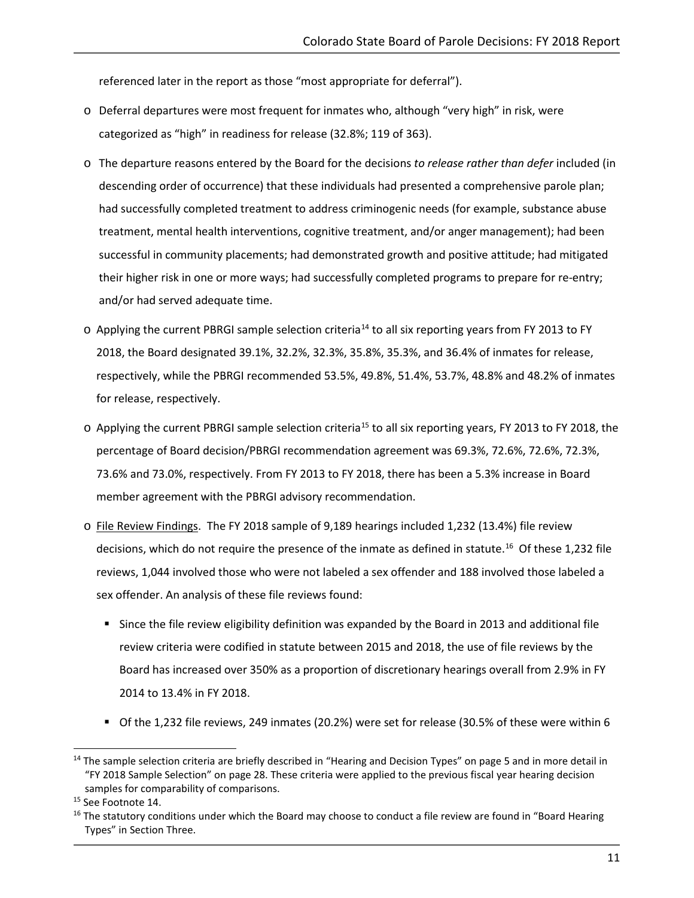referenced later in the report as those "most appropriate for deferral").

- $\circ$  Deferral departures were most frequent for inmates who, although "very high" in risk, were categorized as "high" in readiness for release (32.8%; 119 of 363).
- o The departure reasons entered by the Board for the decisions *to release rather than defer* included (in descending order of occurrence) that these individuals had presented a comprehensive parole plan; had successfully completed treatment to address criminogenic needs (for example, substance abuse treatment, mental health interventions, cognitive treatment, and/or anger management); had been successful in community placements; had demonstrated growth and positive attitude; had mitigated their higher risk in one or more ways; had successfully completed programs to prepare for re-entry; and/or had served adequate time.
- o Applying the current PBRGI sample selection criteria<sup>[14](#page-16-0)</sup> to all six reporting years from FY 2013 to FY 2018, the Board designated 39.1%, 32.2%, 32.3%, 35.8%, 35.3%, and 36.4% of inmates for release, respectively, while the PBRGI recommended 53.5%, 49.8%, 51.4%, 53.7%, 48.8% and 48.2% of inmates for release, respectively.
- $\circ$  Applying the current PBRGI sample selection criteria<sup>[15](#page-16-1)</sup> to all six reporting years, FY 2013 to FY 2018, the percentage of Board decision/PBRGI recommendation agreement was 69.3%, 72.6%, 72.6%, 72.3%, 73.6% and 73.0%, respectively. From FY 2013 to FY 2018, there has been a 5.3% increase in Board member agreement with the PBRGI advisory recommendation.
- o File Review Findings. The FY 2018 sample of 9,189 hearings included 1,232 (13.4%) file review decisions, which do not require the presence of the inmate as defined in statute. [16](#page-16-2) Of these 1,232 file reviews, 1,044 involved those who were not labeled a sex offender and 188 involved those labeled a sex offender. An analysis of these file reviews found:
	- Since the file review eligibility definition was expanded by the Board in 2013 and additional file review criteria were codified in statute between 2015 and 2018, the use of file reviews by the Board has increased over 350% as a proportion of discretionary hearings overall from 2.9% in FY 2014 to 13.4% in FY 2018.
	- Of the 1,232 file reviews, 249 inmates (20.2%) were set for release (30.5% of these were within 6

<span id="page-16-0"></span><sup>&</sup>lt;sup>14</sup> The sample selection criteria are briefly described in "Hearing and Decision Types" on page 5 and in more detail in "FY 2018 Sample Selection" on page 28. These criteria were applied to the previous fiscal year hearing decision samples for comparability of comparisons.

<span id="page-16-1"></span><sup>&</sup>lt;sup>15</sup> See Footnote 14.

<span id="page-16-2"></span> $16$  The statutory conditions under which the Board may choose to conduct a file review are found in "Board Hearing Types" in Section Three.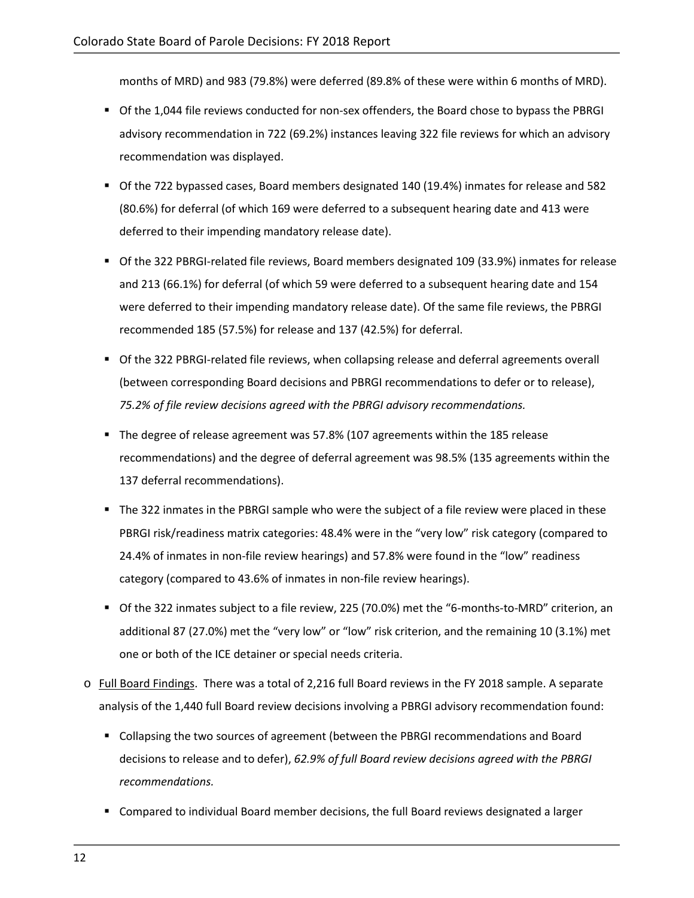months of MRD) and 983 (79.8%) were deferred (89.8% of these were within 6 months of MRD).

- Of the 1,044 file reviews conducted for non-sex offenders, the Board chose to bypass the PBRGI advisory recommendation in 722 (69.2%) instances leaving 322 file reviews for which an advisory recommendation was displayed.
- Of the 722 bypassed cases, Board members designated 140 (19.4%) inmates for release and 582 (80.6%) for deferral (of which 169 were deferred to a subsequent hearing date and 413 were deferred to their impending mandatory release date).
- Of the 322 PBRGI-related file reviews, Board members designated 109 (33.9%) inmates for release and 213 (66.1%) for deferral (of which 59 were deferred to a subsequent hearing date and 154 were deferred to their impending mandatory release date). Of the same file reviews, the PBRGI recommended 185 (57.5%) for release and 137 (42.5%) for deferral.
- Of the 322 PBRGI-related file reviews, when collapsing release and deferral agreements overall (between corresponding Board decisions and PBRGI recommendations to defer or to release), *75.2% of file review decisions agreed with the PBRGI advisory recommendations.*
- The degree of release agreement was 57.8% (107 agreements within the 185 release recommendations) and the degree of deferral agreement was 98.5% (135 agreements within the 137 deferral recommendations).
- The 322 inmates in the PBRGI sample who were the subject of a file review were placed in these PBRGI risk/readiness matrix categories: 48.4% were in the "very low" risk category (compared to 24.4% of inmates in non-file review hearings) and 57.8% were found in the "low" readiness category (compared to 43.6% of inmates in non-file review hearings).
- Of the 322 inmates subject to a file review, 225 (70.0%) met the "6-months-to-MRD" criterion, an additional 87 (27.0%) met the "very low" or "low" risk criterion, and the remaining 10 (3.1%) met one or both of the ICE detainer or special needs criteria.
- o Full Board Findings. There was a total of 2,216 full Board reviews in the FY 2018 sample. A separate analysis of the 1,440 full Board review decisions involving a PBRGI advisory recommendation found:
	- Collapsing the two sources of agreement (between the PBRGI recommendations and Board decisions to release and to defer), *62.9% of full Board review decisions agreed with the PBRGI recommendations.*
	- Compared to individual Board member decisions, the full Board reviews designated a larger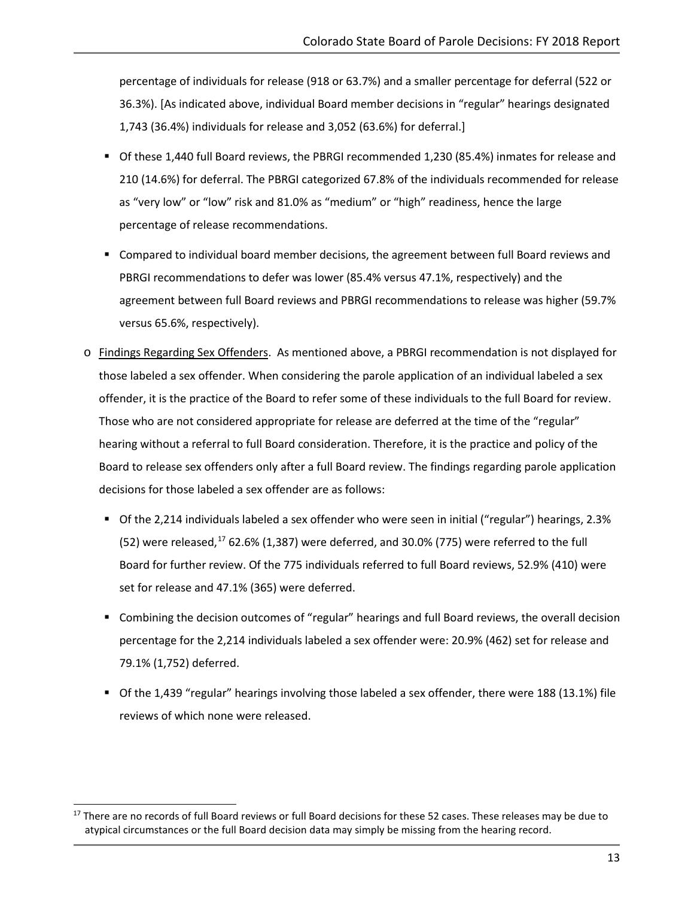percentage of individuals for release (918 or 63.7%) and a smaller percentage for deferral (522 or 36.3%). [As indicated above, individual Board member decisions in "regular" hearings designated 1,743 (36.4%) individuals for release and 3,052 (63.6%) for deferral.]

- Of these 1,440 full Board reviews, the PBRGI recommended 1,230 (85.4%) inmates for release and 210 (14.6%) for deferral. The PBRGI categorized 67.8% of the individuals recommended for release as "very low" or "low" risk and 81.0% as "medium" or "high" readiness, hence the large percentage of release recommendations.
- Compared to individual board member decisions, the agreement between full Board reviews and PBRGI recommendations to defer was lower (85.4% versus 47.1%, respectively) and the agreement between full Board reviews and PBRGI recommendations to release was higher (59.7% versus 65.6%, respectively).
- o Findings Regarding Sex Offenders. As mentioned above, a PBRGI recommendation is not displayed for those labeled a sex offender. When considering the parole application of an individual labeled a sex offender, it is the practice of the Board to refer some of these individuals to the full Board for review. Those who are not considered appropriate for release are deferred at the time of the "regular" hearing without a referral to full Board consideration. Therefore, it is the practice and policy of the Board to release sex offenders only after a full Board review. The findings regarding parole application decisions for those labeled a sex offender are as follows:
	- Of the 2,214 individuals labeled a sex offender who were seen in initial ("regular") hearings, 2.3% (52) were released,<sup>[17](#page-18-0)</sup> 62.6% (1,387) were deferred, and 30.0% (775) were referred to the full Board for further review. Of the 775 individuals referred to full Board reviews, 52.9% (410) were set for release and 47.1% (365) were deferred.
	- Combining the decision outcomes of "regular" hearings and full Board reviews, the overall decision percentage for the 2,214 individuals labeled a sex offender were: 20.9% (462) set for release and 79.1% (1,752) deferred.
	- Of the 1,439 "regular" hearings involving those labeled a sex offender, there were 188 (13.1%) file reviews of which none were released.

<span id="page-18-0"></span><sup>&</sup>lt;sup>17</sup> There are no records of full Board reviews or full Board decisions for these 52 cases. These releases may be due to atypical circumstances or the full Board decision data may simply be missing from the hearing record.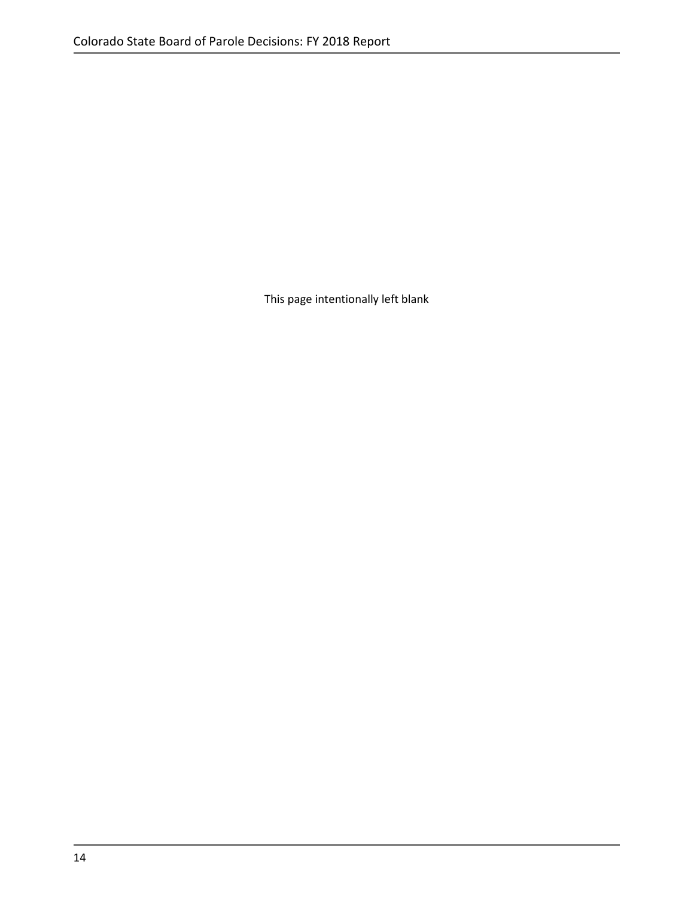This page intentionally left blank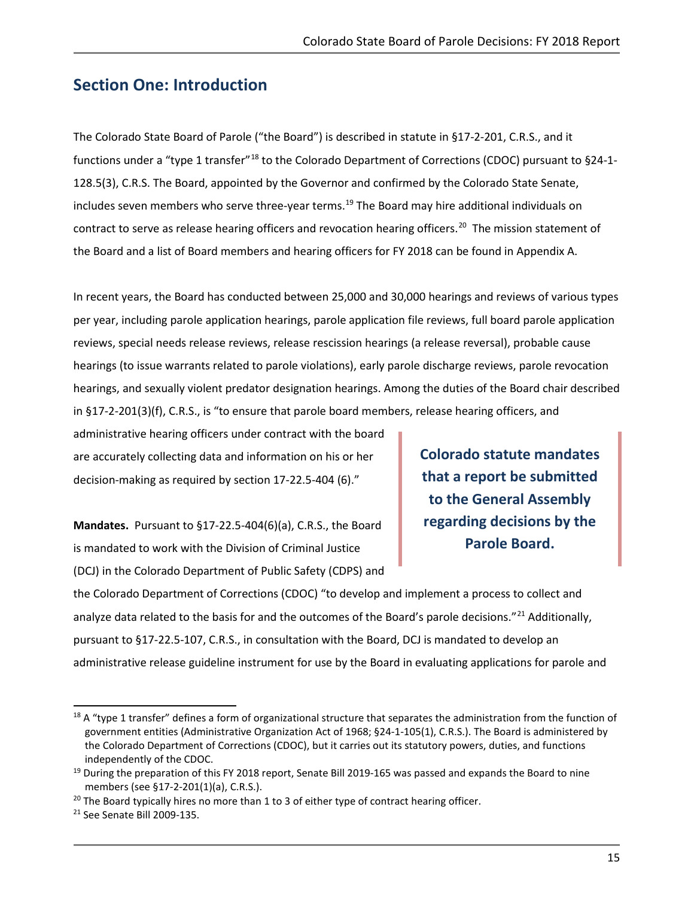## **Section One: Introduction**

The Colorado State Board of Parole ("the Board") is described in statute in §17-2-201, C.R.S., and it functions under a "type 1 transfer"[18](#page-20-0) to the Colorado Department of Corrections (CDOC) pursuant to §24-1- 128.5(3), C.R.S. The Board, appointed by the Governor and confirmed by the Colorado State Senate, includes seven members who serve three-year terms.<sup>[19](#page-20-1)</sup> The Board may hire additional individuals on contract to serve as release hearing officers and revocation hearing officers. [20](#page-20-2) The mission statement of the Board and a list of Board members and hearing officers for FY 2018 can be found in Appendix A.

In recent years, the Board has conducted between 25,000 and 30,000 hearings and reviews of various types per year, including parole application hearings, parole application file reviews, full board parole application reviews, special needs release reviews, release rescission hearings (a release reversal), probable cause hearings (to issue warrants related to parole violations), early parole discharge reviews, parole revocation hearings, and sexually violent predator designation hearings. Among the duties of the Board chair described in §17-2-201(3)(f), C.R.S., is "to ensure that parole board members, release hearing officers, and

administrative hearing officers under contract with the board are accurately collecting data and information on his or her decision-making as required by section 17-22.5-404 (6)."

**Mandates.** Pursuant to §17-22.5-404(6)(a), C.R.S., the Board is mandated to work with the Division of Criminal Justice (DCJ) in the Colorado Department of Public Safety (CDPS) and **Colorado statute mandates that a report be submitted to the General Assembly regarding decisions by the Parole Board.**

the Colorado Department of Corrections (CDOC) "to develop and implement a process to collect and analyze data related to the basis for and the outcomes of the Board's parole decisions."<sup>[21](#page-20-3)</sup> Additionally, pursuant to §17-22.5-107, C.R.S., in consultation with the Board, DCJ is mandated to develop an administrative release guideline instrument for use by the Board in evaluating applications for parole and

<span id="page-20-0"></span> $18$  A "type 1 transfer" defines a form of organizational structure that separates the administration from the function of government entities (Administrative Organization Act of 1968; §24-1-105(1), C.R.S.). The Board is administered by the Colorado Department of Corrections (CDOC), but it carries out its statutory powers, duties, and functions independently of the CDOC.

<span id="page-20-1"></span> $19$  During the preparation of this FY 2018 report, Senate Bill 2019-165 was passed and expands the Board to nine members (see §17-2-201(1)(a), C.R.S.).

<span id="page-20-2"></span> $20$  The Board typically hires no more than 1 to 3 of either type of contract hearing officer.

<span id="page-20-3"></span><sup>21</sup> See Senate Bill 2009-135.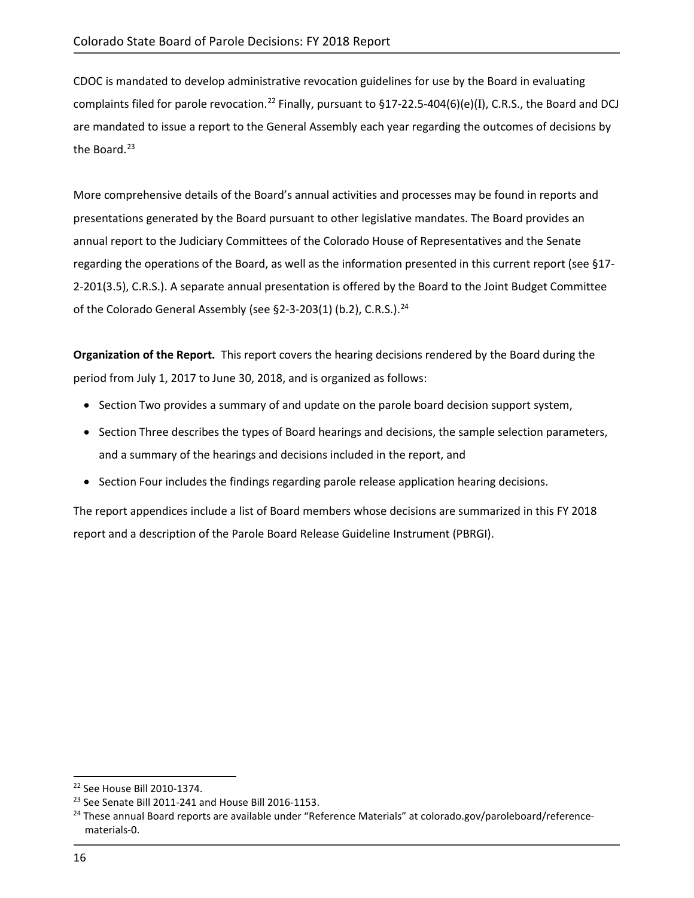CDOC is mandated to develop administrative revocation guidelines for use by the Board in evaluating complaints filed for parole revocation.<sup>[22](#page-21-0)</sup> Finally, pursuant to §17-22.5-404(6)(e)(I), C.R.S., the Board and DCJ are mandated to issue a report to the General Assembly each year regarding the outcomes of decisions by the Board. $23$ 

More comprehensive details of the Board's annual activities and processes may be found in reports and presentations generated by the Board pursuant to other legislative mandates. The Board provides an annual report to the Judiciary Committees of the Colorado House of Representatives and the Senate regarding the operations of the Board, as well as the information presented in this current report (see §17- 2-201(3.5), C.R.S.). A separate annual presentation is offered by the Board to the Joint Budget Committee of the Colorado General Assembly (see §2-3-203(1) (b.2), C.R.S.).<sup>[24](#page-21-2)</sup>

**Organization of the Report.** This report covers the hearing decisions rendered by the Board during the period from July 1, 2017 to June 30, 2018, and is organized as follows:

- Section Two provides a summary of and update on the parole board decision support system,
- Section Three describes the types of Board hearings and decisions, the sample selection parameters, and a summary of the hearings and decisions included in the report, and
- Section Four includes the findings regarding parole release application hearing decisions.

The report appendices include a list of Board members whose decisions are summarized in this FY 2018 report and a description of the Parole Board Release Guideline Instrument (PBRGI).

<span id="page-21-0"></span> <sup>22</sup> See House Bill 2010-1374.

<span id="page-21-2"></span><span id="page-21-1"></span><sup>&</sup>lt;sup>23</sup> See Senate Bill 2011-241 and House Bill 2016-1153.<br><sup>24</sup> These annual Board reports are available under "Reference Materials" at colorado.gov/paroleboard/referencematerials-0.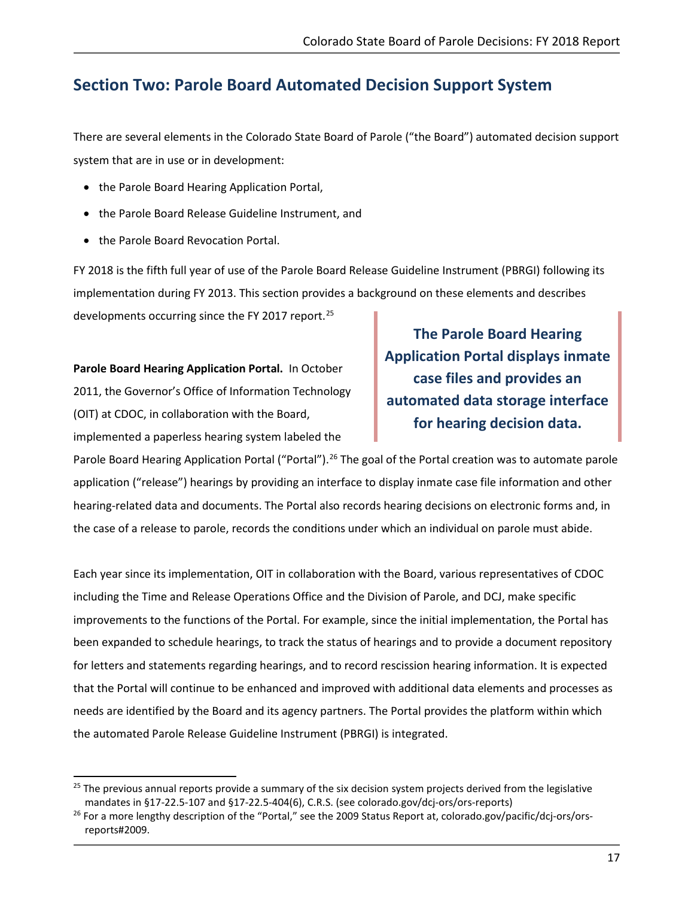# **Section Two: Parole Board Automated Decision Support System**

There are several elements in the Colorado State Board of Parole ("the Board") automated decision support system that are in use or in development:

- the Parole Board Hearing Application Portal,
- the Parole Board Release Guideline Instrument, and
- the Parole Board Revocation Portal.

FY 2018 is the fifth full year of use of the Parole Board Release Guideline Instrument (PBRGI) following its implementation during FY 2013. This section provides a background on these elements and describes developments occurring since the FY 2017 report.<sup>25</sup>

**Parole Board Hearing Application Portal.** In October 2011, the Governor's Office of Information Technology (OIT) at CDOC, in collaboration with the Board, implemented a paperless hearing system labeled the

# **The Parole Board Hearing Application Portal displays inmate case files and provides an automated data storage interface for hearing decision data.**

Parole Board Hearing Application Portal ("Portal").<sup>[26](#page-22-1)</sup> The goal of the Portal creation was to automate parole application ("release") hearings by providing an interface to display inmate case file information and other hearing-related data and documents. The Portal also records hearing decisions on electronic forms and, in the case of a release to parole, records the conditions under which an individual on parole must abide.

Each year since its implementation, OIT in collaboration with the Board, various representatives of CDOC including the Time and Release Operations Office and the Division of Parole, and DCJ, make specific improvements to the functions of the Portal. For example, since the initial implementation, the Portal has been expanded to schedule hearings, to track the status of hearings and to provide a document repository for letters and statements regarding hearings, and to record rescission hearing information. It is expected that the Portal will continue to be enhanced and improved with additional data elements and processes as needs are identified by the Board and its agency partners. The Portal provides the platform within which the automated Parole Release Guideline Instrument (PBRGI) is integrated.

<span id="page-22-0"></span><sup>&</sup>lt;sup>25</sup> The previous annual reports provide a summary of the six decision system projects derived from the legislative mandates in §17-22.5-107 and §17-22.5-404(6), C.R.S. (see colorado.gov/dcj-ors/ors-reports)

<span id="page-22-1"></span> $^{26}$  For a more lengthy description of the "Portal," see the 2009 Status Report at, colorado.gov/pacific/dcj-ors/orsreports#2009.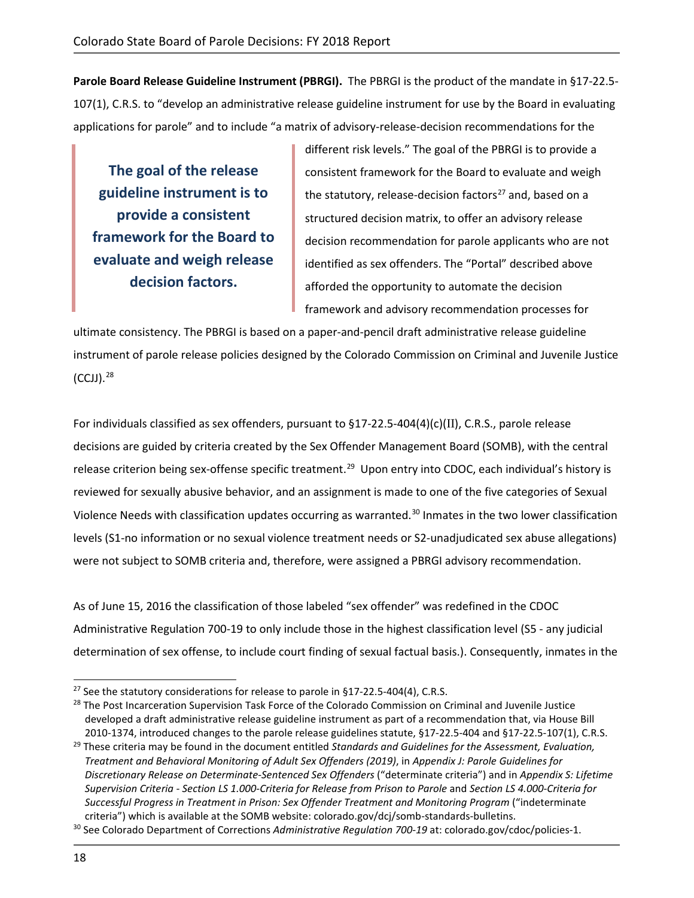**Parole Board Release Guideline Instrument (PBRGI).** The PBRGI is the product of the mandate in §17-22.5- 107(1), C.R.S. to "develop an administrative release guideline instrument for use by the Board in evaluating applications for parole" and to include "a matrix of advisory-release-decision recommendations for the

**The goal of the release guideline instrument is to provide a consistent framework for the Board to evaluate and weigh release decision factors.**

different risk levels." The goal of the PBRGI is to provide a consistent framework for the Board to evaluate and weigh the statutory, release-decision factors<sup>[27](#page-23-0)</sup> and, based on a structured decision matrix, to offer an advisory release decision recommendation for parole applicants who are not identified as sex offenders. The "Portal" described above afforded the opportunity to automate the decision framework and advisory recommendation processes for

ultimate consistency. The PBRGI is based on a paper-and-pencil draft administrative release guideline instrument of parole release policies designed by the Colorado Commission on Criminal and Juvenile Justice  $(CCJJ).<sup>28</sup>$  $(CCJJ).<sup>28</sup>$  $(CCJJ).<sup>28</sup>$ 

For individuals classified as sex offenders, pursuant to §17-22.5-404(4)(c)(II), C.R.S., parole release decisions are guided by criteria created by the Sex Offender Management Board (SOMB), with the central release criterion being sex-offense specific treatment.<sup>[29](#page-23-2)</sup> Upon entry into CDOC, each individual's history is reviewed for sexually abusive behavior, and an assignment is made to one of the five categories of Sexual Violence Needs with classification updates occurring as warranted.<sup>[30](#page-23-3)</sup> Inmates in the two lower classification levels (S1-no information or no sexual violence treatment needs or S2-unadjudicated sex abuse allegations) were not subject to SOMB criteria and, therefore, were assigned a PBRGI advisory recommendation.

As of June 15, 2016 the classification of those labeled "sex offender" was redefined in the CDOC Administrative Regulation 700-19 to only include those in the highest classification level (S5 - any judicial determination of sex offense, to include court finding of sexual factual basis.). Consequently, inmates in the

<span id="page-23-0"></span><sup>&</sup>lt;sup>27</sup> See the statutory considerations for release to parole in §17-22.5-404(4), C.R.S.

<span id="page-23-1"></span><sup>&</sup>lt;sup>28</sup> The Post Incarceration Supervision Task Force of the Colorado Commission on Criminal and Juvenile Justice developed a draft administrative release guideline instrument as part of a recommendation that, via House Bill 2010-1374, introduced changes to the parole release guidelines statute, §17-22.5-404 and §17-22.5-107(1), C.R.S.

<span id="page-23-2"></span><sup>29</sup> These criteria may be found in the document entitled *Standards and Guidelines for the Assessment, Evaluation, Treatment and Behavioral Monitoring of Adult Sex Offenders (2019)*, in *Appendix J: Parole Guidelines for Discretionary Release on Determinate-Sentenced Sex Offenders* ("determinate criteria") and in *Appendix S: Lifetime Supervision Criteria - Section LS 1.000-Criteria for Release from Prison to Parole* and *Section LS 4.000-Criteria for Successful Progress in Treatment in Prison: Sex Offender Treatment and Monitoring Program* ("indeterminate

<span id="page-23-3"></span>criteria") which is available at the SOMB website: colorado.gov/dcj/somb-standards-bulletins. 30 See Colorado Department of Corrections *Administrative Regulation 700-19* at: colorado.gov/cdoc/policies-1.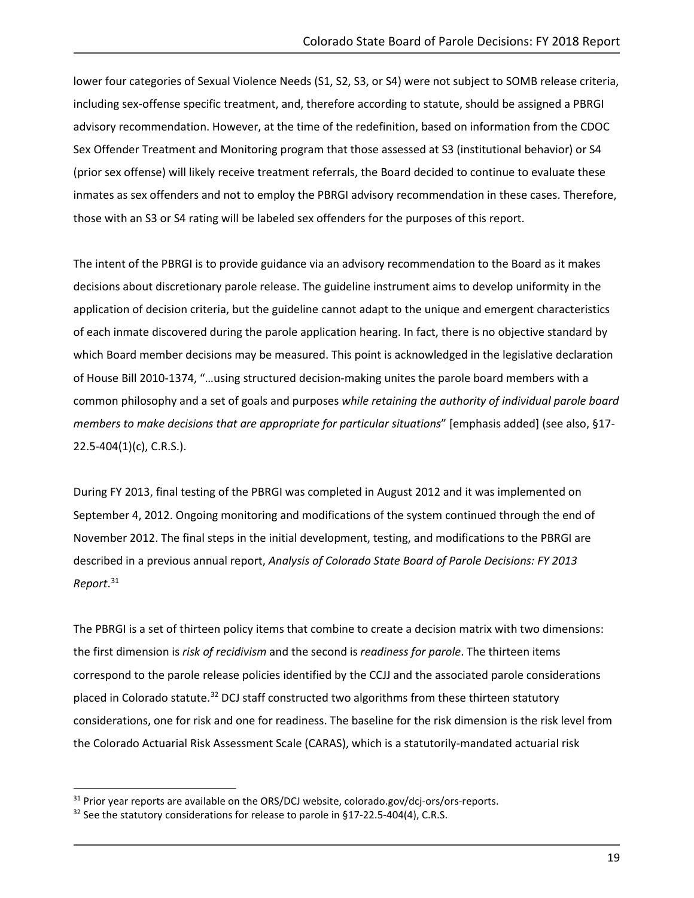lower four categories of Sexual Violence Needs (S1, S2, S3, or S4) were not subject to SOMB release criteria, including sex-offense specific treatment, and, therefore according to statute, should be assigned a PBRGI advisory recommendation. However, at the time of the redefinition, based on information from the CDOC Sex Offender Treatment and Monitoring program that those assessed at S3 (institutional behavior) or S4 (prior sex offense) will likely receive treatment referrals, the Board decided to continue to evaluate these inmates as sex offenders and not to employ the PBRGI advisory recommendation in these cases. Therefore, those with an S3 or S4 rating will be labeled sex offenders for the purposes of this report.

The intent of the PBRGI is to provide guidance via an advisory recommendation to the Board as it makes decisions about discretionary parole release. The guideline instrument aims to develop uniformity in the application of decision criteria, but the guideline cannot adapt to the unique and emergent characteristics of each inmate discovered during the parole application hearing. In fact, there is no objective standard by which Board member decisions may be measured. This point is acknowledged in the legislative declaration of House Bill 2010-1374, "…using structured decision-making unites the parole board members with a common philosophy and a set of goals and purposes *while retaining the authority of individual parole board members to make decisions that are appropriate for particular situations*" [emphasis added] (see also, §17- 22.5-404(1)(c), C.R.S.).

During FY 2013, final testing of the PBRGI was completed in August 2012 and it was implemented on September 4, 2012. Ongoing monitoring and modifications of the system continued through the end of November 2012. The final steps in the initial development, testing, and modifications to the PBRGI are described in a previous annual report, *Analysis of Colorado State Board of Parole Decisions: FY 2013 Report*. [31](#page-24-0)

The PBRGI is a set of thirteen policy items that combine to create a decision matrix with two dimensions: the first dimension is *risk of recidivism* and the second is *readiness for parole*. The thirteen items correspond to the parole release policies identified by the CCJJ and the associated parole considerations placed in Colorado statute.<sup>[32](#page-24-1)</sup> DCJ staff constructed two algorithms from these thirteen statutory considerations, one for risk and one for readiness. The baseline for the risk dimension is the risk level from the Colorado Actuarial Risk Assessment Scale (CARAS), which is a statutorily-mandated actuarial risk

<span id="page-24-0"></span> $31$  Prior year reports are available on the ORS/DCJ website, colorado.gov/dcj-ors/ors-reports.

<span id="page-24-1"></span> $32$  See the statutory considerations for release to parole in §17-22.5-404(4), C.R.S.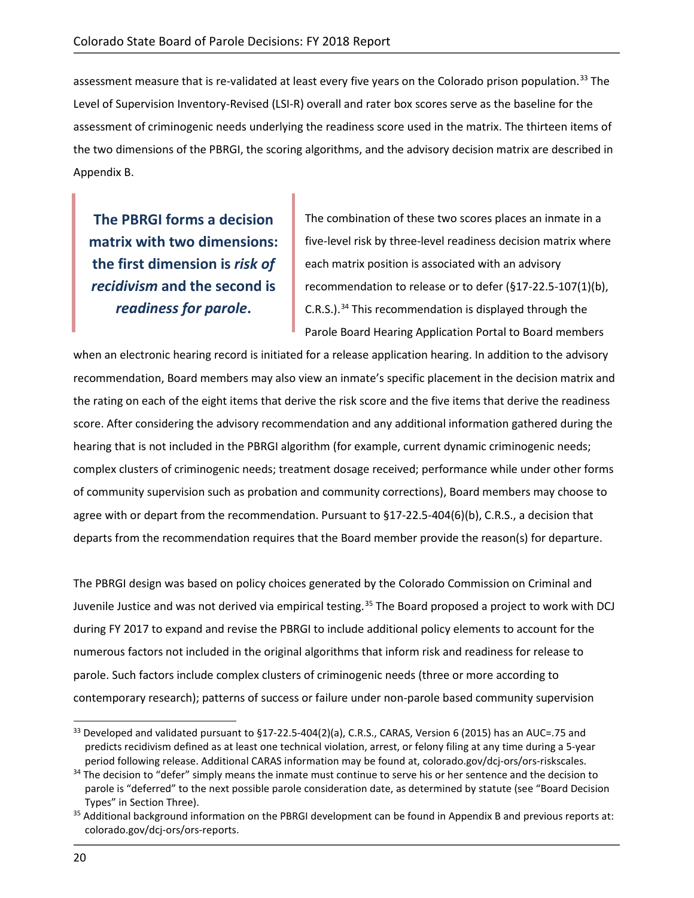assessment measure that is re-validated at least every five years on the Colorado prison population.<sup>[33](#page-25-0)</sup> The Level of Supervision Inventory-Revised (LSI-R) overall and rater box scores serve as the baseline for the assessment of criminogenic needs underlying the readiness score used in the matrix. The thirteen items of the two dimensions of the PBRGI, the scoring algorithms, and the advisory decision matrix are described in Appendix B.

**The PBRGI forms a decision matrix with two dimensions: the first dimension is** *risk of recidivism* **and the second is**  *readiness for parole***.**

The combination of these two scores places an inmate in a five-level risk by three-level readiness decision matrix where each matrix position is associated with an advisory recommendation to release or to defer (§17-22.5-107(1)(b), C.R.S.).[34](#page-25-1) This recommendation is displayed through the Parole Board Hearing Application Portal to Board members

when an electronic hearing record is initiated for a release application hearing. In addition to the advisory recommendation, Board members may also view an inmate's specific placement in the decision matrix and the rating on each of the eight items that derive the risk score and the five items that derive the readiness score. After considering the advisory recommendation and any additional information gathered during the hearing that is not included in the PBRGI algorithm (for example, current dynamic criminogenic needs; complex clusters of criminogenic needs; treatment dosage received; performance while under other forms of community supervision such as probation and community corrections), Board members may choose to agree with or depart from the recommendation. Pursuant to §17-22.5-404(6)(b), C.R.S., a decision that departs from the recommendation requires that the Board member provide the reason(s) for departure.

The PBRGI design was based on policy choices generated by the Colorado Commission on Criminal and Juvenile Justice and was not derived via empirical testing.<sup>[35](#page-25-2)</sup> The Board proposed a project to work with DCJ during FY 2017 to expand and revise the PBRGI to include additional policy elements to account for the numerous factors not included in the original algorithms that inform risk and readiness for release to parole. Such factors include complex clusters of criminogenic needs (three or more according to contemporary research); patterns of success or failure under non-parole based community supervision

<span id="page-25-0"></span><sup>33</sup> Developed and validated pursuant to §17-22.5-404(2)(a), C.R.S., CARAS, Version 6 (2015) has an AUC=.75 and predicts recidivism defined as at least one technical violation, arrest, or felony filing at any time during a 5-year period following release. Additional CARAS information may be found at, colorado.gov/dcj-ors/ors-riskscales.

<span id="page-25-1"></span><sup>&</sup>lt;sup>34</sup> The decision to "defer" simply means the inmate must continue to serve his or her sentence and the decision to parole is "deferred" to the next possible parole consideration date, as determined by statute (see "Board Decision Types" in Section Three).

<span id="page-25-2"></span><sup>35</sup> Additional background information on the PBRGI development can be found in Appendix B and previous reports at: colorado.gov/dcj-ors/ors-reports.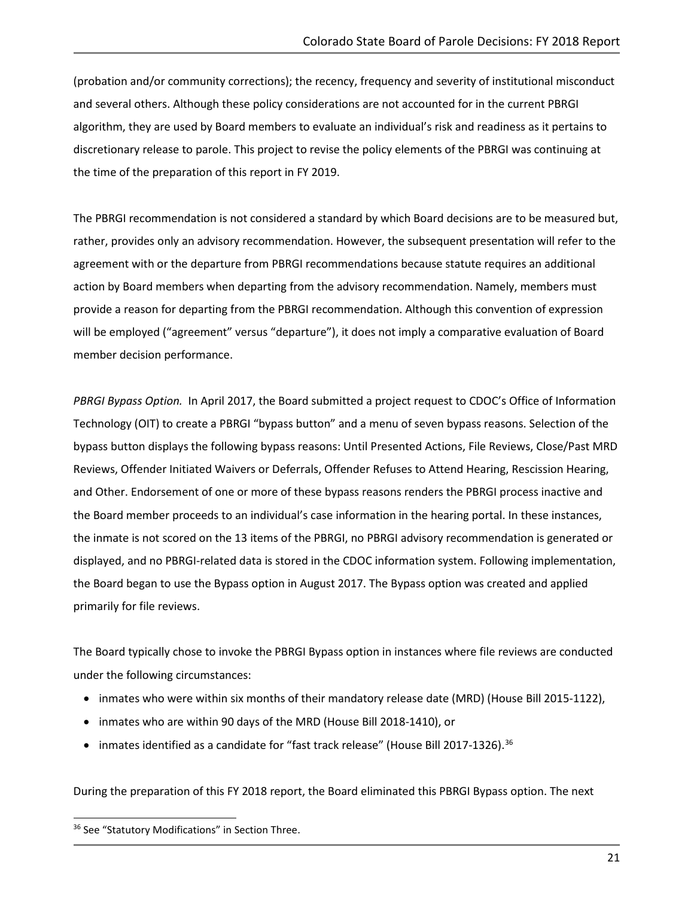(probation and/or community corrections); the recency, frequency and severity of institutional misconduct and several others. Although these policy considerations are not accounted for in the current PBRGI algorithm, they are used by Board members to evaluate an individual's risk and readiness as it pertains to discretionary release to parole. This project to revise the policy elements of the PBRGI was continuing at the time of the preparation of this report in FY 2019.

The PBRGI recommendation is not considered a standard by which Board decisions are to be measured but, rather, provides only an advisory recommendation. However, the subsequent presentation will refer to the agreement with or the departure from PBRGI recommendations because statute requires an additional action by Board members when departing from the advisory recommendation. Namely, members must provide a reason for departing from the PBRGI recommendation. Although this convention of expression will be employed ("agreement" versus "departure"), it does not imply a comparative evaluation of Board member decision performance.

*PBRGI Bypass Option.* In April 2017, the Board submitted a project request to CDOC's Office of Information Technology (OIT) to create a PBRGI "bypass button" and a menu of seven bypass reasons. Selection of the bypass button displays the following bypass reasons: Until Presented Actions, File Reviews, Close/Past MRD Reviews, Offender Initiated Waivers or Deferrals, Offender Refuses to Attend Hearing, Rescission Hearing, and Other. Endorsement of one or more of these bypass reasons renders the PBRGI process inactive and the Board member proceeds to an individual's case information in the hearing portal. In these instances, the inmate is not scored on the 13 items of the PBRGI, no PBRGI advisory recommendation is generated or displayed, and no PBRGI-related data is stored in the CDOC information system. Following implementation, the Board began to use the Bypass option in August 2017. The Bypass option was created and applied primarily for file reviews.

The Board typically chose to invoke the PBRGI Bypass option in instances where file reviews are conducted under the following circumstances:

- inmates who were within six months of their mandatory release date (MRD) (House Bill 2015-1122),
- inmates who are within 90 days of the MRD (House Bill 2018-1410), or
- inmates identified as a candidate for "fast track release" (House Bill 2017-1326).<sup>[36](#page-26-0)</sup>

During the preparation of this FY 2018 report, the Board eliminated this PBRGI Bypass option. The next

<span id="page-26-0"></span><sup>&</sup>lt;sup>36</sup> See "Statutory Modifications" in Section Three.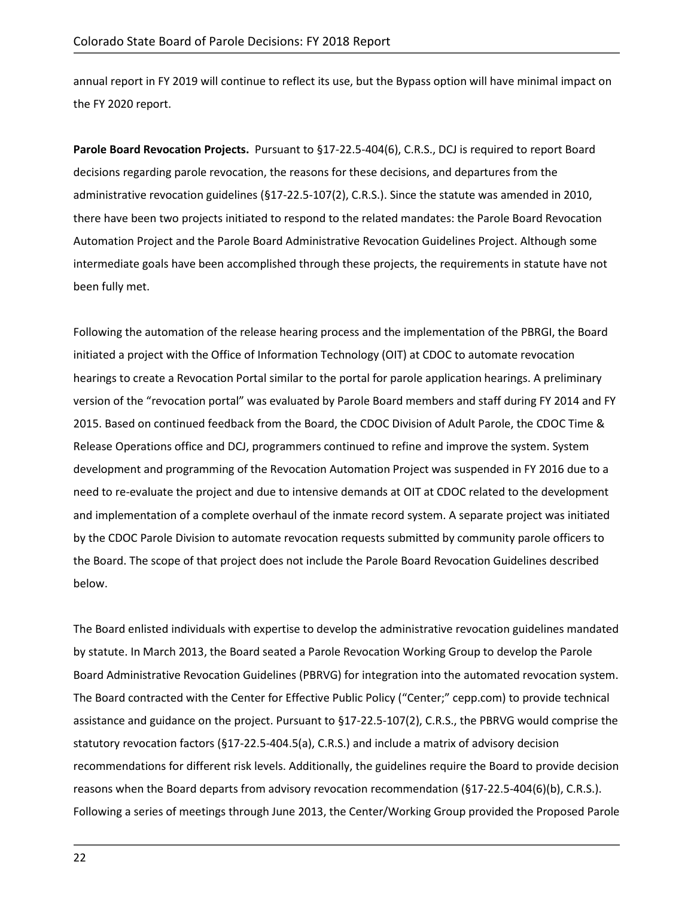annual report in FY 2019 will continue to reflect its use, but the Bypass option will have minimal impact on the FY 2020 report.

**Parole Board Revocation Projects.** Pursuant to §17-22.5-404(6), C.R.S., DCJ is required to report Board decisions regarding parole revocation, the reasons for these decisions, and departures from the administrative revocation guidelines (§17-22.5-107(2), C.R.S.). Since the statute was amended in 2010, there have been two projects initiated to respond to the related mandates: the Parole Board Revocation Automation Project and the Parole Board Administrative Revocation Guidelines Project. Although some intermediate goals have been accomplished through these projects, the requirements in statute have not been fully met.

Following the automation of the release hearing process and the implementation of the PBRGI, the Board initiated a project with the Office of Information Technology (OIT) at CDOC to automate revocation hearings to create a Revocation Portal similar to the portal for parole application hearings. A preliminary version of the "revocation portal" was evaluated by Parole Board members and staff during FY 2014 and FY 2015. Based on continued feedback from the Board, the CDOC Division of Adult Parole, the CDOC Time & Release Operations office and DCJ, programmers continued to refine and improve the system. System development and programming of the Revocation Automation Project was suspended in FY 2016 due to a need to re-evaluate the project and due to intensive demands at OIT at CDOC related to the development and implementation of a complete overhaul of the inmate record system. A separate project was initiated by the CDOC Parole Division to automate revocation requests submitted by community parole officers to the Board. The scope of that project does not include the Parole Board Revocation Guidelines described below.

The Board enlisted individuals with expertise to develop the administrative revocation guidelines mandated by statute. In March 2013, the Board seated a Parole Revocation Working Group to develop the Parole Board Administrative Revocation Guidelines (PBRVG) for integration into the automated revocation system. The Board contracted with the Center for Effective Public Policy ("Center;" cepp.com) to provide technical assistance and guidance on the project. Pursuant to §17-22.5-107(2), C.R.S., the PBRVG would comprise the statutory revocation factors (§17-22.5-404.5(a), C.R.S.) and include a matrix of advisory decision recommendations for different risk levels. Additionally, the guidelines require the Board to provide decision reasons when the Board departs from advisory revocation recommendation (§17-22.5-404(6)(b), C.R.S.). Following a series of meetings through June 2013, the Center/Working Group provided the Proposed Parole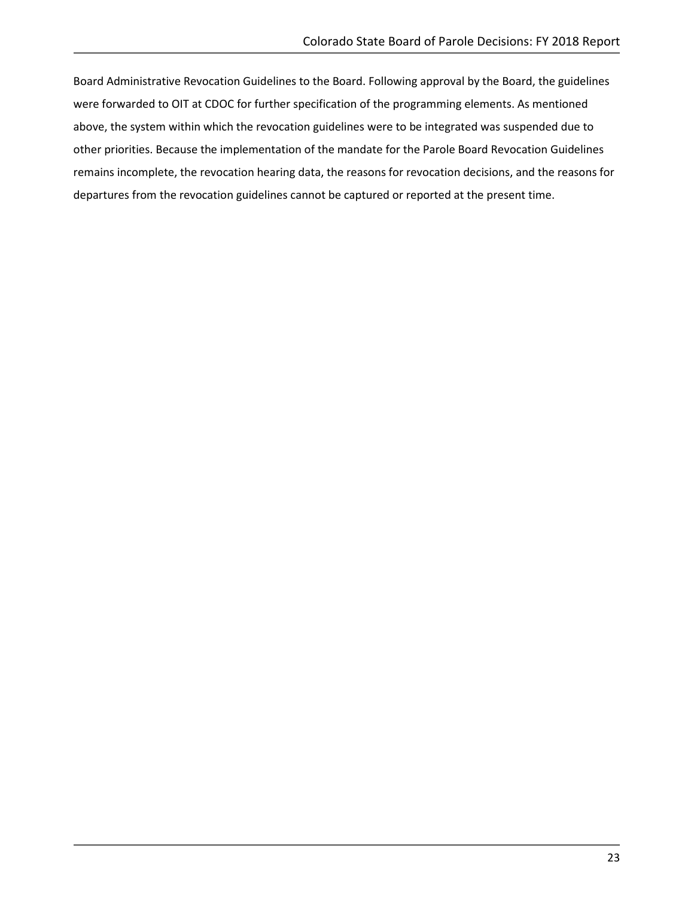Board Administrative Revocation Guidelines to the Board. Following approval by the Board, the guidelines were forwarded to OIT at CDOC for further specification of the programming elements. As mentioned above, the system within which the revocation guidelines were to be integrated was suspended due to other priorities. Because the implementation of the mandate for the Parole Board Revocation Guidelines remains incomplete, the revocation hearing data, the reasons for revocation decisions, and the reasons for departures from the revocation guidelines cannot be captured or reported at the present time.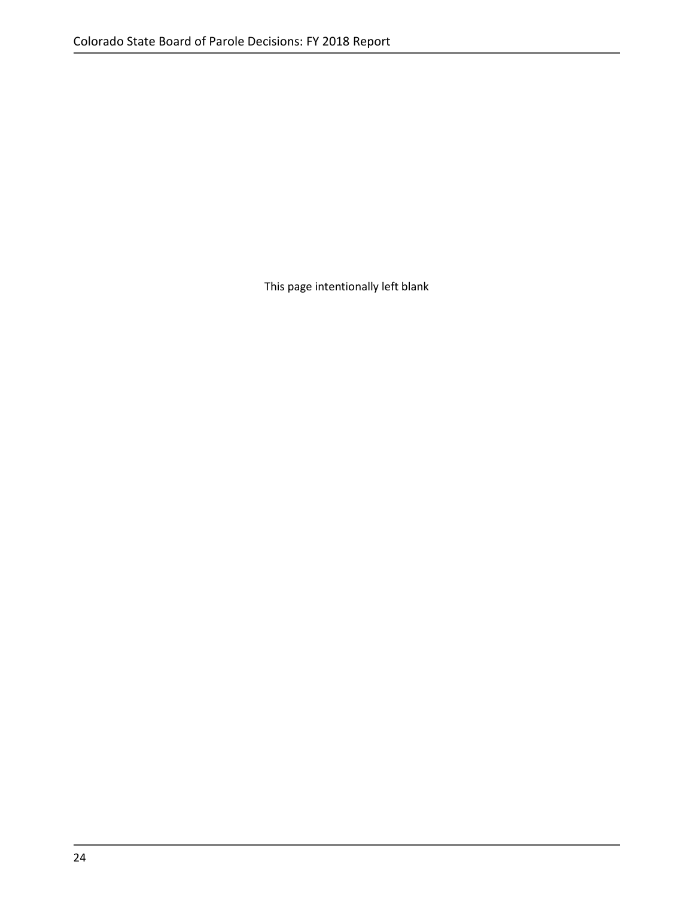This page intentionally left blank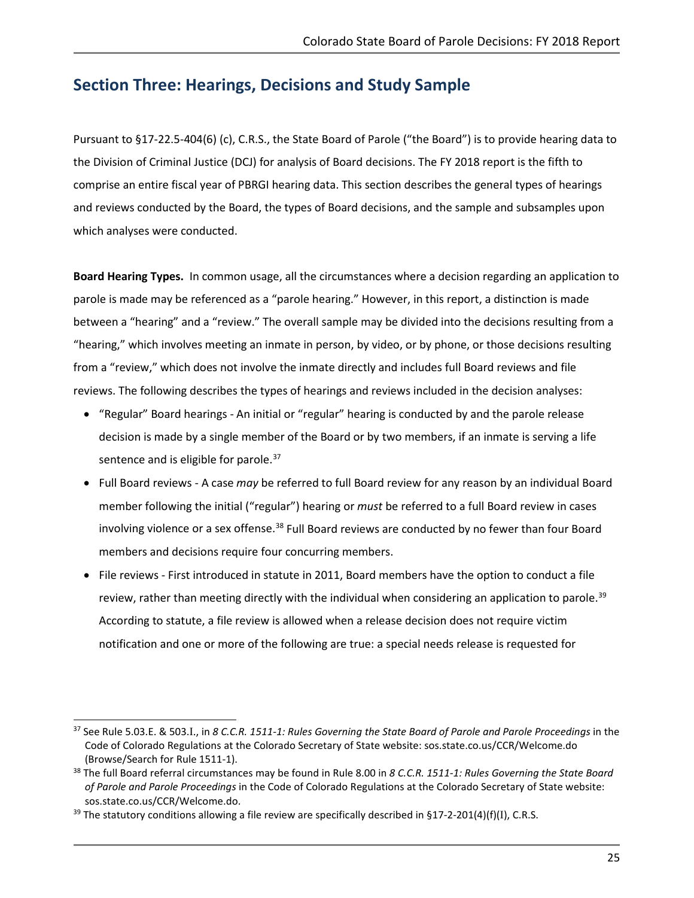## **Section Three: Hearings, Decisions and Study Sample**

Pursuant to §17-22.5-404(6) (c), C.R.S., the State Board of Parole ("the Board") is to provide hearing data to the Division of Criminal Justice (DCJ) for analysis of Board decisions. The FY 2018 report is the fifth to comprise an entire fiscal year of PBRGI hearing data. This section describes the general types of hearings and reviews conducted by the Board, the types of Board decisions, and the sample and subsamples upon which analyses were conducted.

**Board Hearing Types.** In common usage, all the circumstances where a decision regarding an application to parole is made may be referenced as a "parole hearing." However, in this report, a distinction is made between a "hearing" and a "review." The overall sample may be divided into the decisions resulting from a "hearing," which involves meeting an inmate in person, by video, or by phone, or those decisions resulting from a "review," which does not involve the inmate directly and includes full Board reviews and file reviews. The following describes the types of hearings and reviews included in the decision analyses:

- "Regular" Board hearings An initial or "regular" hearing is conducted by and the parole release decision is made by a single member of the Board or by two members, if an inmate is serving a life sentence and is eligible for parole.<sup>[37](#page-30-0)</sup>
- Full Board reviews A case *may* be referred to full Board review for any reason by an individual Board member following the initial ("regular") hearing or *must* be referred to a full Board review in cases involving violence or a sex offense.<sup>[38](#page-30-1)</sup> Full Board reviews are conducted by no fewer than four Board members and decisions require four concurring members.
- File reviews First introduced in statute in 2011, Board members have the option to conduct a file review, rather than meeting directly with the individual when considering an application to parole.<sup>[39](#page-30-2)</sup> According to statute, a file review is allowed when a release decision does not require victim notification and one or more of the following are true: a special needs release is requested for

<span id="page-30-0"></span> <sup>37</sup> See Rule 5.03.E. & 503.I., in *8 C.C.R. 1511-1: Rules Governing the State Board of Parole and Parole Proceedings* in the Code of Colorado Regulations at the Colorado Secretary of State website: sos.state.co.us/CCR/Welcome.do (Browse/Search for Rule 1511-1).

<span id="page-30-1"></span><sup>38</sup> The full Board referral circumstances may be found in Rule 8.00 in *8 C.C.R. 1511-1: Rules Governing the State Board of Parole and Parole Proceedings* in the Code of Colorado Regulations at the Colorado Secretary of State website: sos.state.co.us/CCR/Welcome.do.<br><sup>39</sup> The statutory conditions allowing a file review are specifically described in §17-2-201(4)(f)(I), C.R.S.

<span id="page-30-2"></span>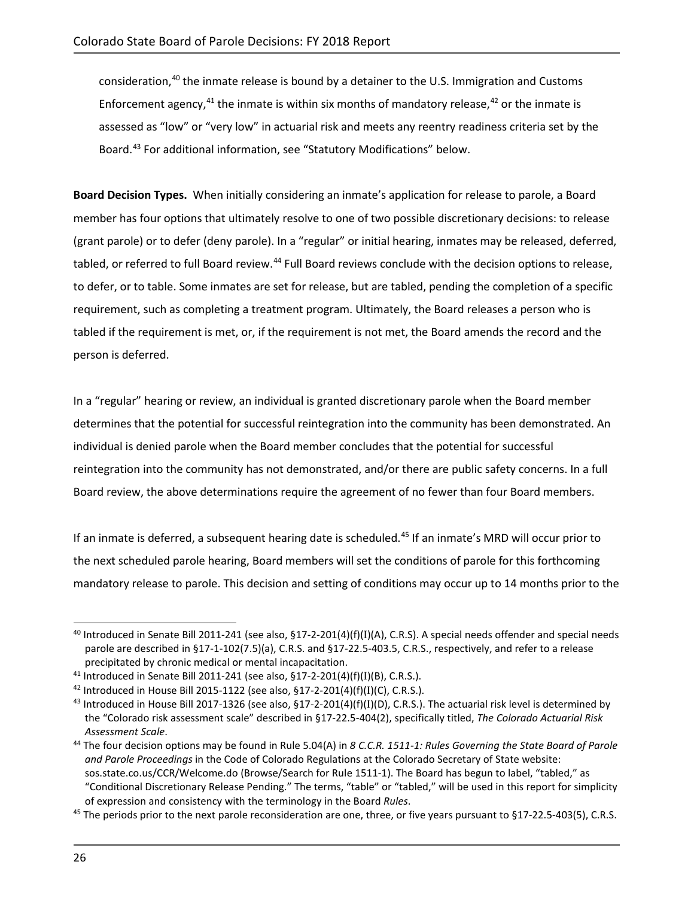consideration,<sup>[40](#page-31-0)</sup> the inmate release is bound by a detainer to the U.S. Immigration and Customs Enforcement agency,<sup>41</sup> the inmate is within six months of mandatory release,<sup>[42](#page-31-2)</sup> or the inmate is assessed as "low" or "very low" in actuarial risk and meets any reentry readiness criteria set by the Board.<sup>[43](#page-31-3)</sup> For additional information, see "Statutory Modifications" below.

**Board Decision Types.** When initially considering an inmate's application for release to parole, a Board member has four options that ultimately resolve to one of two possible discretionary decisions: to release (grant parole) or to defer (deny parole). In a "regular" or initial hearing, inmates may be released, deferred, tabled, or referred to full Board review.<sup>[44](#page-31-4)</sup> Full Board reviews conclude with the decision options to release, to defer, or to table. Some inmates are set for release, but are tabled, pending the completion of a specific requirement, such as completing a treatment program. Ultimately, the Board releases a person who is tabled if the requirement is met, or, if the requirement is not met, the Board amends the record and the person is deferred.

In a "regular" hearing or review, an individual is granted discretionary parole when the Board member determines that the potential for successful reintegration into the community has been demonstrated. An individual is denied parole when the Board member concludes that the potential for successful reintegration into the community has not demonstrated, and/or there are public safety concerns. In a full Board review, the above determinations require the agreement of no fewer than four Board members.

If an inmate is deferred, a subsequent hearing date is scheduled.<sup>[45](#page-31-5)</sup> If an inmate's MRD will occur prior to the next scheduled parole hearing, Board members will set the conditions of parole for this forthcoming mandatory release to parole. This decision and setting of conditions may occur up to 14 months prior to the

<span id="page-31-0"></span><sup>&</sup>lt;sup>40</sup> Introduced in Senate Bill 2011-241 (see also, §17-2-201(4)(f)(I)(A), C.R.S). A special needs offender and special needs parole are described in §17-1-102(7.5)(a), C.R.S. and §17-22.5-403.5, C.R.S., respectively, and refer to a release precipitated by chronic medical or mental incapacitation.

<span id="page-31-1"></span><sup>&</sup>lt;sup>41</sup> Introduced in Senate Bill 2011-241 (see also, §17-2-201(4)(f)(I)(B), C.R.S.).

<span id="page-31-2"></span><sup>&</sup>lt;sup>42</sup> Introduced in House Bill 2015-1122 (see also, §17-2-201(4)(f)(I)(C), C.R.S.).

<span id="page-31-3"></span><sup>&</sup>lt;sup>43</sup> Introduced in House Bill 2017-1326 (see also, §17-2-201(4)(f)(I)(D), C.R.S.). The actuarial risk level is determined by the "Colorado risk assessment scale" described in §17-22.5-404(2), specifically titled, *The Colorado Actuarial Risk Assessment Scale*.

<span id="page-31-4"></span><sup>44</sup> The four decision options may be found in Rule 5.04(A) in *8 C.C.R. 1511-1: Rules Governing the State Board of Parole and Parole Proceedings* in the Code of Colorado Regulations at the Colorado Secretary of State website: sos.state.co.us/CCR/Welcome.do (Browse/Search for Rule 1511-1). The Board has begun to label, "tabled," as "Conditional Discretionary Release Pending." The terms, "table" or "tabled," will be used in this report for simplicity of expression and consistency with the terminology in the Board *Rules*.

<span id="page-31-5"></span> $45$  The periods prior to the next parole reconsideration are one, three, or five years pursuant to  $\S17$ -22.5-403(5), C.R.S.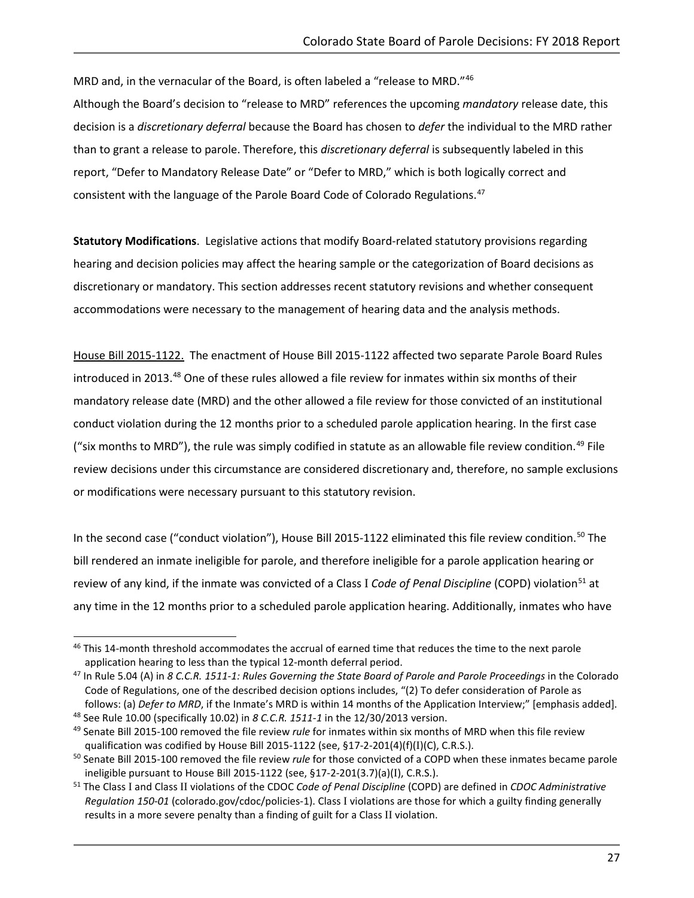MRD and, in the vernacular of the Board, is often labeled a "release to MRD."[46](#page-32-0) Although the Board's decision to "release to MRD" references the upcoming *mandatory* release date, this decision is a *discretionary deferral* because the Board has chosen to *defer* the individual to the MRD rather than to grant a release to parole. Therefore, this *discretionary deferral* is subsequently labeled in this report, "Defer to Mandatory Release Date" or "Defer to MRD," which is both logically correct and consistent with the language of the Parole Board Code of Colorado Regulations.<sup>[47](#page-32-1)</sup>

**Statutory Modifications**. Legislative actions that modify Board-related statutory provisions regarding hearing and decision policies may affect the hearing sample or the categorization of Board decisions as discretionary or mandatory. This section addresses recent statutory revisions and whether consequent accommodations were necessary to the management of hearing data and the analysis methods.

House Bill 2015-1122. The enactment of House Bill 2015-1122 affected two separate Parole Board Rules introduced in 2013.<sup>[48](#page-32-2)</sup> One of these rules allowed a file review for inmates within six months of their mandatory release date (MRD) and the other allowed a file review for those convicted of an institutional conduct violation during the 12 months prior to a scheduled parole application hearing. In the first case ("six months to MRD"), the rule was simply codified in statute as an allowable file review condition.<sup>[49](#page-32-3)</sup> File review decisions under this circumstance are considered discretionary and, therefore, no sample exclusions or modifications were necessary pursuant to this statutory revision.

In the second case ("conduct violation"), House Bill 2015-1122 eliminated this file review condition.<sup>[50](#page-32-4)</sup> The bill rendered an inmate ineligible for parole, and therefore ineligible for a parole application hearing or review of any kind, if the inmate was convicted of a Class I *Code of Penal Discipline* (COPD) violation[51](#page-32-5) at any time in the 12 months prior to a scheduled parole application hearing. Additionally, inmates who have

qualification was codified by House Bill 2015-1122 (see,  $$17$ -2-201(4)(f)(I)(C), C.R.S.).

<span id="page-32-0"></span><sup>&</sup>lt;sup>46</sup> This 14-month threshold accommodates the accrual of earned time that reduces the time to the next parole application hearing to less than the typical 12-month deferral period.

<span id="page-32-1"></span><sup>&</sup>lt;sup>47</sup> In Rule 5.04 (A) in *8 C.C.R. 1511-1: Rules Governing the State Board of Parole and Parole Proceedings in the Colorado* Code of Regulations, one of the described decision options includes, "(2) To defer consideration of Parole as follows: (a) *Defer to MRD*, if the Inmate's MRD is within 14 months of the Application Interview;" [emphasis added]. <sup>48</sup> See Rule 10.00 (specifically 10.02) in *8 C.C.R. 1511-1* in the 12/30/2013 version.

<span id="page-32-3"></span><span id="page-32-2"></span><sup>49</sup> Senate Bill 2015-100 removed the file review *rule* for inmates within six months of MRD when this file review

<span id="page-32-4"></span><sup>50</sup> Senate Bill 2015-100 removed the file review *rule* for those convicted of a COPD when these inmates became parole ineligible pursuant to House Bill 2015-1122 (see, §17-2-201(3.7)(a)(I), C.R.S.).

<span id="page-32-5"></span><sup>51</sup> The Class I and Class II violations of the CDOC *Code of Penal Discipline* (COPD) are defined in *CDOC Administrative Regulation 150-01* (colorado.gov/cdoc/policies-1). Class I violations are those for which a guilty finding generally results in a more severe penalty than a finding of guilt for a Class II violation.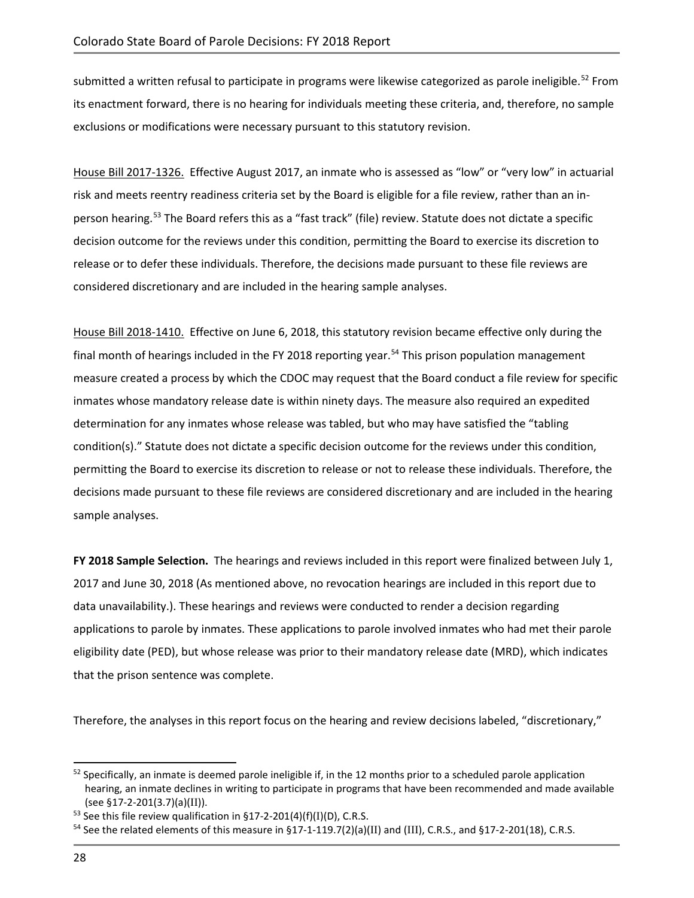submitted a written refusal to participate in programs were likewise categorized as parole ineligible. [52](#page-33-0) From its enactment forward, there is no hearing for individuals meeting these criteria, and, therefore, no sample exclusions or modifications were necessary pursuant to this statutory revision.

House Bill 2017-1326. Effective August 2017, an inmate who is assessed as "low" or "very low" in actuarial risk and meets reentry readiness criteria set by the Board is eligible for a file review, rather than an in-person hearing.<sup>[53](#page-33-1)</sup> The Board refers this as a "fast track" (file) review. Statute does not dictate a specific decision outcome for the reviews under this condition, permitting the Board to exercise its discretion to release or to defer these individuals. Therefore, the decisions made pursuant to these file reviews are considered discretionary and are included in the hearing sample analyses.

House Bill 2018-1410. Effective on June 6, 2018, this statutory revision became effective only during the final month of hearings included in the FY 2018 reporting year.<sup>[54](#page-33-2)</sup> This prison population management measure created a process by which the CDOC may request that the Board conduct a file review for specific inmates whose mandatory release date is within ninety days. The measure also required an expedited determination for any inmates whose release was tabled, but who may have satisfied the "tabling condition(s)." Statute does not dictate a specific decision outcome for the reviews under this condition, permitting the Board to exercise its discretion to release or not to release these individuals. Therefore, the decisions made pursuant to these file reviews are considered discretionary and are included in the hearing sample analyses.

**FY 2018 Sample Selection.** The hearings and reviews included in this report were finalized between July 1, 2017 and June 30, 2018 (As mentioned above, no revocation hearings are included in this report due to data unavailability.). These hearings and reviews were conducted to render a decision regarding applications to parole by inmates. These applications to parole involved inmates who had met their parole eligibility date (PED), but whose release was prior to their mandatory release date (MRD), which indicates that the prison sentence was complete.

Therefore, the analyses in this report focus on the hearing and review decisions labeled, "discretionary,"

<span id="page-33-0"></span> $52$  Specifically, an inmate is deemed parole ineligible if, in the 12 months prior to a scheduled parole application hearing, an inmate declines in writing to participate in programs that have been recommended and made available (see §17-2-201(3.7)(a)(II)).<br><sup>53</sup> See this file review qualification in §17-2-201(4)(f)(I)(D), C.R.S.

<span id="page-33-1"></span>

<span id="page-33-2"></span><sup>&</sup>lt;sup>54</sup> See the related elements of this measure in §17-1-119.7(2)(a)(II) and (III), C.R.S., and §17-2-201(18), C.R.S.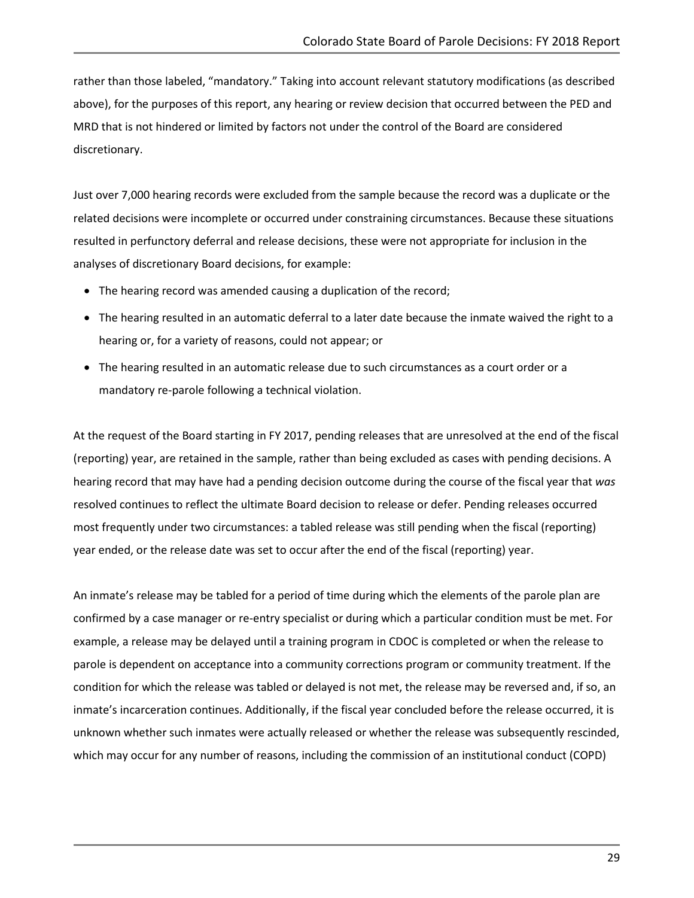rather than those labeled, "mandatory." Taking into account relevant statutory modifications (as described above), for the purposes of this report, any hearing or review decision that occurred between the PED and MRD that is not hindered or limited by factors not under the control of the Board are considered discretionary.

Just over 7,000 hearing records were excluded from the sample because the record was a duplicate or the related decisions were incomplete or occurred under constraining circumstances. Because these situations resulted in perfunctory deferral and release decisions, these were not appropriate for inclusion in the analyses of discretionary Board decisions, for example:

- The hearing record was amended causing a duplication of the record;
- The hearing resulted in an automatic deferral to a later date because the inmate waived the right to a hearing or, for a variety of reasons, could not appear; or
- The hearing resulted in an automatic release due to such circumstances as a court order or a mandatory re-parole following a technical violation.

At the request of the Board starting in FY 2017, pending releases that are unresolved at the end of the fiscal (reporting) year, are retained in the sample, rather than being excluded as cases with pending decisions. A hearing record that may have had a pending decision outcome during the course of the fiscal year that *was* resolved continues to reflect the ultimate Board decision to release or defer. Pending releases occurred most frequently under two circumstances: a tabled release was still pending when the fiscal (reporting) year ended, or the release date was set to occur after the end of the fiscal (reporting) year.

An inmate's release may be tabled for a period of time during which the elements of the parole plan are confirmed by a case manager or re-entry specialist or during which a particular condition must be met. For example, a release may be delayed until a training program in CDOC is completed or when the release to parole is dependent on acceptance into a community corrections program or community treatment. If the condition for which the release was tabled or delayed is not met, the release may be reversed and, if so, an inmate's incarceration continues. Additionally, if the fiscal year concluded before the release occurred, it is unknown whether such inmates were actually released or whether the release was subsequently rescinded, which may occur for any number of reasons, including the commission of an institutional conduct (COPD)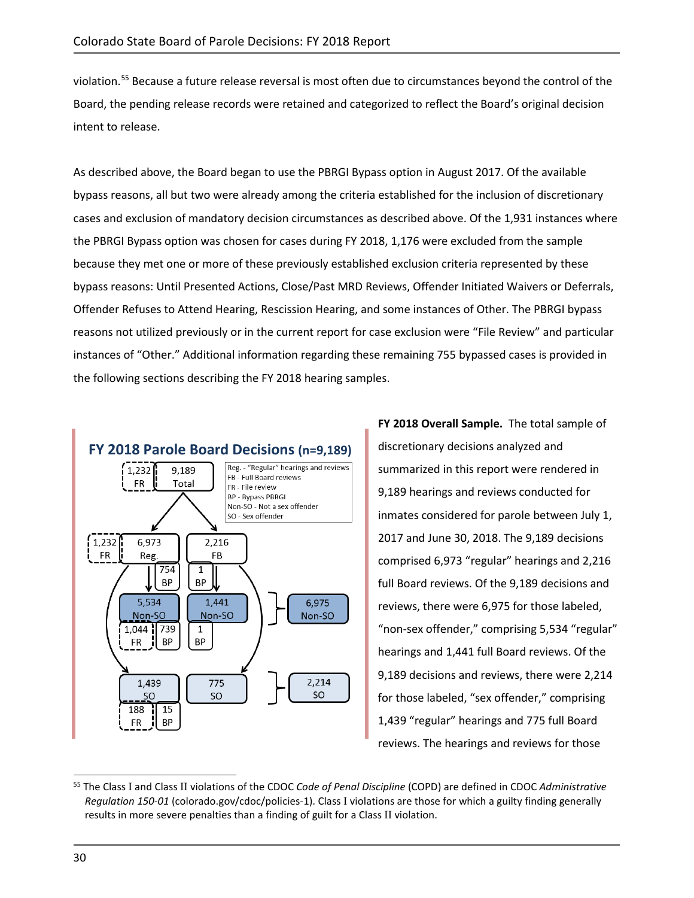violation. [55](#page-35-0) Because a future release reversal is most often due to circumstances beyond the control of the Board, the pending release records were retained and categorized to reflect the Board's original decision intent to release.

As described above, the Board began to use the PBRGI Bypass option in August 2017. Of the available bypass reasons, all but two were already among the criteria established for the inclusion of discretionary cases and exclusion of mandatory decision circumstances as described above. Of the 1,931 instances where the PBRGI Bypass option was chosen for cases during FY 2018, 1,176 were excluded from the sample because they met one or more of these previously established exclusion criteria represented by these bypass reasons: Until Presented Actions, Close/Past MRD Reviews, Offender Initiated Waivers or Deferrals, Offender Refuses to Attend Hearing, Rescission Hearing, and some instances of Other. The PBRGI bypass reasons not utilized previously or in the current report for case exclusion were "File Review" and particular instances of "Other." Additional information regarding these remaining 755 bypassed cases is provided in the following sections describing the FY 2018 hearing samples.



**FY 2018 Overall Sample.** The total sample of discretionary decisions analyzed and summarized in this report were rendered in 9,189 hearings and reviews conducted for inmates considered for parole between July 1, 2017 and June 30, 2018. The 9,189 decisions comprised 6,973 "regular" hearings and 2,216 full Board reviews. Of the 9,189 decisions and reviews, there were 6,975 for those labeled, "non-sex offender," comprising 5,534 "regular" hearings and 1,441 full Board reviews. Of the 9,189 decisions and reviews, there were 2,214 for those labeled, "sex offender," comprising 1,439 "regular" hearings and 775 full Board reviews. The hearings and reviews for those

<span id="page-35-0"></span> <sup>55</sup> The Class <sup>I</sup> and Class II violations of the CDOC *Code of Penal Discipline* (COPD) are defined in CDOC *Administrative Regulation 150-01* (colorado.gov/cdoc/policies-1). Class I violations are those for which a guilty finding generally results in more severe penalties than a finding of guilt for a Class II violation.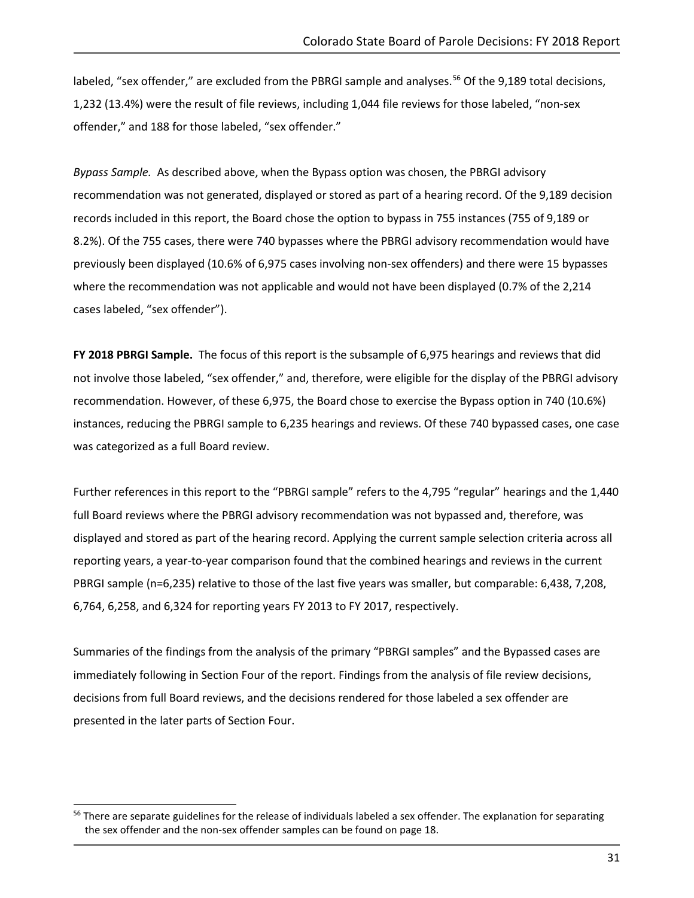labeled, "sex offender," are excluded from the PBRGI sample and analyses.<sup>[56](#page-36-0)</sup> Of the 9,189 total decisions, 1,232 (13.4%) were the result of file reviews, including 1,044 file reviews for those labeled, "non-sex offender," and 188 for those labeled, "sex offender."

*Bypass Sample.* As described above, when the Bypass option was chosen, the PBRGI advisory recommendation was not generated, displayed or stored as part of a hearing record. Of the 9,189 decision records included in this report, the Board chose the option to bypass in 755 instances (755 of 9,189 or 8.2%). Of the 755 cases, there were 740 bypasses where the PBRGI advisory recommendation would have previously been displayed (10.6% of 6,975 cases involving non-sex offenders) and there were 15 bypasses where the recommendation was not applicable and would not have been displayed (0.7% of the 2,214 cases labeled, "sex offender").

**FY 2018 PBRGI Sample.** The focus of this report is the subsample of 6,975 hearings and reviews that did not involve those labeled, "sex offender," and, therefore, were eligible for the display of the PBRGI advisory recommendation. However, of these 6,975, the Board chose to exercise the Bypass option in 740 (10.6%) instances, reducing the PBRGI sample to 6,235 hearings and reviews. Of these 740 bypassed cases, one case was categorized as a full Board review.

Further references in this report to the "PBRGI sample" refers to the 4,795 "regular" hearings and the 1,440 full Board reviews where the PBRGI advisory recommendation was not bypassed and, therefore, was displayed and stored as part of the hearing record. Applying the current sample selection criteria across all reporting years, a year-to-year comparison found that the combined hearings and reviews in the current PBRGI sample (n=6,235) relative to those of the last five years was smaller, but comparable: 6,438, 7,208, 6,764, 6,258, and 6,324 for reporting years FY 2013 to FY 2017, respectively.

Summaries of the findings from the analysis of the primary "PBRGI samples" and the Bypassed cases are immediately following in Section Four of the report. Findings from the analysis of file review decisions, decisions from full Board reviews, and the decisions rendered for those labeled a sex offender are presented in the later parts of Section Four.

<span id="page-36-0"></span><sup>&</sup>lt;sup>56</sup> There are separate guidelines for the release of individuals labeled a sex offender. The explanation for separating the sex offender and the non-sex offender samples can be found on page 18.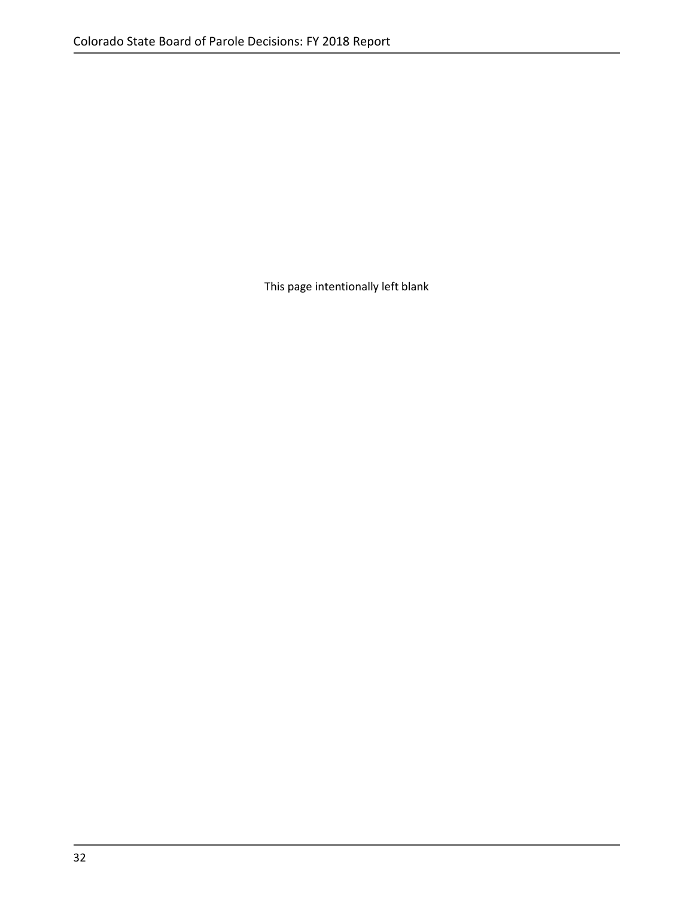This page intentionally left blank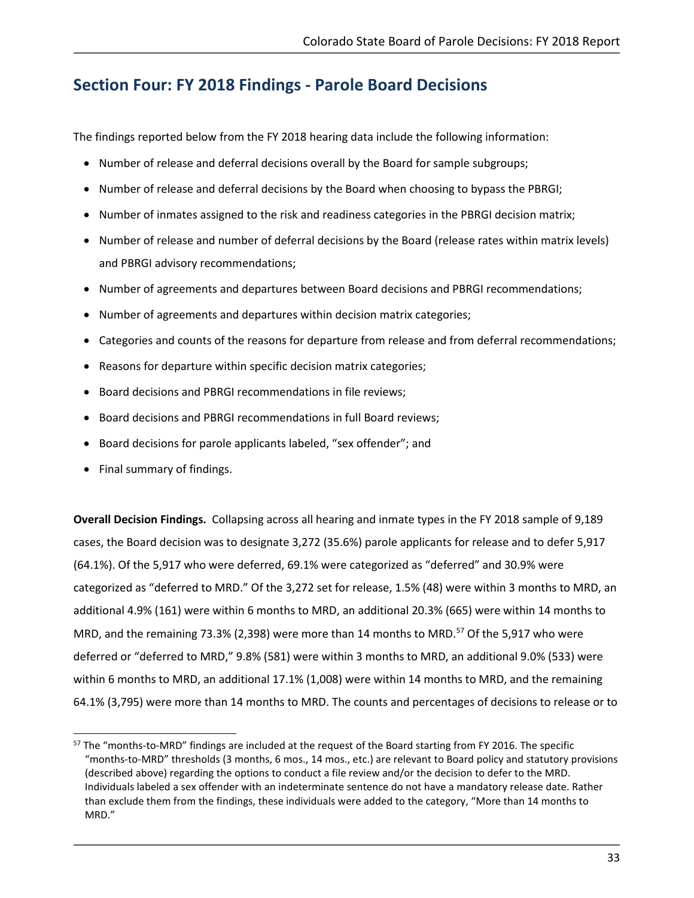## **Section Four: FY 2018 Findings - Parole Board Decisions**

The findings reported below from the FY 2018 hearing data include the following information:

- Number of release and deferral decisions overall by the Board for sample subgroups;
- Number of release and deferral decisions by the Board when choosing to bypass the PBRGI;
- Number of inmates assigned to the risk and readiness categories in the PBRGI decision matrix;
- Number of release and number of deferral decisions by the Board (release rates within matrix levels) and PBRGI advisory recommendations;
- Number of agreements and departures between Board decisions and PBRGI recommendations;
- Number of agreements and departures within decision matrix categories;
- Categories and counts of the reasons for departure from release and from deferral recommendations;
- Reasons for departure within specific decision matrix categories;
- Board decisions and PBRGI recommendations in file reviews;
- Board decisions and PBRGI recommendations in full Board reviews;
- Board decisions for parole applicants labeled, "sex offender"; and
- Final summary of findings.

**Overall Decision Findings.** Collapsing across all hearing and inmate types in the FY 2018 sample of 9,189 cases, the Board decision was to designate 3,272 (35.6%) parole applicants for release and to defer 5,917 (64.1%). Of the 5,917 who were deferred, 69.1% were categorized as "deferred" and 30.9% were categorized as "deferred to MRD." Of the 3,272 set for release, 1.5% (48) were within 3 months to MRD, an additional 4.9% (161) were within 6 months to MRD, an additional 20.3% (665) were within 14 months to MRD, and the remaining 73.3% (2,398) were more than 14 months to MRD.<sup>[57](#page-38-0)</sup> Of the 5,917 who were deferred or "deferred to MRD," 9.8% (581) were within 3 months to MRD, an additional 9.0% (533) were within 6 months to MRD, an additional 17.1% (1,008) were within 14 months to MRD, and the remaining 64.1% (3,795) were more than 14 months to MRD. The counts and percentages of decisions to release or to

<span id="page-38-0"></span><sup>&</sup>lt;sup>57</sup> The "months-to-MRD" findings are included at the request of the Board starting from FY 2016. The specific "months-to-MRD" thresholds (3 months, 6 mos., 14 mos., etc.) are relevant to Board policy and statutory provisions (described above) regarding the options to conduct a file review and/or the decision to defer to the MRD. Individuals labeled a sex offender with an indeterminate sentence do not have a mandatory release date. Rather than exclude them from the findings, these individuals were added to the category, "More than 14 months to MRD."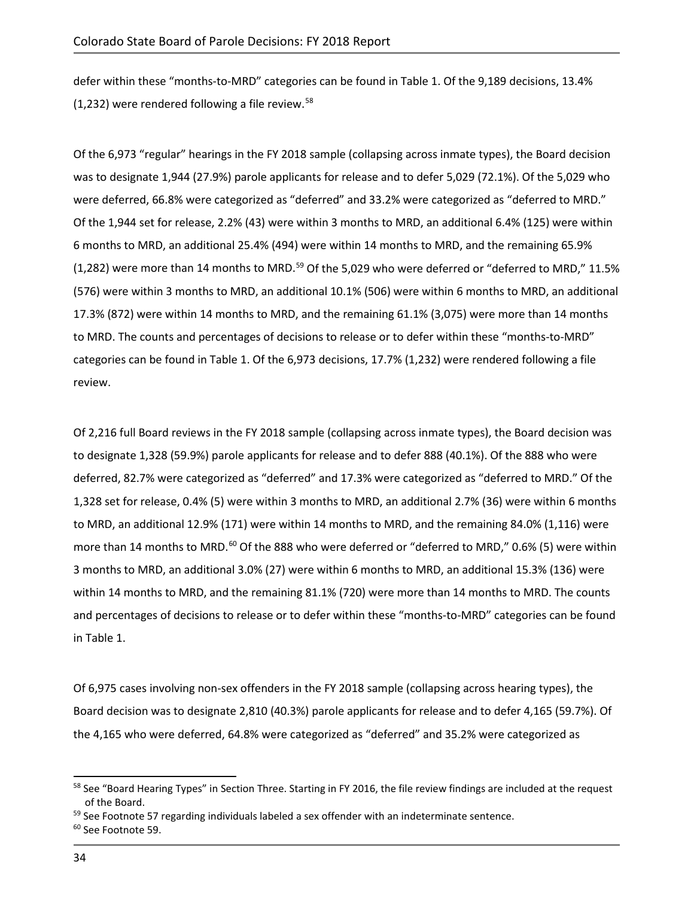defer within these "months-to-MRD" categories can be found in Table 1. Of the 9,189 decisions, 13.4%  $(1,232)$  were rendered following a file review.<sup>[58](#page-39-0)</sup>

Of the 6,973 "regular" hearings in the FY 2018 sample (collapsing across inmate types), the Board decision was to designate 1,944 (27.9%) parole applicants for release and to defer 5,029 (72.1%). Of the 5,029 who were deferred, 66.8% were categorized as "deferred" and 33.2% were categorized as "deferred to MRD." Of the 1,944 set for release, 2.2% (43) were within 3 months to MRD, an additional 6.4% (125) were within 6 months to MRD, an additional 25.4% (494) were within 14 months to MRD, and the remaining 65.9% (1,282) were more than 14 months to MRD.<sup>[59](#page-39-1)</sup> Of the 5,029 who were deferred or "deferred to MRD," 11.5% (576) were within 3 months to MRD, an additional 10.1% (506) were within 6 months to MRD, an additional 17.3% (872) were within 14 months to MRD, and the remaining 61.1% (3,075) were more than 14 months to MRD. The counts and percentages of decisions to release or to defer within these "months-to-MRD" categories can be found in Table 1. Of the 6,973 decisions, 17.7% (1,232) were rendered following a file review.

Of 2,216 full Board reviews in the FY 2018 sample (collapsing across inmate types), the Board decision was to designate 1,328 (59.9%) parole applicants for release and to defer 888 (40.1%). Of the 888 who were deferred, 82.7% were categorized as "deferred" and 17.3% were categorized as "deferred to MRD." Of the 1,328 set for release, 0.4% (5) were within 3 months to MRD, an additional 2.7% (36) were within 6 months to MRD, an additional 12.9% (171) were within 14 months to MRD, and the remaining 84.0% (1,116) were more than 14 months to MRD.<sup>[60](#page-39-2)</sup> Of the 888 who were deferred or "deferred to MRD," 0.6% (5) were within 3 months to MRD, an additional 3.0% (27) were within 6 months to MRD, an additional 15.3% (136) were within 14 months to MRD, and the remaining 81.1% (720) were more than 14 months to MRD. The counts and percentages of decisions to release or to defer within these "months-to-MRD" categories can be found in Table 1.

Of 6,975 cases involving non-sex offenders in the FY 2018 sample (collapsing across hearing types), the Board decision was to designate 2,810 (40.3%) parole applicants for release and to defer 4,165 (59.7%). Of the 4,165 who were deferred, 64.8% were categorized as "deferred" and 35.2% were categorized as

<span id="page-39-0"></span><sup>&</sup>lt;sup>58</sup> See "Board Hearing Types" in Section Three. Starting in FY 2016, the file review findings are included at the request of the Board.

<span id="page-39-1"></span><sup>59</sup> See Footnote 57 regarding individuals labeled a sex offender with an indeterminate sentence.

<span id="page-39-2"></span><sup>&</sup>lt;sup>60</sup> See Footnote 59.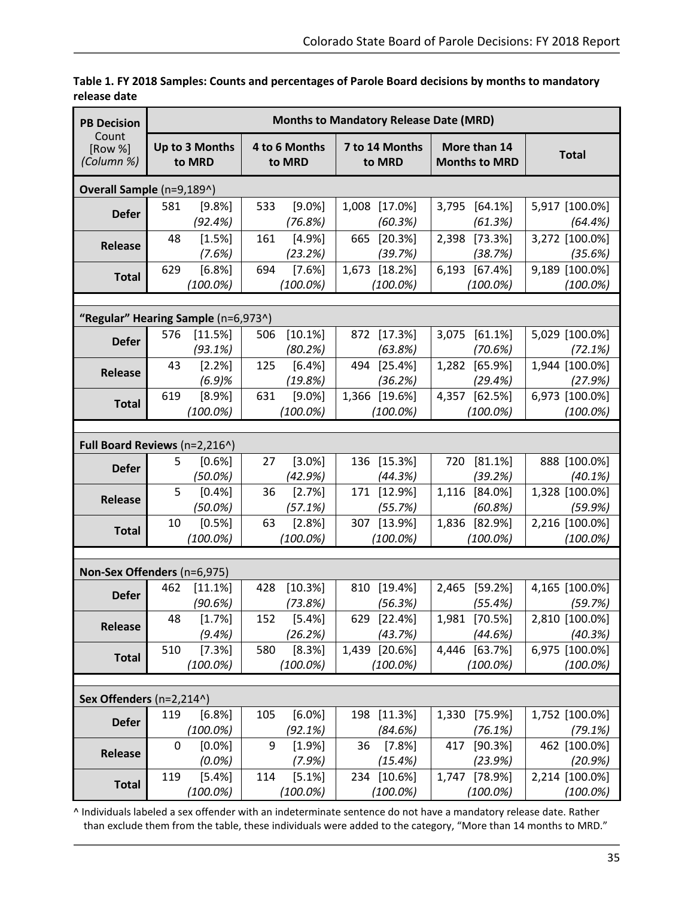| Table 1. FY 2018 Samples: Counts and percentages of Parole Board decisions by months to mandatory |  |
|---------------------------------------------------------------------------------------------------|--|
| release date                                                                                      |  |

| <b>PB Decision</b>             | <b>Months to Mandatory Release Date (MRD)</b> |                           |                             |                                      |                            |  |
|--------------------------------|-----------------------------------------------|---------------------------|-----------------------------|--------------------------------------|----------------------------|--|
| Count<br>[Row %]<br>(Column %) | Up to 3 Months<br>to MRD                      | 4 to 6 Months<br>to MRD   | 7 to 14 Months<br>to MRD    | More than 14<br><b>Months to MRD</b> | <b>Total</b>               |  |
|                                | Overall Sample (n=9,189^)                     |                           |                             |                                      |                            |  |
| <b>Defer</b>                   | 581<br>[9.8%]<br>(92.4%)                      | 533<br>[9.0%]<br>(76.8%)  | 1,008<br>[17.0%]<br>(60.3%) | 3,795<br>$[64.1\%]$<br>(61.3%)       | 5,917 [100.0%]<br>(64.4%)  |  |
| <b>Release</b>                 | [1.5%]<br>48<br>(7.6%)                        | [4.9%]<br>161<br>(23.2%)  | 665<br>[20.3%]<br>(39.7%)   | 2,398<br>[73.3%]<br>(38.7%)          | 3,272 [100.0%]<br>(35.6%)  |  |
| <b>Total</b>                   | 629<br>[6.8%]<br>$(100.0\%)$                  | 694<br>[7.6%]<br>(100.0%) | 1,673 [18.2%]<br>(100.0%)   | 6,193<br>[67.4%]<br>(100.0%)         | 9,189 [100.0%]<br>(100.0%) |  |
|                                |                                               |                           |                             |                                      |                            |  |
|                                | "Regular" Hearing Sample (n=6,973^)           |                           |                             |                                      |                            |  |
| <b>Defer</b>                   | [11.5%]<br>576                                | [10.1%]<br>506<br>(80.2%) | 872 [17.3%]<br>(63.8%)      | 3,075<br>[61.1%]<br>(70.6%)          | 5,029 [100.0%]<br>(72.1%)  |  |
|                                | (93.1%)<br>43<br>[2.2%]                       | 125<br>[6.4%]             | [25.4%]<br>494              | 1,282<br>[65.9%]                     | 1,944 [100.0%]             |  |
| <b>Release</b>                 | (6.9)%                                        | (19.8%)                   | (36.2%)                     | (29.4%)                              | (27.9%)                    |  |
|                                | 619<br>[8.9%]                                 | 631<br>[9.0%]             | 1,366 [19.6%]               | 4,357<br>[62.5%]                     | 6,973 [100.0%]             |  |
| <b>Total</b>                   | (100.0%)                                      | $(100.0\%)$               | $(100.0\%)$                 | $(100.0\%)$                          | $(100.0\%)$                |  |
|                                |                                               |                           |                             |                                      |                            |  |
|                                | Full Board Reviews (n=2,216^)                 |                           |                             |                                      |                            |  |
| <b>Defer</b>                   | 5<br>[0.6%]                                   | [3.0%]<br>27              | [15.3%]<br>136              | 720<br>[81.1%]                       | 888 [100.0%]               |  |
|                                | $(50.0\%)$                                    | (42.9%)                   | (44.3%)                     | (39.2%)                              | (40.1%)                    |  |
| <b>Release</b>                 | 5<br>[0.4%]                                   | 36<br>[2.7%]              | 171<br>[12.9%]              | 1,116<br>$[84.0\%]$                  | 1,328 [100.0%]             |  |
|                                | (50.0%)                                       | (57.1%)                   | (55.7%)                     | (60.8%)                              | (59.9%)                    |  |
| <b>Total</b>                   | [0.5%]<br>10                                  | 63<br>[2.8%]              | 307 [13.9%]                 | 1,836<br>[82.9%]                     | 2,216 [100.0%]             |  |
|                                | $(100.0\%)$                                   | (100.0%)                  | $(100.0\%)$                 | $(100.0\%)$                          | $(100.0\%)$                |  |
|                                |                                               |                           |                             |                                      |                            |  |
|                                | Non-Sex Offenders (n=6,975)                   |                           |                             |                                      |                            |  |
| <b>Defer</b>                   | 462<br>[11.1%]<br>(90.6%)                     | 428<br>[10.3%]<br>(73.8%) | 810 [19.4%]<br>(56.3%)      | 2,465<br>[59.2%]<br>(55.4%)          | 4,165 [100.0%]<br>(59.7%)  |  |
|                                | [1.7%]<br>48                                  | 152<br>[5.4%]             | 629 [22.4%]                 | 1,981 [70.5%]                        | 2,810 [100.0%]             |  |
| Release                        | (9.4%)                                        | (26.2%)                   | (43.7%)                     | (44.6%)                              | (40.3%)                    |  |
|                                | 510<br>[7.3%]                                 | 580<br>[8.3%]             | 1,439<br>[20.6%]            | 4,446 [63.7%]                        | 6,975 [100.0%]             |  |
| <b>Total</b>                   | $(100.0\%)$                                   | (100.0%)                  | $(100.0\%)$                 | $(100.0\%)$                          | (100.0%)                   |  |
|                                |                                               |                           |                             |                                      |                            |  |
| Sex Offenders (n=2,214^)       |                                               |                           |                             |                                      |                            |  |
|                                | 119<br>[6.8%]                                 | 105<br>[6.0%]             | 198 [11.3%]                 | [75.9%]<br>1,330                     | 1,752 [100.0%]             |  |
| <b>Defer</b>                   | $(100.0\%)$                                   | (92.1%)                   | (84.6%)                     | (76.1%)                              | (79.1%)                    |  |
| Release                        | 0<br>[0.0%]                                   | 9<br>[1.9%]               | [7.8%]<br>36                | [90.3%]<br>417                       | 462 [100.0%]               |  |
|                                | $(0.0\%)$                                     | (7.9%)                    | (15.4%)                     | (23.9%)                              | (20.9%)                    |  |
| <b>Total</b>                   | 119<br>[5.4%]                                 | 114<br>[5.1%]             | 234<br>[10.6%]              | 1,747<br>[78.9%]                     | 2,214 [100.0%]             |  |
|                                | $(100.0\%)$                                   | $(100.0\%)$               | $(100.0\%)$                 | $(100.0\%)$                          | $(100.0\%)$                |  |

^ Individuals labeled a sex offender with an indeterminate sentence do not have a mandatory release date. Rather than exclude them from the table, these individuals were added to the category, "More than 14 months to MRD."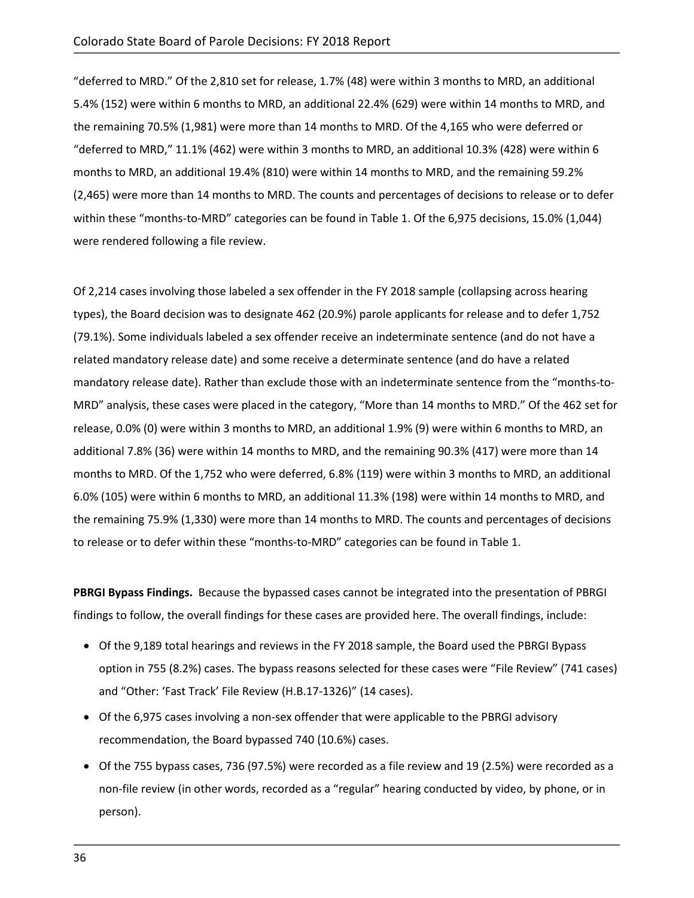"deferred to MRD." Of the 2,810 set for release, 1.7% (48) were within 3 months to MRD, an additional 5.4% (152) were within 6 months to MRD, an additional 22.4% (629) were within 14 months to MRD, and the remaining 70.5% (1,981) were more than 14 months to MRD. Of the 4,165 who were deferred or "deferred to MRD," 11.1% (462) were within 3 months to MRD, an additional 10.3% (428) were within 6 months to MRD, an additional 19.4% (810) were within 14 months to MRD, and the remaining 59.2% (2,465) were more than 14 months to MRD. The counts and percentages of decisions to release or to defer within these "months-to-MRD" categories can be found in Table 1. Of the 6,975 decisions, 15.0% (1,044) were rendered following a file review.

Of 2,214 cases involving those labeled a sex offender in the FY 2018 sample (collapsing across hearing types), the Board decision was to designate 462 (20.9%) parole applicants for release and to defer 1,752 (79.1%). Some individuals labeled a sex offender receive an indeterminate sentence (and do not have a related mandatory release date) and some receive a determinate sentence (and do have a related mandatory release date). Rather than exclude those with an indeterminate sentence from the "months-to-MRD" analysis, these cases were placed in the category, "More than 14 months to MRD." Of the 462 set for release, 0.0% (0) were within 3 months to MRD, an additional 1.9% (9) were within 6 months to MRD, an additional 7.8% (36) were within 14 months to MRD, and the remaining 90.3% (417) were more than 14 months to MRD. Of the 1,752 who were deferred, 6.8% (119) were within 3 months to MRD, an additional 6.0% (105) were within 6 months to MRD, an additional 11.3% (198) were within 14 months to MRD, and the remaining 75.9% (1,330) were more than 14 months to MRD. The counts and percentages of decisions to release or to defer within these "months-to-MRD" categories can be found in Table 1.

**PBRGI Bypass Findings.** Because the bypassed cases cannot be integrated into the presentation of PBRGI findings to follow, the overall findings for these cases are provided here. The overall findings, include:

- Of the 9,189 total hearings and reviews in the FY 2018 sample, the Board used the PBRGI Bypass option in 755 (8.2%) cases. The bypass reasons selected for these cases were "File Review" (741 cases) and "Other: 'Fast Track' File Review (H.B.17-1326)" (14 cases).
- Of the 6,975 cases involving a non-sex offender that were applicable to the PBRGI advisory recommendation, the Board bypassed 740 (10.6%) cases.
- Of the 755 bypass cases, 736 (97.5%) were recorded as a file review and 19 (2.5%) were recorded as a non-file review (in other words, recorded as a "regular" hearing conducted by video, by phone, or in person).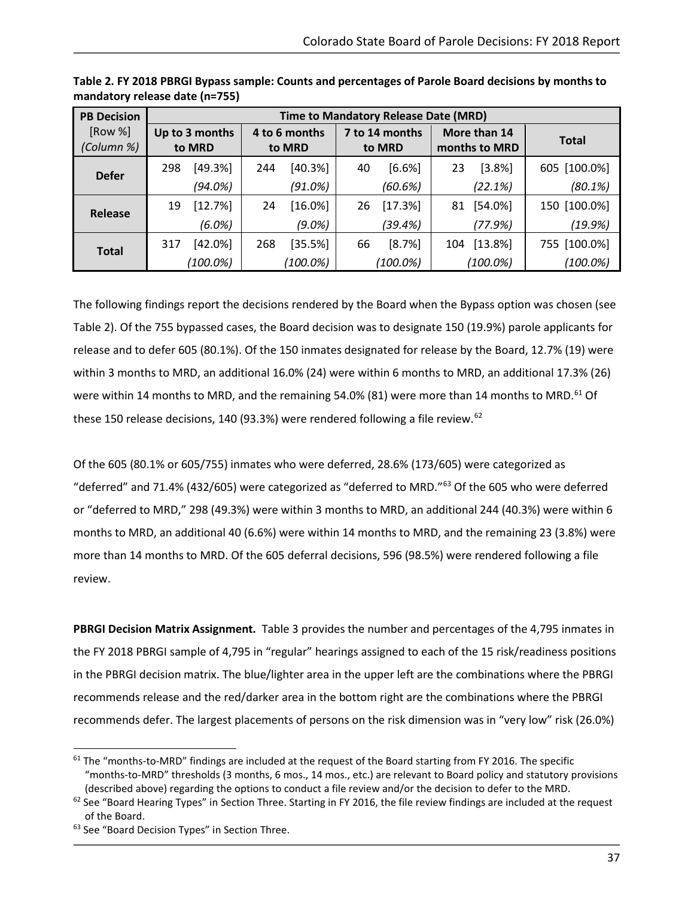| <b>PB Decision</b>       |                          |                         |                          |                               |              |
|--------------------------|--------------------------|-------------------------|--------------------------|-------------------------------|--------------|
| $[Row \%]$<br>(Column %) | Up to 3 months<br>to MRD | 4 to 6 months<br>to MRD | 7 to 14 months<br>to MRD | More than 14<br>months to MRD | <b>Total</b> |
| <b>Defer</b>             | [49.3%]<br>298           | [40.3%]<br>244          | $[6.6\%]$<br>40          | [3.8%]<br>23                  | 605 [100.0%] |
|                          | (94.0%)                  | (91.0%)                 | (60.6%)                  | (22.1%)                       | (80.1%)      |
| Release                  | [12.7%]<br>19            | [16.0%]<br>24           | [17.3%]<br>26            | [54.0%]<br>81                 | 150 [100.0%] |
|                          | $(6.0\%)$                | $(9.0\%)$               | (39.4%)                  | (77.9%)                       | (19.9%)      |
| <b>Total</b>             | $[42.0\%]$<br>317        | [35.5%]<br>268          | 66<br>[8.7%]             | [13.8%]<br>104                | 755 [100.0%] |
|                          | (100.0%)                 | (100.0%)                | (100.0%)                 | (100.0%)                      | (100.0%)     |

**Table 2. FY 2018 PBRGI Bypass sample: Counts and percentages of Parole Board decisions by months to mandatory release date (n=755)**

The following findings report the decisions rendered by the Board when the Bypass option was chosen (see Table 2). Of the 755 bypassed cases, the Board decision was to designate 150 (19.9%) parole applicants for release and to defer 605 (80.1%). Of the 150 inmates designated for release by the Board, 12.7% (19) were within 3 months to MRD, an additional 16.0% (24) were within 6 months to MRD, an additional 17.3% (26) were within 14 months to MRD, and the remaining 54.0% (81) were more than 14 months to MRD.<sup>[61](#page-42-0)</sup> Of these 150 release decisions, 140 (93.3%) were rendered following a file review.<sup>[62](#page-42-1)</sup>

Of the 605 (80.1% or 605/755) inmates who were deferred, 28.6% (173/605) were categorized as "deferred" and 71.4% (432/605) were categorized as "deferred to MRD."[63](#page-42-2) Of the 605 who were deferred or "deferred to MRD," 298 (49.3%) were within 3 months to MRD, an additional 244 (40.3%) were within 6 months to MRD, an additional 40 (6.6%) were within 14 months to MRD, and the remaining 23 (3.8%) were more than 14 months to MRD. Of the 605 deferral decisions, 596 (98.5%) were rendered following a file review.

**PBRGI Decision Matrix Assignment.** Table 3 provides the number and percentages of the 4,795 inmates in the FY 2018 PBRGI sample of 4,795 in "regular" hearings assigned to each of the 15 risk/readiness positions in the PBRGI decision matrix. The blue/lighter area in the upper left are the combinations where the PBRGI recommends release and the red/darker area in the bottom right are the combinations where the PBRGI recommends defer. The largest placements of persons on the risk dimension was in "very low" risk (26.0%)

<span id="page-42-0"></span> $61$  The "months-to-MRD" findings are included at the request of the Board starting from FY 2016. The specific "months-to-MRD" thresholds (3 months, 6 mos., 14 mos., etc.) are relevant to Board policy and statutory provisions (described above) regarding the options to conduct a file review and/or the decision to defer to the MRD.

<span id="page-42-1"></span> $62$  See "Board Hearing Types" in Section Three. Starting in FY 2016, the file review findings are included at the request of the Board.

<span id="page-42-2"></span><sup>&</sup>lt;sup>63</sup> See "Board Decision Types" in Section Three.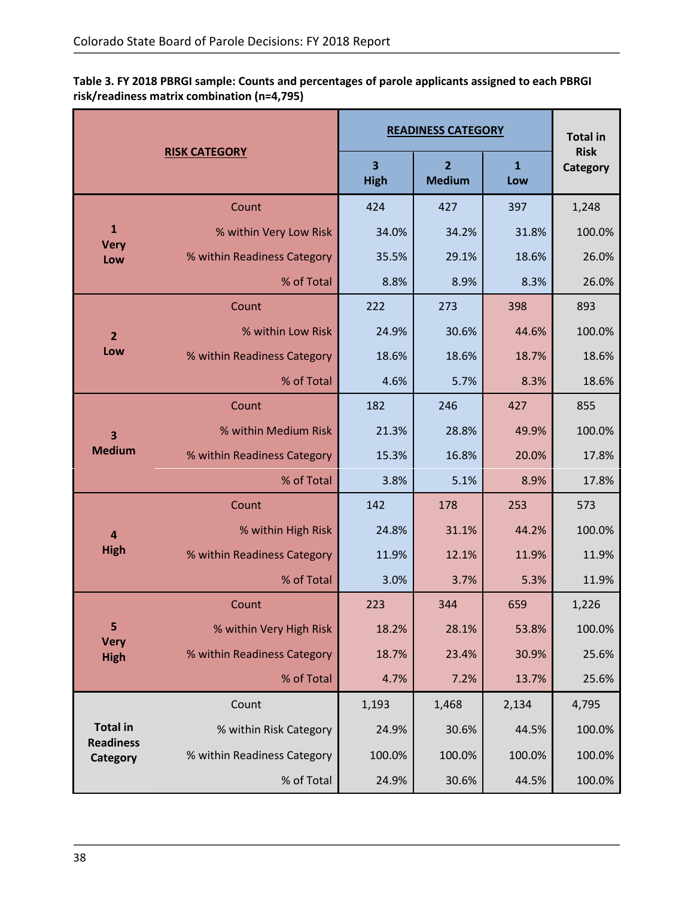**Table 3. FY 2018 PBRGI sample: Counts and percentages of parole applicants assigned to each PBRGI risk/readiness matrix combination (n=4,795)**

|                              |                             | <b>READINESS CATEGORY</b>              | <b>Total in</b>                 |                     |                         |
|------------------------------|-----------------------------|----------------------------------------|---------------------------------|---------------------|-------------------------|
|                              | <b>RISK CATEGORY</b>        | $\overline{\mathbf{3}}$<br><b>High</b> | $\overline{2}$<br><b>Medium</b> | $\mathbf{1}$<br>Low | <b>Risk</b><br>Category |
|                              | Count                       | 424                                    | 427                             | 397                 | 1,248                   |
| $\mathbf{1}$                 | % within Very Low Risk      | 34.0%                                  | 34.2%                           | 31.8%               | 100.0%                  |
| <b>Very</b><br>Low           | % within Readiness Category | 35.5%                                  | 29.1%                           | 18.6%               | 26.0%                   |
|                              | % of Total                  | 8.8%                                   | 8.9%                            | 8.3%                | 26.0%                   |
|                              | Count                       | 222                                    | 273                             | 398                 | 893                     |
| $\overline{2}$               | % within Low Risk           | 24.9%                                  | 30.6%                           | 44.6%               | 100.0%                  |
| Low                          | % within Readiness Category | 18.6%                                  | 18.6%                           | 18.7%               | 18.6%                   |
|                              | % of Total                  | 4.6%                                   | 5.7%                            | 8.3%                | 18.6%                   |
|                              | Count                       | 182                                    | 246                             | 427                 | 855                     |
| $\overline{\mathbf{3}}$      | % within Medium Risk        | 21.3%                                  | 28.8%                           | 49.9%               | 100.0%                  |
| <b>Medium</b>                | % within Readiness Category | 15.3%                                  | 16.8%                           | 20.0%               | 17.8%                   |
|                              | % of Total                  | 3.8%                                   | 5.1%                            | 8.9%                | 17.8%                   |
|                              | Count                       | 142                                    | 178                             | 253                 | 573                     |
| $\overline{4}$               | % within High Risk          | 24.8%                                  | 31.1%                           | 44.2%               | 100.0%                  |
| <b>High</b>                  | % within Readiness Category | 11.9%                                  | 12.1%                           | 11.9%               | 11.9%                   |
|                              | % of Total                  | 3.0%                                   | 3.7%                            | 5.3%                | 11.9%                   |
|                              | Count                       | 223                                    | 344                             | 659                 | 1,226                   |
| 5                            | % within Very High Risk     | 18.2%                                  | 28.1%                           | 53.8%               | 100.0%                  |
| <b>Very</b><br><b>High</b>   | % within Readiness Category | 18.7%                                  | 23.4%                           | 30.9%               | 25.6%                   |
|                              | % of Total                  | 4.7%                                   | 7.2%                            | 13.7%               | 25.6%                   |
|                              | Count                       | 1,193                                  | 1,468                           | 2,134               | 4,795                   |
| <b>Total in</b>              | % within Risk Category      | 24.9%                                  | 30.6%                           | 44.5%               | 100.0%                  |
| <b>Readiness</b><br>Category | % within Readiness Category | 100.0%                                 | 100.0%                          | 100.0%              | 100.0%                  |
|                              | % of Total                  | 24.9%                                  | 30.6%                           | 44.5%               | 100.0%                  |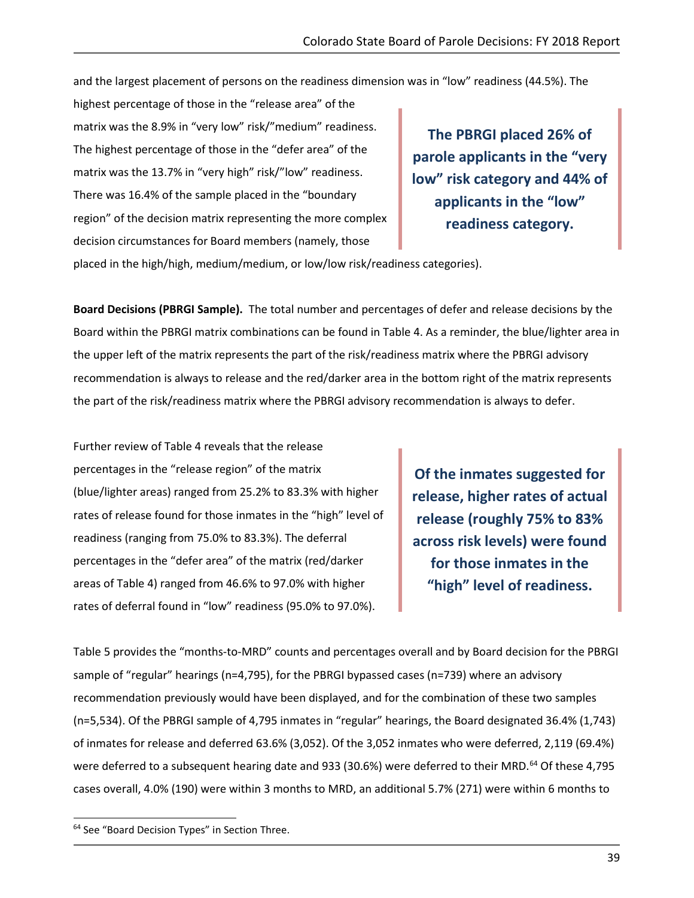and the largest placement of persons on the readiness dimension was in "low" readiness (44.5%). The

highest percentage of those in the "release area" of the matrix was the 8.9% in "very low" risk/"medium" readiness. The highest percentage of those in the "defer area" of the matrix was the 13.7% in "very high" risk/"low" readiness. There was 16.4% of the sample placed in the "boundary region" of the decision matrix representing the more complex decision circumstances for Board members (namely, those

**The PBRGI placed 26% of parole applicants in the "very low" risk category and 44% of applicants in the "low" readiness category.**

placed in the high/high, medium/medium, or low/low risk/readiness categories).

**Board Decisions (PBRGI Sample).** The total number and percentages of defer and release decisions by the Board within the PBRGI matrix combinations can be found in Table 4. As a reminder, the blue/lighter area in the upper left of the matrix represents the part of the risk/readiness matrix where the PBRGI advisory recommendation is always to release and the red/darker area in the bottom right of the matrix represents the part of the risk/readiness matrix where the PBRGI advisory recommendation is always to defer.

Further review of Table 4 reveals that the release percentages in the "release region" of the matrix (blue/lighter areas) ranged from 25.2% to 83.3% with higher rates of release found for those inmates in the "high" level of readiness (ranging from 75.0% to 83.3%). The deferral percentages in the "defer area" of the matrix (red/darker areas of Table 4) ranged from 46.6% to 97.0% with higher rates of deferral found in "low" readiness (95.0% to 97.0%).

**Of the inmates suggested for release, higher rates of actual release (roughly 75% to 83% across risk levels) were found for those inmates in the "high" level of readiness.**

Table 5 provides the "months-to-MRD" counts and percentages overall and by Board decision for the PBRGI sample of "regular" hearings (n=4,795), for the PBRGI bypassed cases (n=739) where an advisory recommendation previously would have been displayed, and for the combination of these two samples (n=5,534). Of the PBRGI sample of 4,795 inmates in "regular" hearings, the Board designated 36.4% (1,743) of inmates for release and deferred 63.6% (3,052). Of the 3,052 inmates who were deferred, 2,119 (69.4%) were deferred to a subsequent hearing date and 933 (30.6%) were deferred to their MRD.<sup>[64](#page-44-0)</sup> Of these 4,795 cases overall, 4.0% (190) were within 3 months to MRD, an additional 5.7% (271) were within 6 months to

<span id="page-44-0"></span><sup>&</sup>lt;sup>64</sup> See "Board Decision Types" in Section Three.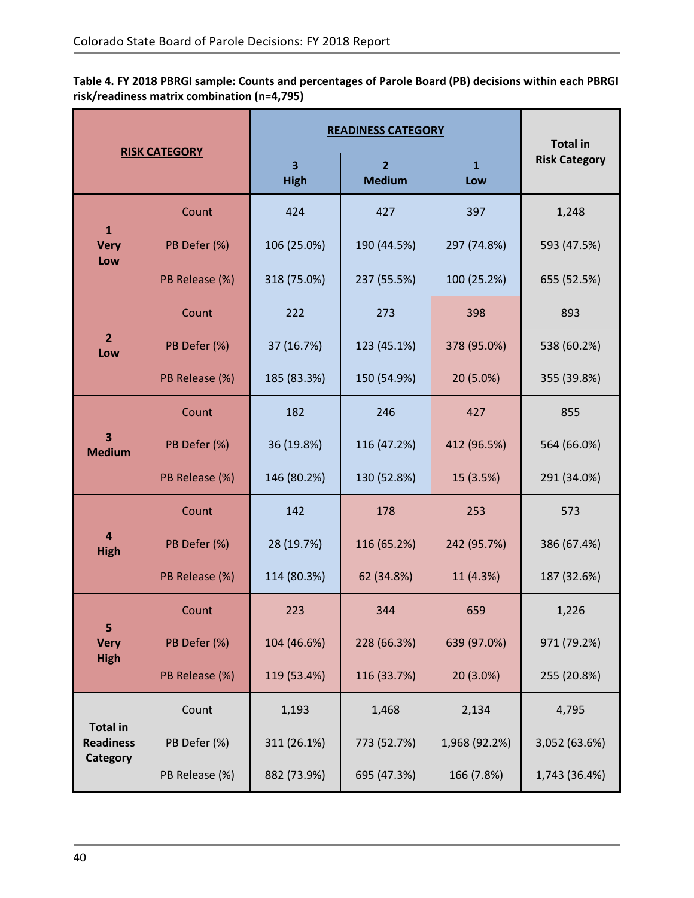**Table 4. FY 2018 PBRGI sample: Counts and percentages of Parole Board (PB) decisions within each PBRGI risk/readiness matrix combination (n=4,795)**

|                                    |                      | <b>READINESS CATEGORY</b>              | <b>Total in</b>                 |                     |                      |
|------------------------------------|----------------------|----------------------------------------|---------------------------------|---------------------|----------------------|
|                                    | <b>RISK CATEGORY</b> | $\overline{\mathbf{3}}$<br><b>High</b> | $\overline{2}$<br><b>Medium</b> | $\mathbf{1}$<br>Low | <b>Risk Category</b> |
|                                    | Count                | 424                                    | 427                             | 397                 | 1,248                |
| $\mathbf{1}$<br><b>Very</b><br>Low | PB Defer (%)         | 106 (25.0%)                            | 190 (44.5%)                     | 297 (74.8%)         | 593 (47.5%)          |
|                                    | PB Release (%)       | 318 (75.0%)                            | 237 (55.5%)                     | 100 (25.2%)         | 655 (52.5%)          |
|                                    | Count                | 222                                    | 273                             | 398                 | 893                  |
| $\overline{2}$<br>Low              | PB Defer (%)         | 37 (16.7%)                             | 123 (45.1%)                     | 378 (95.0%)         | 538 (60.2%)          |
|                                    | PB Release (%)       | 185 (83.3%)                            | 150 (54.9%)                     | 20 (5.0%)           | 355 (39.8%)          |
|                                    | Count                | 182                                    | 246                             | 427                 | 855                  |
| 3<br><b>Medium</b>                 | PB Defer (%)         | 36 (19.8%)                             | 116 (47.2%)                     | 412 (96.5%)         | 564 (66.0%)          |
|                                    | PB Release (%)       | 146 (80.2%)                            | 130 (52.8%)                     | 15 (3.5%)           | 291 (34.0%)          |
|                                    | Count                | 142                                    | 178                             | 253                 | 573                  |
| 4<br><b>High</b>                   | PB Defer (%)         | 28 (19.7%)                             | 116 (65.2%)                     | 242 (95.7%)         | 386 (67.4%)          |
|                                    | PB Release (%)       | 114 (80.3%)                            | 62 (34.8%)                      | 11 (4.3%)           | 187 (32.6%)          |
| 5                                  | Count                | 223                                    | 344                             | 659                 | 1,226                |
| <b>Very</b><br><b>High</b>         | PB Defer (%)         | 104 (46.6%)                            | 228 (66.3%)                     | 639 (97.0%)         | 971 (79.2%)          |
|                                    | PB Release (%)       | 119 (53.4%)                            | 116 (33.7%)                     | 20 (3.0%)           | 255 (20.8%)          |
| <b>Total in</b>                    | Count                | 1,193                                  | 1,468                           | 2,134               | 4,795                |
| <b>Readiness</b>                   | PB Defer (%)         | 311 (26.1%)                            | 773 (52.7%)                     | 1,968 (92.2%)       | 3,052 (63.6%)        |
| Category                           | PB Release (%)       | 882 (73.9%)                            | 695 (47.3%)                     | 166 (7.8%)          | 1,743 (36.4%)        |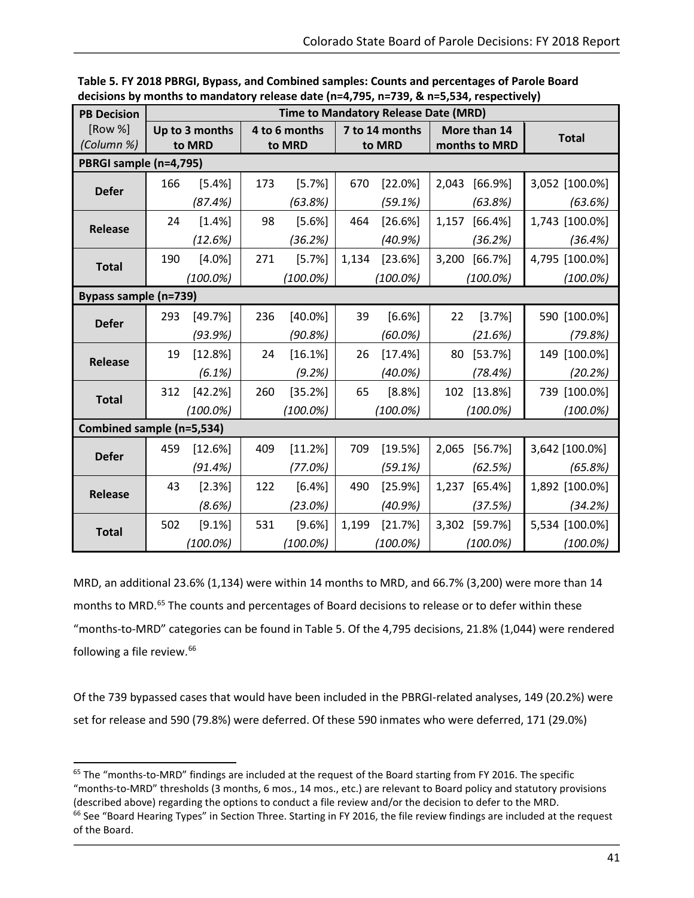| <b>PB Decision</b>           |                |                | <b>Time to Mandatory Release Date (MRD)</b> |                  |                |
|------------------------------|----------------|----------------|---------------------------------------------|------------------|----------------|
| [Row %]                      | Up to 3 months | 4 to 6 months  | 7 to 14 months                              | More than 14     | <b>Total</b>   |
| (Column %)                   | to MRD         | to MRD         | to MRD                                      | months to MRD    |                |
| PBRGI sample (n=4,795)       |                |                |                                             |                  |                |
| <b>Defer</b>                 | 166<br>[5.4%]  | 173<br>[5.7%]  | 670<br>[22.0%]                              | 2,043<br>[66.9%] | 3,052 [100.0%] |
|                              | (87.4%)        | (63.8%)        | (59.1%)                                     | (63.8%)          | (63.6%)        |
| <b>Release</b>               | 24<br>[1.4%]   | 98<br>[5.6%]   | 464<br>[26.6%]                              | 1,157<br>[66.4%] | 1,743 [100.0%] |
|                              | (12.6%)        | (36.2%)        | (40.9%)                                     | (36.2%)          | (36.4%)        |
| <b>Total</b>                 | 190<br>[4.0%]  | 271<br>[5.7%]  | 1,134<br>[23.6%]                            | 3,200<br>[66.7%] | 4,795 [100.0%] |
|                              | $(100.0\%)$    | $(100.0\%)$    | $(100.0\%)$                                 | $(100.0\%)$      | $(100.0\%)$    |
| <b>Bypass sample (n=739)</b> |                |                |                                             |                  |                |
| <b>Defer</b>                 | 293<br>[49.7%] | [40.0%]<br>236 | 39<br>[6.6%]                                | [3.7%]<br>22     | 590 [100.0%]   |
|                              | (93.9%)        | (90.8%)        | $(60.0\%)$                                  | (21.6%)          | (79.8%)        |
| <b>Release</b>               | 19<br>[12.8%]  | [16.1%]<br>24  | [17.4%]<br>26                               | [53.7%]<br>80    | 149 [100.0%]   |
|                              | (6.1%)         | (9.2%)         | $(40.0\%)$                                  | (78.4%)          | (20.2%)        |
| <b>Total</b>                 | 312<br>[42.2%] | 260<br>[35.2%] | 65<br>[8.8%]                                | 102<br>[13.8%]   | 739 [100.0%]   |
|                              | $(100.0\%)$    | (100.0%)       | $(100.0\%)$                                 | $(100.0\%)$      | $(100.0\%)$    |
| Combined sample (n=5,534)    |                |                |                                             |                  |                |
| <b>Defer</b>                 | 459<br>[12.6%] | 409<br>[11.2%] | 709<br>[19.5%]                              | 2,065<br>[56.7%] | 3,642 [100.0%] |
|                              | (91.4%)        | (77.0%)        | (59.1%)                                     | (62.5%)          | (65.8%)        |
| <b>Release</b>               | 43<br>[2.3%]   | 122<br>[6.4%]  | 490<br>[25.9%]                              | [65.4%]<br>1,237 | 1,892 [100.0%] |
|                              | (8.6%)         | (23.0%)        | (40.9%)                                     | (37.5%)          | (34.2%)        |
|                              | 502<br>[9.1%]  | 531<br>[9.6%]  | 1,199<br>[21.7%]                            | 3,302 [59.7%]    | 5,534 [100.0%] |
| <b>Total</b>                 | $(100.0\%)$    | $(100.0\%)$    | $(100.0\%)$                                 | $(100.0\%)$      | $(100.0\%)$    |

**Table 5. FY 2018 PBRGI, Bypass, and Combined samples: Counts and percentages of Parole Board decisions by months to mandatory release date (n=4,795, n=739, & n=5,534, respectively)**

MRD, an additional 23.6% (1,134) were within 14 months to MRD, and 66.7% (3,200) were more than 14 months to MRD.<sup>[65](#page-46-0)</sup> The counts and percentages of Board decisions to release or to defer within these "months-to-MRD" categories can be found in Table 5. Of the 4,795 decisions, 21.8% (1,044) were rendered following a file review.<sup>[66](#page-46-1)</sup>

Of the 739 bypassed cases that would have been included in the PBRGI-related analyses, 149 (20.2%) were set for release and 590 (79.8%) were deferred. Of these 590 inmates who were deferred, 171 (29.0%)

<span id="page-46-1"></span><span id="page-46-0"></span> $65$  The "months-to-MRD" findings are included at the request of the Board starting from FY 2016. The specific "months-to-MRD" thresholds (3 months, 6 mos., 14 mos., etc.) are relevant to Board policy and statutory provisions (described above) regarding the options to conduct a file review and/or the decision to defer to the MRD.  $66$  See "Board Hearing Types" in Section Three. Starting in FY 2016, the file review findings are included at the request of the Board.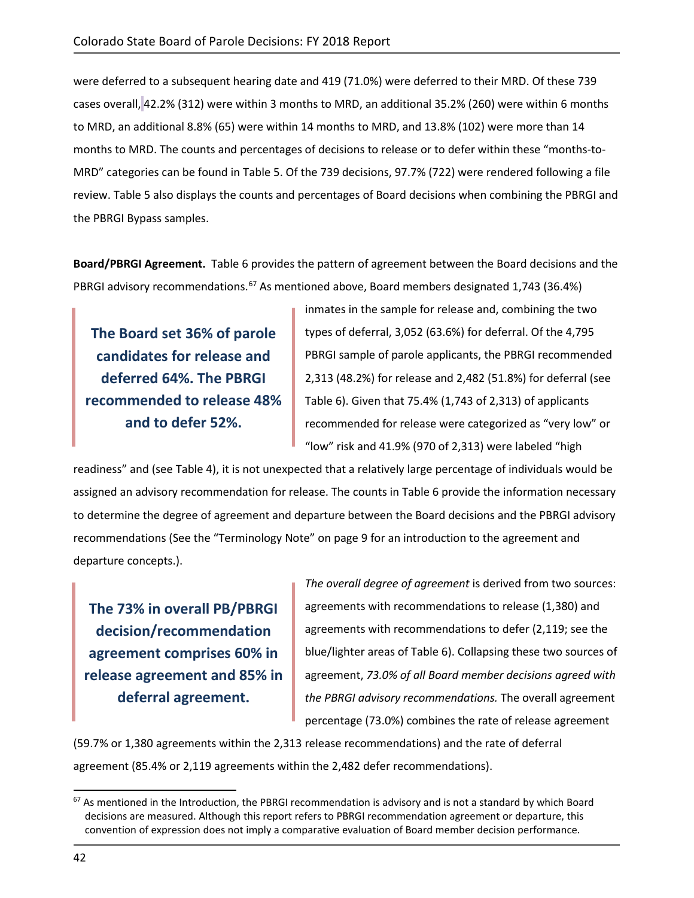were deferred to a subsequent hearing date and 419 (71.0%) were deferred to their MRD. Of these 739 cases overall, 42.2% (312) were within 3 months to MRD, an additional 35.2% (260) were within 6 months to MRD, an additional 8.8% (65) were within 14 months to MRD, and 13.8% (102) were more than 14 months to MRD. The counts and percentages of decisions to release or to defer within these "months-to-MRD" categories can be found in Table 5. Of the 739 decisions, 97.7% (722) were rendered following a file review. Table 5 also displays the counts and percentages of Board decisions when combining the PBRGI and the PBRGI Bypass samples.

**Board/PBRGI Agreement.** Table 6 provides the pattern of agreement between the Board decisions and the PBRGI advisory recommendations.<sup>[67](#page-47-0)</sup> As mentioned above, Board members designated 1,743 (36.4%)

**The Board set 36% of parole candidates for release and deferred 64%. The PBRGI recommended to release 48% and to defer 52%.**

inmates in the sample for release and, combining the two types of deferral, 3,052 (63.6%) for deferral. Of the 4,795 PBRGI sample of parole applicants, the PBRGI recommended 2,313 (48.2%) for release and 2,482 (51.8%) for deferral (see Table 6). Given that 75.4% (1,743 of 2,313) of applicants recommended for release were categorized as "very low" or "low" risk and 41.9% (970 of 2,313) were labeled "high

readiness" and (see Table 4), it is not unexpected that a relatively large percentage of individuals would be assigned an advisory recommendation for release. The counts in Table 6 provide the information necessary to determine the degree of agreement and departure between the Board decisions and the PBRGI advisory recommendations (See the "Terminology Note" on page 9 for an introduction to the agreement and departure concepts.).

**The 73% in overall PB/PBRGI decision/recommendation agreement comprises 60% in release agreement and 85% in deferral agreement.**

*The overall degree of agreement* is derived from two sources: agreements with recommendations to release (1,380) and agreements with recommendations to defer (2,119; see the blue/lighter areas of Table 6). Collapsing these two sources of agreement, *73.0% of all Board member decisions agreed with the PBRGI advisory recommendations.* The overall agreement percentage (73.0%) combines the rate of release agreement

(59.7% or 1,380 agreements within the 2,313 release recommendations) and the rate of deferral agreement (85.4% or 2,119 agreements within the 2,482 defer recommendations).

<span id="page-47-0"></span><sup>&</sup>lt;sup>67</sup> As mentioned in the Introduction, the PBRGI recommendation is advisory and is not a standard by which Board decisions are measured. Although this report refers to PBRGI recommendation agreement or departure, this convention of expression does not imply a comparative evaluation of Board member decision performance.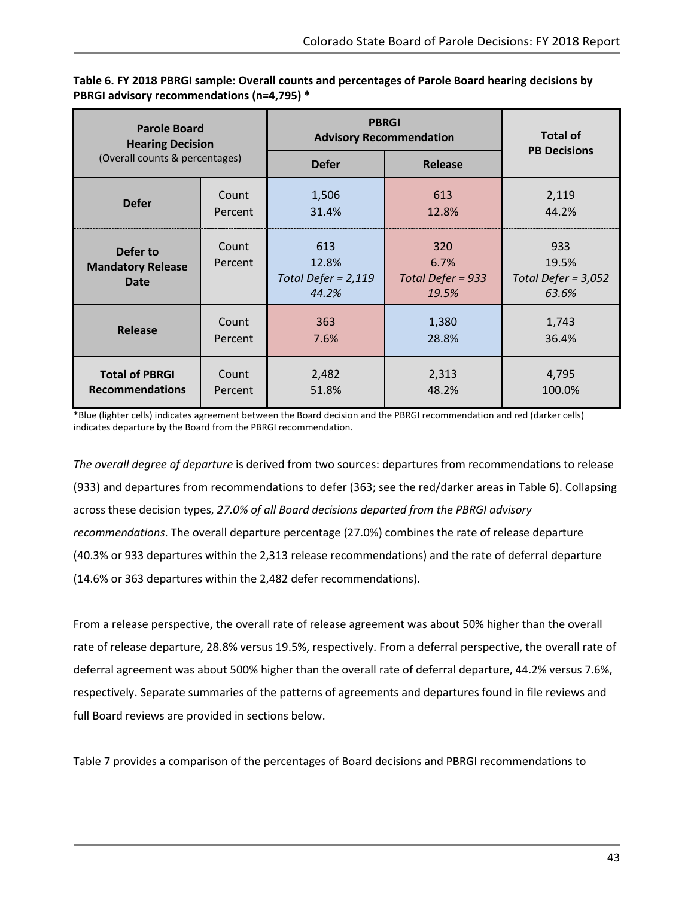| <b>Parole Board</b>                                 |                  | <b>PBRGI</b>                                   | <b>Total of</b>                           |                                                |
|-----------------------------------------------------|------------------|------------------------------------------------|-------------------------------------------|------------------------------------------------|
| <b>Hearing Decision</b>                             |                  | <b>Advisory Recommendation</b>                 | <b>PB Decisions</b>                       |                                                |
| (Overall counts & percentages)                      |                  | <b>Defer</b>                                   | Release                                   |                                                |
| <b>Defer</b>                                        | Count            | 1,506                                          | 613                                       | 2,119                                          |
|                                                     | Percent          | 31.4%                                          | 12.8%                                     | 44.2%                                          |
| Defer to<br><b>Mandatory Release</b><br><b>Date</b> | Count<br>Percent | 613<br>12.8%<br>Total Defer = $2,119$<br>44.2% | 320<br>6.7%<br>Total Defer = 933<br>19.5% | 933<br>19.5%<br>Total Defer = $3,052$<br>63.6% |
| <b>Release</b>                                      | Count            | 363                                            | 1,380                                     | 1,743                                          |
|                                                     | Percent          | 7.6%                                           | 28.8%                                     | 36.4%                                          |
| <b>Total of PBRGI</b>                               | Count            | 2,482                                          | 2,313                                     | 4,795                                          |
| <b>Recommendations</b>                              | Percent          | 51.8%                                          | 48.2%                                     | 100.0%                                         |

## **Table 6. FY 2018 PBRGI sample: Overall counts and percentages of Parole Board hearing decisions by PBRGI advisory recommendations (n=4,795) \***

\*Blue (lighter cells) indicates agreement between the Board decision and the PBRGI recommendation and red (darker cells) indicates departure by the Board from the PBRGI recommendation.

*The overall degree of departure* is derived from two sources: departures from recommendations to release (933) and departures from recommendations to defer (363; see the red/darker areas in Table 6). Collapsing across these decision types, *27.0% of all Board decisions departed from the PBRGI advisory recommendations*. The overall departure percentage (27.0%) combines the rate of release departure (40.3% or 933 departures within the 2,313 release recommendations) and the rate of deferral departure (14.6% or 363 departures within the 2,482 defer recommendations).

From a release perspective, the overall rate of release agreement was about 50% higher than the overall rate of release departure, 28.8% versus 19.5%, respectively. From a deferral perspective, the overall rate of deferral agreement was about 500% higher than the overall rate of deferral departure, 44.2% versus 7.6%, respectively. Separate summaries of the patterns of agreements and departures found in file reviews and full Board reviews are provided in sections below.

Table 7 provides a comparison of the percentages of Board decisions and PBRGI recommendations to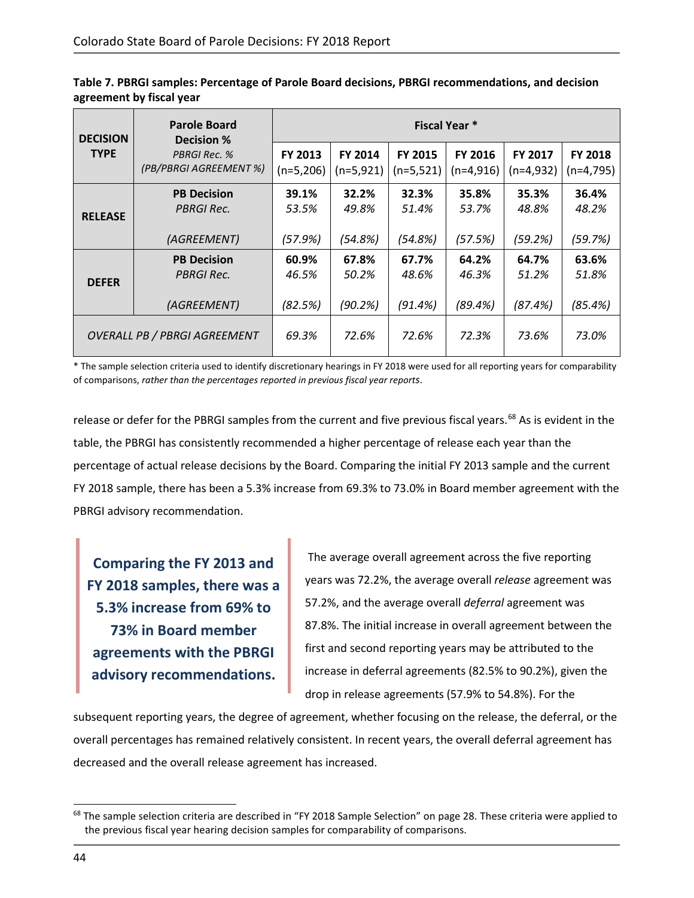| <b>DECISION</b> | <b>Parole Board</b><br><b>Decision %</b> | <b>Fiscal Year *</b> |             |                |                |                |                |
|-----------------|------------------------------------------|----------------------|-------------|----------------|----------------|----------------|----------------|
| <b>TYPE</b>     | <b>PBRGI Rec. %</b>                      | FY 2013              | FY 2014     | <b>FY 2015</b> | <b>FY 2016</b> | <b>FY 2017</b> | <b>FY 2018</b> |
|                 | (PB/PBRGI AGREEMENT %)                   | $(n=5,206)$          | $(n=5,921)$ | $(n=5,521)$    | $(n=4,916)$    | (n=4,932)      | $(n=4,795)$    |
| <b>RELEASE</b>  | <b>PB Decision</b>                       | 39.1%                | 32.2%       | 32.3%          | 35.8%          | 35.3%          | 36.4%          |
|                 | PBRGI Rec.                               | 53.5%                | 49.8%       | 51.4%          | 53.7%          | 48.8%          | 48.2%          |
|                 | (AGREEMENT)                              | (57.9%)              | (54.8%)     | (54.8%)        | (57.5%)        | (59.2%)        | (59.7%)        |
| <b>DEFER</b>    | <b>PB Decision</b>                       | 60.9%                | 67.8%       | 67.7%          | 64.2%          | 64.7%          | 63.6%          |
|                 | PBRGI Rec.                               | 46.5%                | 50.2%       | 48.6%          | 46.3%          | 51.2%          | 51.8%          |
|                 | (AGREEMENT)                              | (82.5%)              | (90.2%)     | (91.4%)        | (89.4%)        | (87.4%)        | (85.4%)        |
|                 | <b>OVERALL PB / PBRGI AGREEMENT</b>      | 69.3%                | 72.6%       | 72.6%          | 72.3%          | 73.6%          | 73.0%          |

| Table 7. PBRGI samples: Percentage of Parole Board decisions, PBRGI recommendations, and decision |  |
|---------------------------------------------------------------------------------------------------|--|
| agreement by fiscal year                                                                          |  |

\* The sample selection criteria used to identify discretionary hearings in FY 2018 were used for all reporting years for comparability of comparisons, *rather than the percentages reported in previous fiscal year reports*.

release or defer for the PBRGI samples from the current and five previous fiscal years.<sup>[68](#page-49-0)</sup> As is evident in the table, the PBRGI has consistently recommended a higher percentage of release each year than the percentage of actual release decisions by the Board. Comparing the initial FY 2013 sample and the current FY 2018 sample, there has been a 5.3% increase from 69.3% to 73.0% in Board member agreement with the PBRGI advisory recommendation.

**Comparing the FY 2013 and FY 2018 samples, there was a 5.3% increase from 69% to 73% in Board member agreements with the PBRGI advisory recommendations.**

The average overall agreement across the five reporting years was 72.2%, the average overall *release* agreement was 57.2%, and the average overall *deferral* agreement was 87.8%. The initial increase in overall agreement between the first and second reporting years may be attributed to the increase in deferral agreements (82.5% to 90.2%), given the drop in release agreements (57.9% to 54.8%). For the

subsequent reporting years, the degree of agreement, whether focusing on the release, the deferral, or the overall percentages has remained relatively consistent. In recent years, the overall deferral agreement has decreased and the overall release agreement has increased.

<span id="page-49-0"></span> $68$  The sample selection criteria are described in "FY 2018 Sample Selection" on page 28. These criteria were applied to the previous fiscal year hearing decision samples for comparability of comparisons.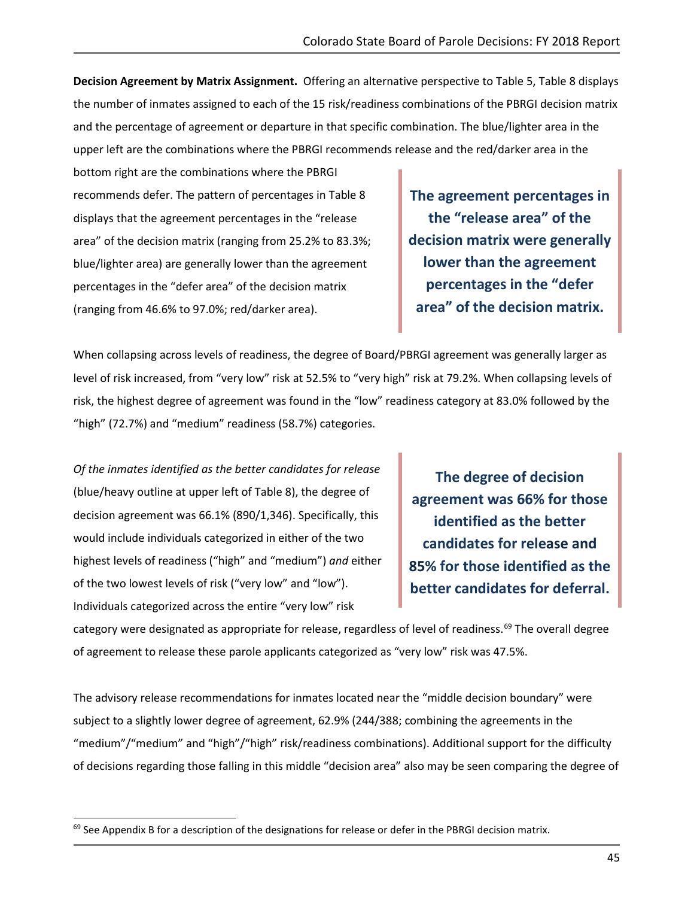**Decision Agreement by Matrix Assignment.** Offering an alternative perspective to Table 5, Table 8 displays the number of inmates assigned to each of the 15 risk/readiness combinations of the PBRGI decision matrix and the percentage of agreement or departure in that specific combination. The blue/lighter area in the upper left are the combinations where the PBRGI recommends release and the red/darker area in the

bottom right are the combinations where the PBRGI recommends defer. The pattern of percentages in Table 8 displays that the agreement percentages in the "release area" of the decision matrix (ranging from 25.2% to 83.3%; blue/lighter area) are generally lower than the agreement percentages in the "defer area" of the decision matrix (ranging from 46.6% to 97.0%; red/darker area).

**The agreement percentages in the "release area" of the decision matrix were generally lower than the agreement percentages in the "defer area" of the decision matrix.**

When collapsing across levels of readiness, the degree of Board/PBRGI agreement was generally larger as level of risk increased, from "very low" risk at 52.5% to "very high" risk at 79.2%. When collapsing levels of risk, the highest degree of agreement was found in the "low" readiness category at 83.0% followed by the "high" (72.7%) and "medium" readiness (58.7%) categories.

*Of the inmates identified as the better candidates for release* (blue/heavy outline at upper left of Table 8), the degree of decision agreement was 66.1% (890/1,346). Specifically, this would include individuals categorized in either of the two highest levels of readiness ("high" and "medium") *and* either of the two lowest levels of risk ("very low" and "low"). Individuals categorized across the entire "very low" risk

**The degree of decision agreement was 66% for those identified as the better candidates for release and 85% for those identified as the better candidates for deferral.**

category were designated as appropriate for release, regardless of level of readiness.<sup>[69](#page-50-0)</sup> The overall degree of agreement to release these parole applicants categorized as "very low" risk was 47.5%.

The advisory release recommendations for inmates located near the "middle decision boundary" were subject to a slightly lower degree of agreement, 62.9% (244/388; combining the agreements in the "medium"/"medium" and "high"/"high" risk/readiness combinations). Additional support for the difficulty of decisions regarding those falling in this middle "decision area" also may be seen comparing the degree of

<span id="page-50-0"></span> $^{69}$  See Appendix B for a description of the designations for release or defer in the PBRGI decision matrix.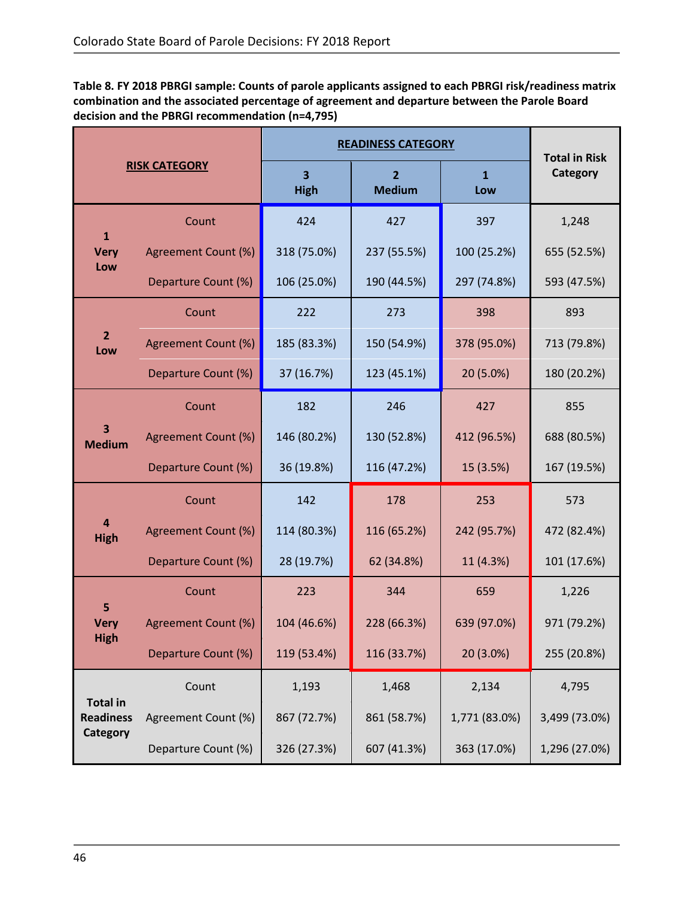**Table 8. FY 2018 PBRGI sample: Counts of parole applicants assigned to each PBRGI risk/readiness matrix combination and the associated percentage of agreement and departure between the Parole Board decision and the PBRGI recommendation (n=4,795)**

|                                          |                      | <b>READINESS CATEGORY</b> | <b>Total in Risk</b>            |                       |               |
|------------------------------------------|----------------------|---------------------------|---------------------------------|-----------------------|---------------|
|                                          | <b>RISK CATEGORY</b> | 3<br><b>High</b>          | $\overline{2}$<br><b>Medium</b> | $\overline{1}$<br>Low | Category      |
|                                          | Count                | 424                       | 427                             | 397                   | 1,248         |
| $\mathbf{1}$<br><b>Very</b>              | Agreement Count (%)  | 318 (75.0%)               | 237 (55.5%)                     | 100 (25.2%)           | 655 (52.5%)   |
| Low                                      | Departure Count (%)  | 106 (25.0%)               | 190 (44.5%)                     | 297 (74.8%)           | 593 (47.5%)   |
|                                          | Count                | 222                       | 273                             | 398                   | 893           |
| $\overline{2}$<br>Low                    | Agreement Count (%)  | 185 (83.3%)               | 150 (54.9%)                     | 378 (95.0%)           | 713 (79.8%)   |
|                                          | Departure Count (%)  | 37 (16.7%)                | 123 (45.1%)                     | 20 (5.0%)             | 180 (20.2%)   |
|                                          | Count                | 182                       | 246                             | 427                   | 855           |
| $\overline{\mathbf{3}}$<br><b>Medium</b> | Agreement Count (%)  | 146 (80.2%)               | 130 (52.8%)                     | 412 (96.5%)           | 688 (80.5%)   |
|                                          | Departure Count (%)  | 36 (19.8%)                | 116 (47.2%)                     | 15 (3.5%)             | 167 (19.5%)   |
|                                          | Count                | 142                       | 178                             | 253                   | 573           |
| 4<br><b>High</b>                         | Agreement Count (%)  | 114 (80.3%)               | 116 (65.2%)                     | 242 (95.7%)           | 472 (82.4%)   |
|                                          | Departure Count (%)  | 28 (19.7%)                | 62 (34.8%)                      | 11 (4.3%)             | 101 (17.6%)   |
| 5                                        | Count                | 223                       | 344                             | 659                   | 1,226         |
| <b>Very</b>                              | Agreement Count (%)  | 104 (46.6%)               | 228 (66.3%)                     | 639 (97.0%)           | 971 (79.2%)   |
| <b>High</b>                              | Departure Count (%)  | 119 (53.4%)               | 116 (33.7%)                     | 20 (3.0%)             | 255 (20.8%)   |
|                                          | Count                | 1,193                     | 1,468                           | 2,134                 | 4,795         |
| <b>Total in</b><br><b>Readiness</b>      | Agreement Count (%)  | 867 (72.7%)               | 861 (58.7%)                     | 1,771 (83.0%)         | 3,499 (73.0%) |
| <b>Category</b>                          | Departure Count (%)  | 326 (27.3%)               | 607 (41.3%)                     | 363 (17.0%)           | 1,296 (27.0%) |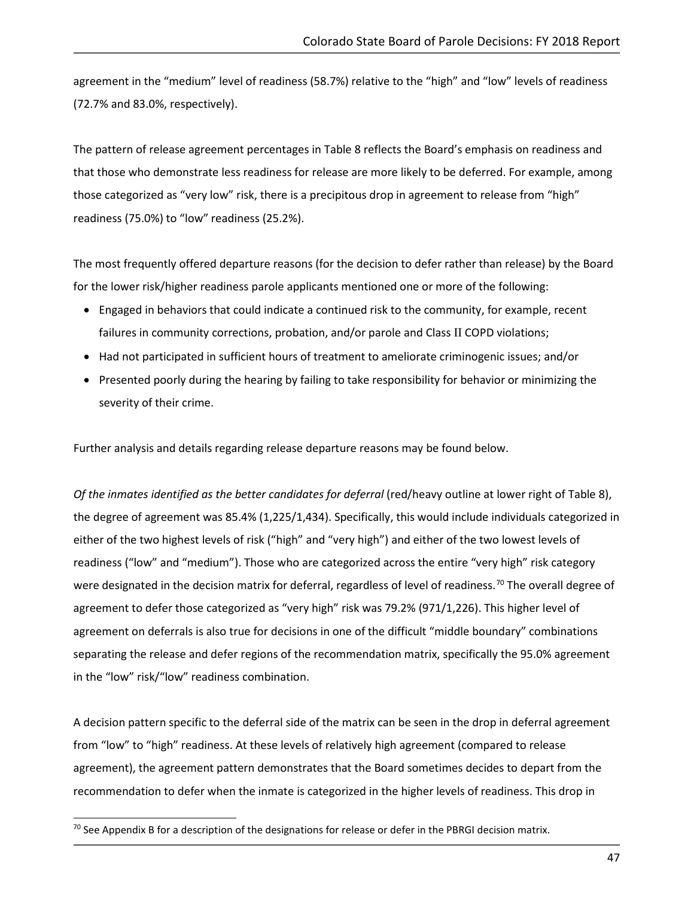agreement in the "medium" level of readiness (58.7%) relative to the "high" and "low" levels of readiness (72.7% and 83.0%, respectively).

The pattern of release agreement percentages in Table 8 reflects the Board's emphasis on readiness and that those who demonstrate less readiness for release are more likely to be deferred. For example, among those categorized as "very low" risk, there is a precipitous drop in agreement to release from "high" readiness (75.0%) to "low" readiness (25.2%).

The most frequently offered departure reasons (for the decision to defer rather than release) by the Board for the lower risk/higher readiness parole applicants mentioned one or more of the following:

- Engaged in behaviors that could indicate a continued risk to the community, for example, recent failures in community corrections, probation, and/or parole and Class II COPD violations;
- Had not participated in sufficient hours of treatment to ameliorate criminogenic issues; and/or
- Presented poorly during the hearing by failing to take responsibility for behavior or minimizing the severity of their crime.

Further analysis and details regarding release departure reasons may be found below.

*Of the inmates identified as the better candidates for deferral* (red/heavy outline at lower right of Table 8), the degree of agreement was 85.4% (1,225/1,434). Specifically, this would include individuals categorized in either of the two highest levels of risk ("high" and "very high") and either of the two lowest levels of readiness ("low" and "medium"). Those who are categorized across the entire "very high" risk category were designated in the decision matrix for deferral, regardless of level of readiness.<sup>[70](#page-52-0)</sup> The overall degree of agreement to defer those categorized as "very high" risk was 79.2% (971/1,226). This higher level of agreement on deferrals is also true for decisions in one of the difficult "middle boundary" combinations separating the release and defer regions of the recommendation matrix, specifically the 95.0% agreement in the "low" risk/"low" readiness combination.

A decision pattern specific to the deferral side of the matrix can be seen in the drop in deferral agreement from "low" to "high" readiness. At these levels of relatively high agreement (compared to release agreement), the agreement pattern demonstrates that the Board sometimes decides to depart from the recommendation to defer when the inmate is categorized in the higher levels of readiness. This drop in

<span id="page-52-0"></span><sup>&</sup>lt;sup>70</sup> See Appendix B for a description of the designations for release or defer in the PBRGI decision matrix.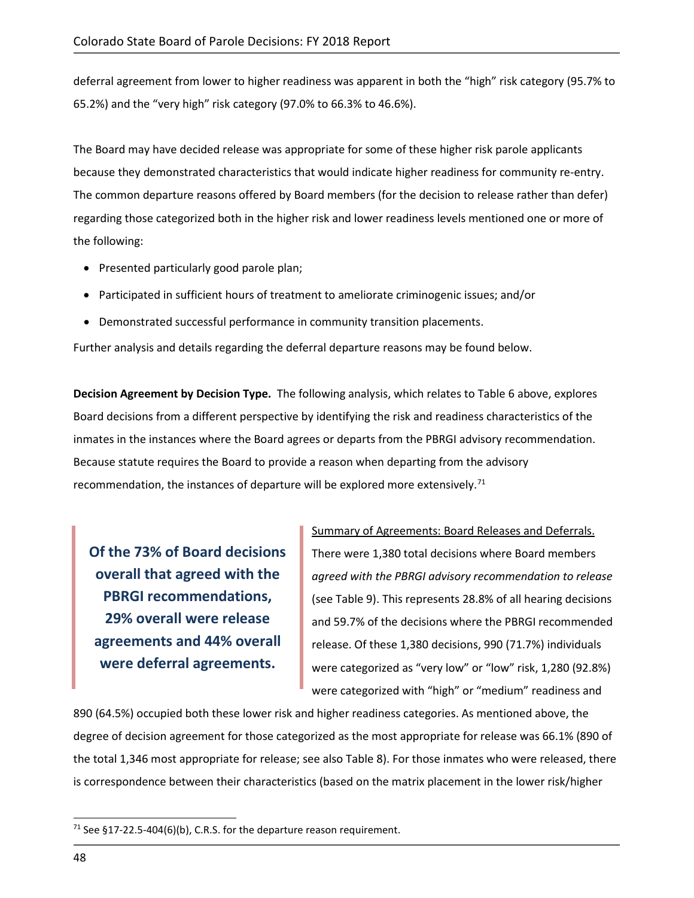deferral agreement from lower to higher readiness was apparent in both the "high" risk category (95.7% to 65.2%) and the "very high" risk category (97.0% to 66.3% to 46.6%).

The Board may have decided release was appropriate for some of these higher risk parole applicants because they demonstrated characteristics that would indicate higher readiness for community re-entry. The common departure reasons offered by Board members (for the decision to release rather than defer) regarding those categorized both in the higher risk and lower readiness levels mentioned one or more of the following:

- Presented particularly good parole plan;
- Participated in sufficient hours of treatment to ameliorate criminogenic issues; and/or
- Demonstrated successful performance in community transition placements.

Further analysis and details regarding the deferral departure reasons may be found below.

**Decision Agreement by Decision Type.** The following analysis, which relates to Table 6 above, explores Board decisions from a different perspective by identifying the risk and readiness characteristics of the inmates in the instances where the Board agrees or departs from the PBRGI advisory recommendation. Because statute requires the Board to provide a reason when departing from the advisory recommendation, the instances of departure will be explored more extensively.<sup>71</sup>

**Of the 73% of Board decisions overall that agreed with the PBRGI recommendations, 29% overall were release agreements and 44% overall were deferral agreements.**

Summary of Agreements: Board Releases and Deferrals. There were 1,380 total decisions where Board members *agreed with the PBRGI advisory recommendation to release* (see Table 9). This represents 28.8% of all hearing decisions and 59.7% of the decisions where the PBRGI recommended release. Of these 1,380 decisions, 990 (71.7%) individuals were categorized as "very low" or "low" risk, 1,280 (92.8%) were categorized with "high" or "medium" readiness and

890 (64.5%) occupied both these lower risk and higher readiness categories. As mentioned above, the degree of decision agreement for those categorized as the most appropriate for release was 66.1% (890 of the total 1,346 most appropriate for release; see also Table 8). For those inmates who were released, there is correspondence between their characteristics (based on the matrix placement in the lower risk/higher

<span id="page-53-0"></span><sup>&</sup>lt;sup>71</sup> See §17-22.5-404(6)(b), C.R.S. for the departure reason requirement.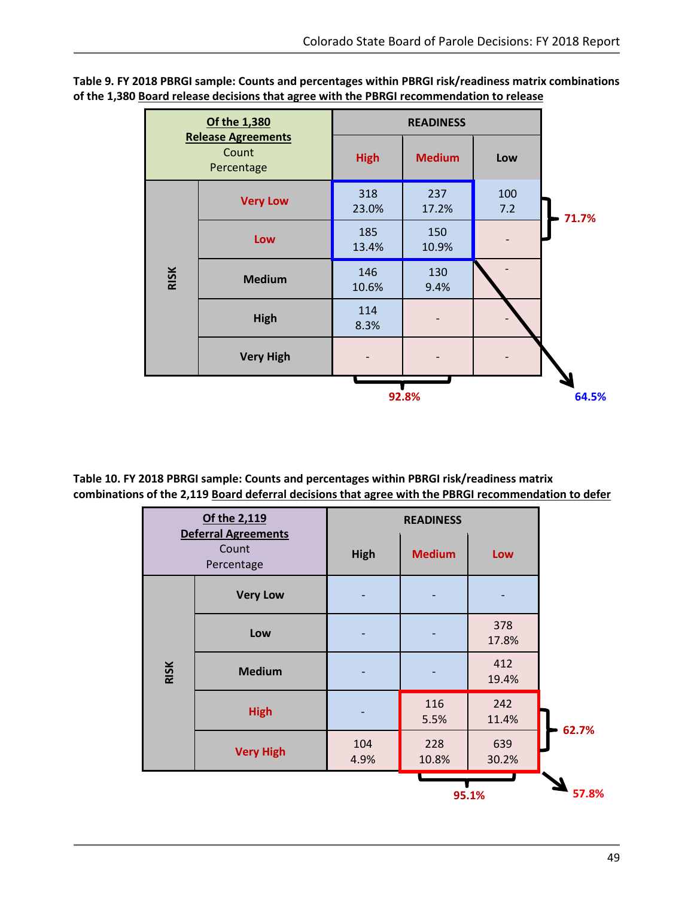| Of the 1,380 |                                                  |              | <b>READINESS</b> |            |       |  |
|--------------|--------------------------------------------------|--------------|------------------|------------|-------|--|
|              | <b>Release Agreements</b><br>Count<br>Percentage | <b>High</b>  | <b>Medium</b>    | Low        |       |  |
|              | <b>Very Low</b>                                  | 318<br>23.0% | 237<br>17.2%     | 100<br>7.2 | 71.7% |  |
|              | Low                                              | 185<br>13.4% | 150<br>10.9%     |            |       |  |
| RISK         | <b>Medium</b>                                    | 146<br>10.6% | 130<br>9.4%      |            |       |  |
|              | High                                             | 114<br>8.3%  |                  |            |       |  |
|              | <b>Very High</b>                                 |              |                  |            |       |  |
| 92.8%        |                                                  |              |                  |            | 64.5% |  |

**Table 9. FY 2018 PBRGI sample: Counts and percentages within PBRGI risk/readiness matrix combinations of the 1,380 Board release decisions that agree with the PBRGI recommendation to release**

**Table 10. FY 2018 PBRGI sample: Counts and percentages within PBRGI risk/readiness matrix combinations of the 2,119 Board deferral decisions that agree with the PBRGI recommendation to defer**

| Of the 2,119 |                                                   |             |               |              |       |
|--------------|---------------------------------------------------|-------------|---------------|--------------|-------|
|              | <b>Deferral Agreements</b><br>Count<br>Percentage | <b>High</b> | <b>Medium</b> | Low          |       |
|              | <b>Very Low</b>                                   |             |               |              |       |
|              | Low                                               |             |               | 378<br>17.8% |       |
| <b>RISK</b>  | <b>Medium</b>                                     |             |               | 412<br>19.4% |       |
|              | <b>High</b>                                       |             | 116<br>5.5%   | 242<br>11.4% | 62.7% |
|              | <b>Very High</b>                                  | 104<br>4.9% | 228<br>10.8%  | 639<br>30.2% |       |
| 95.1%        |                                                   |             |               |              | 57.8% |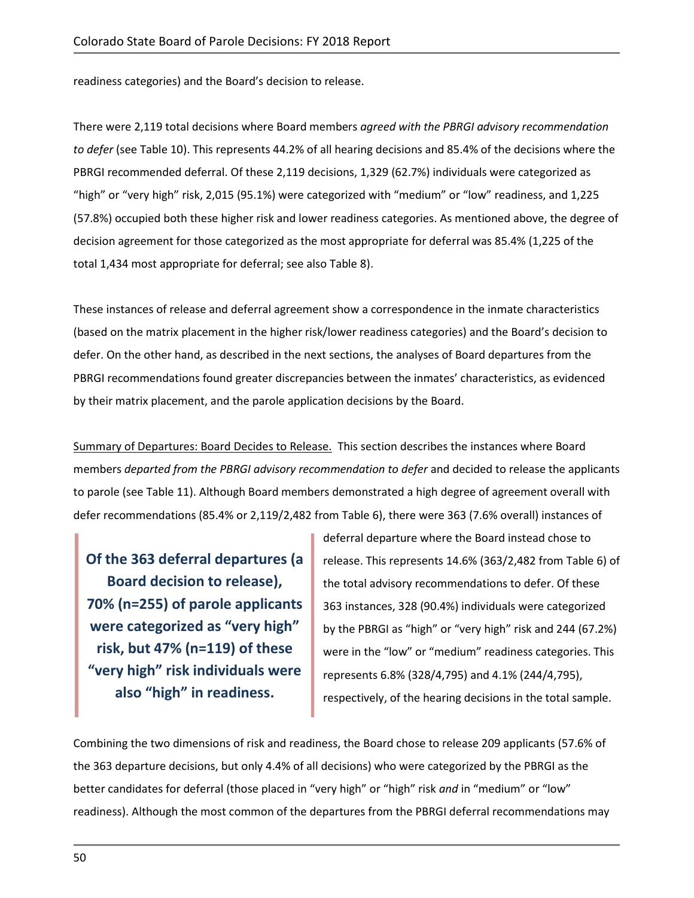readiness categories) and the Board's decision to release.

There were 2,119 total decisions where Board members *agreed with the PBRGI advisory recommendation to defer* (see Table 10). This represents 44.2% of all hearing decisions and 85.4% of the decisions where the PBRGI recommended deferral. Of these 2,119 decisions, 1,329 (62.7%) individuals were categorized as "high" or "very high" risk, 2,015 (95.1%) were categorized with "medium" or "low" readiness, and 1,225 (57.8%) occupied both these higher risk and lower readiness categories. As mentioned above, the degree of decision agreement for those categorized as the most appropriate for deferral was 85.4% (1,225 of the total 1,434 most appropriate for deferral; see also Table 8).

These instances of release and deferral agreement show a correspondence in the inmate characteristics (based on the matrix placement in the higher risk/lower readiness categories) and the Board's decision to defer. On the other hand, as described in the next sections, the analyses of Board departures from the PBRGI recommendations found greater discrepancies between the inmates' characteristics, as evidenced by their matrix placement, and the parole application decisions by the Board.

Summary of Departures: Board Decides to Release. This section describes the instances where Board members *departed from the PBRGI advisory recommendation to defer* and decided to release the applicants to parole (see Table 11). Although Board members demonstrated a high degree of agreement overall with defer recommendations (85.4% or 2,119/2,482 from Table 6), there were 363 (7.6% overall) instances of

**Of the 363 deferral departures (a Board decision to release), 70% (n=255) of parole applicants were categorized as "very high" risk, but 47% (n=119) of these "very high" risk individuals were also "high" in readiness.**

deferral departure where the Board instead chose to release. This represents 14.6% (363/2,482 from Table 6) of the total advisory recommendations to defer. Of these 363 instances, 328 (90.4%) individuals were categorized by the PBRGI as "high" or "very high" risk and 244 (67.2%) were in the "low" or "medium" readiness categories. This represents 6.8% (328/4,795) and 4.1% (244/4,795), respectively, of the hearing decisions in the total sample.

Combining the two dimensions of risk and readiness, the Board chose to release 209 applicants (57.6% of the 363 departure decisions, but only 4.4% of all decisions) who were categorized by the PBRGI as the better candidates for deferral (those placed in "very high" or "high" risk *and* in "medium" or "low" readiness). Although the most common of the departures from the PBRGI deferral recommendations may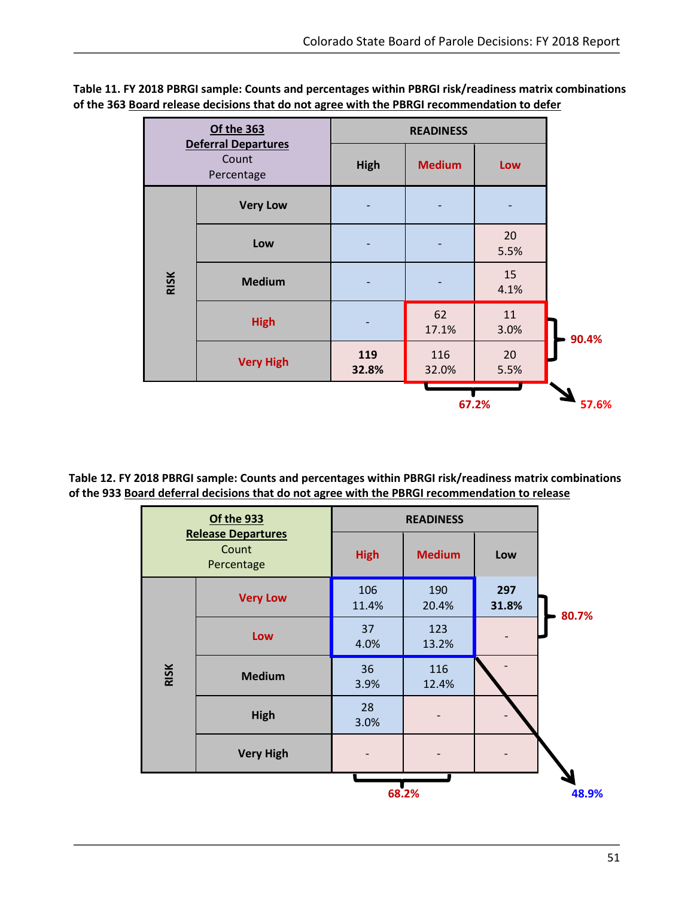| <b>Of the 363</b><br><b>Deferral Departures</b> |                  |                              |              |            |       |
|-------------------------------------------------|------------------|------------------------------|--------------|------------|-------|
| Count<br>Percentage                             |                  | <b>Medium</b><br><b>High</b> |              | Low        |       |
|                                                 | <b>Very Low</b>  |                              |              |            |       |
| RISK                                            | Low              |                              |              | 20<br>5.5% |       |
|                                                 | <b>Medium</b>    |                              |              | 15<br>4.1% |       |
|                                                 | <b>High</b>      |                              | 62<br>17.1%  | 11<br>3.0% | 90.4% |
|                                                 | <b>Very High</b> | 119<br>32.8%                 | 116<br>32.0% | 20<br>5.5% |       |
| 67.2%                                           |                  |                              |              |            |       |

**Table 11. FY 2018 PBRGI sample: Counts and percentages within PBRGI risk/readiness matrix combinations of the 363 Board release decisions that do not agree with the PBRGI recommendation to defer**

**Table 12. FY 2018 PBRGI sample: Counts and percentages within PBRGI risk/readiness matrix combinations of the 933 Board deferral decisions that do not agree with the PBRGI recommendation to release**

| <b>Of the 933</b>                                |                  |              |               |              |       |  |
|--------------------------------------------------|------------------|--------------|---------------|--------------|-------|--|
| <b>Release Departures</b><br>Count<br>Percentage |                  | <b>High</b>  | <b>Medium</b> | Low          |       |  |
|                                                  | <b>Very Low</b>  | 106<br>11.4% | 190<br>20.4%  | 297<br>31.8% | 80.7% |  |
| <b>RISK</b>                                      | Low              | 37<br>4.0%   | 123<br>13.2%  |              |       |  |
|                                                  | <b>Medium</b>    | 36<br>3.9%   | 116<br>12.4%  |              |       |  |
|                                                  | <b>High</b>      | 28<br>3.0%   |               |              |       |  |
|                                                  | <b>Very High</b> |              |               |              |       |  |
| 68.2%                                            |                  |              |               |              |       |  |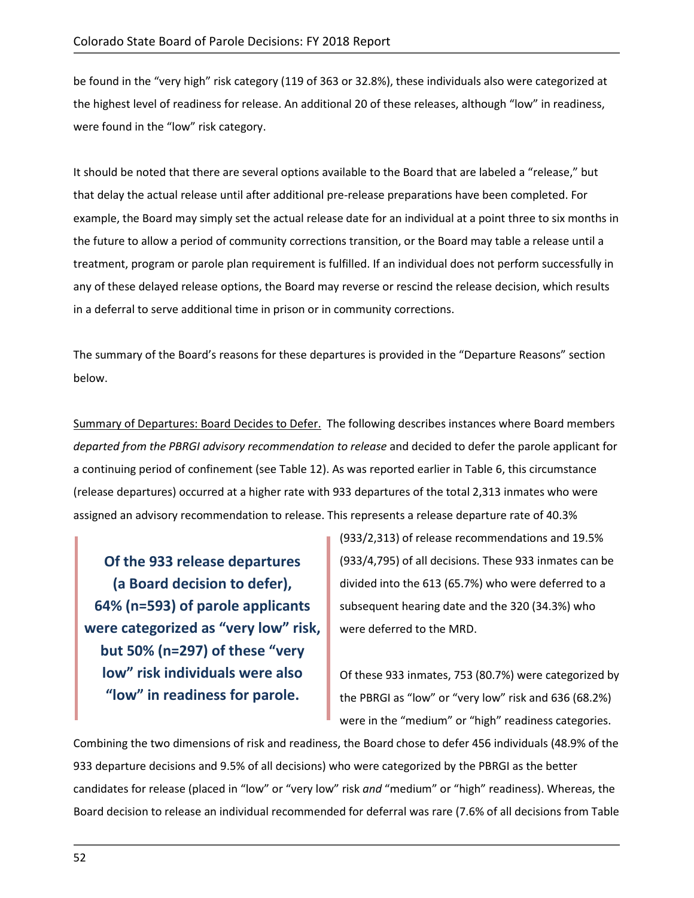be found in the "very high" risk category (119 of 363 or 32.8%), these individuals also were categorized at the highest level of readiness for release. An additional 20 of these releases, although "low" in readiness, were found in the "low" risk category.

It should be noted that there are several options available to the Board that are labeled a "release," but that delay the actual release until after additional pre-release preparations have been completed. For example, the Board may simply set the actual release date for an individual at a point three to six months in the future to allow a period of community corrections transition, or the Board may table a release until a treatment, program or parole plan requirement is fulfilled. If an individual does not perform successfully in any of these delayed release options, the Board may reverse or rescind the release decision, which results in a deferral to serve additional time in prison or in community corrections.

The summary of the Board's reasons for these departures is provided in the "Departure Reasons" section below.

Summary of Departures: Board Decides to Defer.The following describes instances where Board members *departed from the PBRGI advisory recommendation to release* and decided to defer the parole applicant for a continuing period of confinement (see Table 12). As was reported earlier in Table 6, this circumstance (release departures) occurred at a higher rate with 933 departures of the total 2,313 inmates who were assigned an advisory recommendation to release. This represents a release departure rate of 40.3%

**Of the 933 release departures (a Board decision to defer), 64% (n=593) of parole applicants were categorized as "very low" risk, but 50% (n=297) of these "very low" risk individuals were also "low" in readiness for parole.**

(933/2,313) of release recommendations and 19.5% (933/4,795) of all decisions. These 933 inmates can be divided into the 613 (65.7%) who were deferred to a subsequent hearing date and the 320 (34.3%) who were deferred to the MRD.

Of these 933 inmates, 753 (80.7%) were categorized by the PBRGI as "low" or "very low" risk and 636 (68.2%) were in the "medium" or "high" readiness categories.

Combining the two dimensions of risk and readiness, the Board chose to defer 456 individuals (48.9% of the 933 departure decisions and 9.5% of all decisions) who were categorized by the PBRGI as the better candidates for release (placed in "low" or "very low" risk *and* "medium" or "high" readiness). Whereas, the Board decision to release an individual recommended for deferral was rare (7.6% of all decisions from Table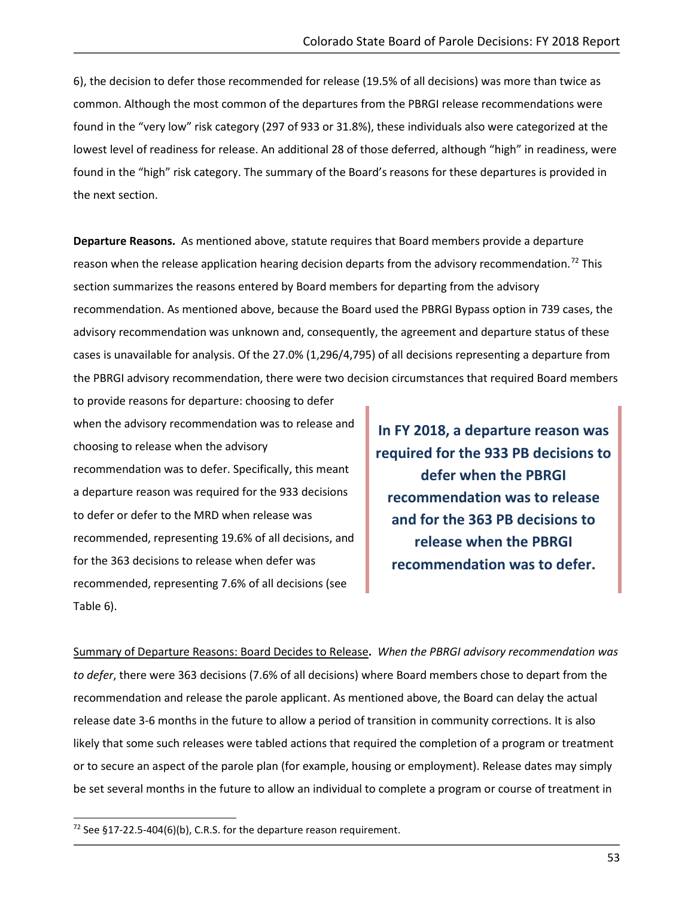6), the decision to defer those recommended for release (19.5% of all decisions) was more than twice as common. Although the most common of the departures from the PBRGI release recommendations were found in the "very low" risk category (297 of 933 or 31.8%), these individuals also were categorized at the lowest level of readiness for release. An additional 28 of those deferred, although "high" in readiness, were found in the "high" risk category. The summary of the Board's reasons for these departures is provided in the next section.

**Departure Reasons.** As mentioned above, statute requires that Board members provide a departure reason when the release application hearing decision departs from the advisory recommendation.<sup>[72](#page-58-0)</sup> This section summarizes the reasons entered by Board members for departing from the advisory recommendation. As mentioned above, because the Board used the PBRGI Bypass option in 739 cases, the advisory recommendation was unknown and, consequently, the agreement and departure status of these cases is unavailable for analysis. Of the 27.0% (1,296/4,795) of all decisions representing a departure from the PBRGI advisory recommendation, there were two decision circumstances that required Board members

to provide reasons for departure: choosing to defer when the advisory recommendation was to release and choosing to release when the advisory recommendation was to defer. Specifically, this meant a departure reason was required for the 933 decisions to defer or defer to the MRD when release was recommended, representing 19.6% of all decisions, and for the 363 decisions to release when defer was recommended, representing 7.6% of all decisions (see Table 6).

**In FY 2018, a departure reason was required for the 933 PB decisions to defer when the PBRGI recommendation was to release and for the 363 PB decisions to release when the PBRGI recommendation was to defer.**

Summary of Departure Reasons: Board Decides to Release**.** *When the PBRGI advisory recommendation was to defer*, there were 363 decisions (7.6% of all decisions) where Board members chose to depart from the recommendation and release the parole applicant. As mentioned above, the Board can delay the actual release date 3-6 months in the future to allow a period of transition in community corrections. It is also likely that some such releases were tabled actions that required the completion of a program or treatment or to secure an aspect of the parole plan (for example, housing or employment). Release dates may simply be set several months in the future to allow an individual to complete a program or course of treatment in

<span id="page-58-0"></span> $72$  See §17-22.5-404(6)(b), C.R.S. for the departure reason requirement.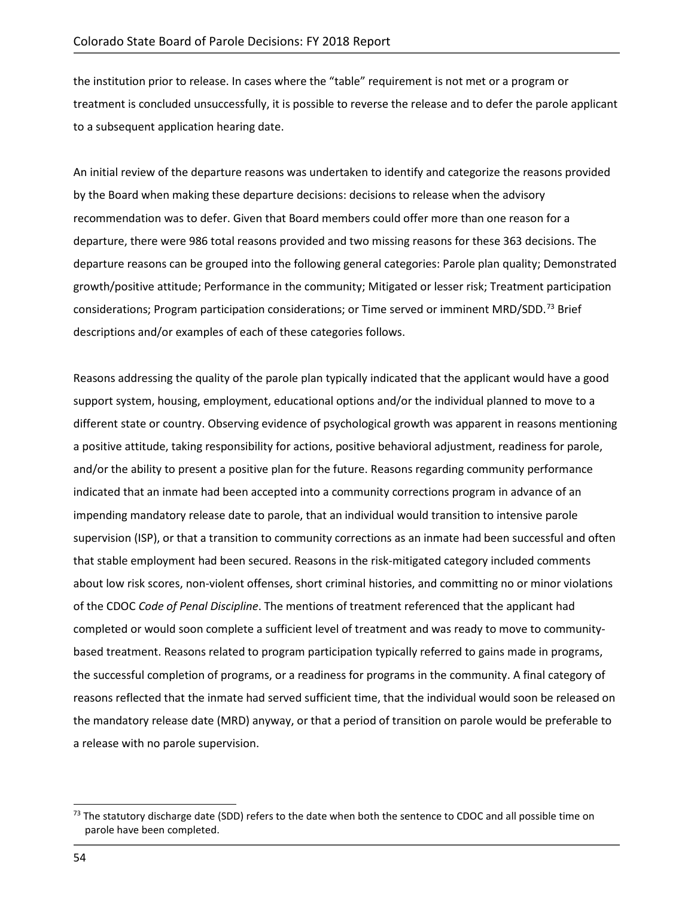the institution prior to release. In cases where the "table" requirement is not met or a program or treatment is concluded unsuccessfully, it is possible to reverse the release and to defer the parole applicant to a subsequent application hearing date.

An initial review of the departure reasons was undertaken to identify and categorize the reasons provided by the Board when making these departure decisions: decisions to release when the advisory recommendation was to defer. Given that Board members could offer more than one reason for a departure, there were 986 total reasons provided and two missing reasons for these 363 decisions. The departure reasons can be grouped into the following general categories: Parole plan quality; Demonstrated growth/positive attitude; Performance in the community; Mitigated or lesser risk; Treatment participation considerations; Program participation considerations; or Time served or imminent MRD/SDD.<sup>[73](#page-59-0)</sup> Brief descriptions and/or examples of each of these categories follows.

Reasons addressing the quality of the parole plan typically indicated that the applicant would have a good support system, housing, employment, educational options and/or the individual planned to move to a different state or country. Observing evidence of psychological growth was apparent in reasons mentioning a positive attitude, taking responsibility for actions, positive behavioral adjustment, readiness for parole, and/or the ability to present a positive plan for the future. Reasons regarding community performance indicated that an inmate had been accepted into a community corrections program in advance of an impending mandatory release date to parole, that an individual would transition to intensive parole supervision (ISP), or that a transition to community corrections as an inmate had been successful and often that stable employment had been secured. Reasons in the risk-mitigated category included comments about low risk scores, non-violent offenses, short criminal histories, and committing no or minor violations of the CDOC *Code of Penal Discipline*. The mentions of treatment referenced that the applicant had completed or would soon complete a sufficient level of treatment and was ready to move to communitybased treatment. Reasons related to program participation typically referred to gains made in programs, the successful completion of programs, or a readiness for programs in the community. A final category of reasons reflected that the inmate had served sufficient time, that the individual would soon be released on the mandatory release date (MRD) anyway, or that a period of transition on parole would be preferable to a release with no parole supervision.

<span id="page-59-0"></span> $73$  The statutory discharge date (SDD) refers to the date when both the sentence to CDOC and all possible time on parole have been completed.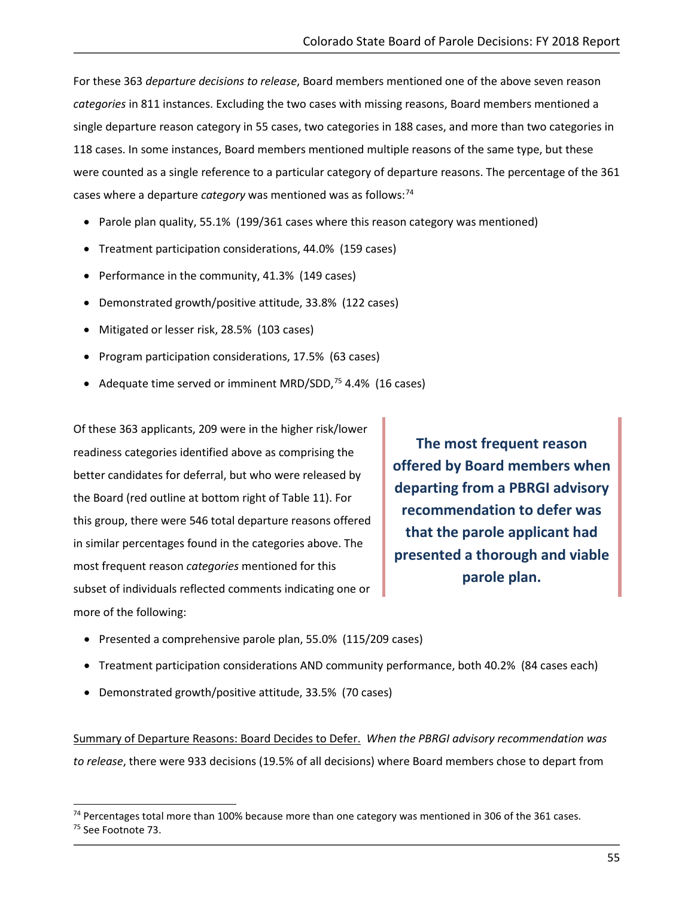For these 363 *departure decisions to release*, Board members mentioned one of the above seven reason *categories* in 811 instances. Excluding the two cases with missing reasons, Board members mentioned a single departure reason category in 55 cases, two categories in 188 cases, and more than two categories in 118 cases. In some instances, Board members mentioned multiple reasons of the same type, but these were counted as a single reference to a particular category of departure reasons. The percentage of the 361 cases where a departure *category* was mentioned was as follows:<sup>[74](#page-60-0)</sup>

- Parole plan quality, 55.1% (199/361 cases where this reason category was mentioned)
- Treatment participation considerations, 44.0% (159 cases)
- Performance in the community, 41.3% (149 cases)
- Demonstrated growth/positive attitude, 33.8% (122 cases)
- Mitigated or lesser risk, 28.5% (103 cases)
- Program participation considerations, 17.5% (63 cases)
- Adequate time served or imminent MRD/SDD,<sup>[75](#page-60-1)</sup> 4.4% (16 cases)

Of these 363 applicants, 209 were in the higher risk/lower readiness categories identified above as comprising the better candidates for deferral, but who were released by the Board (red outline at bottom right of Table 11). For this group, there were 546 total departure reasons offered in similar percentages found in the categories above. The most frequent reason *categories* mentioned for this subset of individuals reflected comments indicating one or more of the following:

**The most frequent reason offered by Board members when departing from a PBRGI advisory recommendation to defer was that the parole applicant had presented a thorough and viable parole plan.**

- Presented a comprehensive parole plan, 55.0% (115/209 cases)
- Treatment participation considerations AND community performance, both 40.2% (84 cases each)
- Demonstrated growth/positive attitude, 33.5% (70 cases)

Summary of Departure Reasons: Board Decides to Defer. *When the PBRGI advisory recommendation was to release*, there were 933 decisions (19.5% of all decisions) where Board members chose to depart from

<span id="page-60-1"></span><span id="page-60-0"></span><sup>&</sup>lt;sup>74</sup> Percentages total more than 100% because more than one category was mentioned in 306 of the 361 cases. <sup>75</sup> See Footnote 73.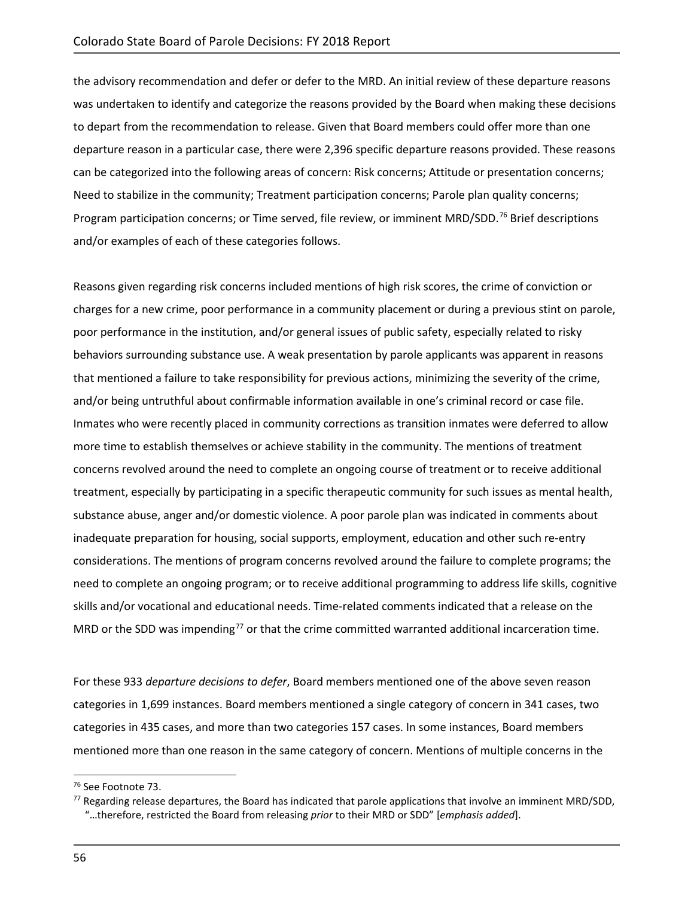the advisory recommendation and defer or defer to the MRD. An initial review of these departure reasons was undertaken to identify and categorize the reasons provided by the Board when making these decisions to depart from the recommendation to release. Given that Board members could offer more than one departure reason in a particular case, there were 2,396 specific departure reasons provided. These reasons can be categorized into the following areas of concern: Risk concerns; Attitude or presentation concerns; Need to stabilize in the community; Treatment participation concerns; Parole plan quality concerns; Program participation concerns; or Time served, file review, or imminent MRD/SDD.<sup>[76](#page-61-0)</sup> Brief descriptions and/or examples of each of these categories follows.

Reasons given regarding risk concerns included mentions of high risk scores, the crime of conviction or charges for a new crime, poor performance in a community placement or during a previous stint on parole, poor performance in the institution, and/or general issues of public safety, especially related to risky behaviors surrounding substance use. A weak presentation by parole applicants was apparent in reasons that mentioned a failure to take responsibility for previous actions, minimizing the severity of the crime, and/or being untruthful about confirmable information available in one's criminal record or case file. Inmates who were recently placed in community corrections as transition inmates were deferred to allow more time to establish themselves or achieve stability in the community. The mentions of treatment concerns revolved around the need to complete an ongoing course of treatment or to receive additional treatment, especially by participating in a specific therapeutic community for such issues as mental health, substance abuse, anger and/or domestic violence. A poor parole plan was indicated in comments about inadequate preparation for housing, social supports, employment, education and other such re-entry considerations. The mentions of program concerns revolved around the failure to complete programs; the need to complete an ongoing program; or to receive additional programming to address life skills, cognitive skills and/or vocational and educational needs. Time-related comments indicated that a release on the MRD or the SDD was impending<sup>[77](#page-61-1)</sup> or that the crime committed warranted additional incarceration time.

For these 933 *departure decisions to defer*, Board members mentioned one of the above seven reason categories in 1,699 instances. Board members mentioned a single category of concern in 341 cases, two categories in 435 cases, and more than two categories 157 cases. In some instances, Board members mentioned more than one reason in the same category of concern. Mentions of multiple concerns in the

<span id="page-61-0"></span> <sup>76</sup> See Footnote 73.

<span id="page-61-1"></span> $77$  Regarding release departures, the Board has indicated that parole applications that involve an imminent MRD/SDD, "…therefore, restricted the Board from releasing *prior* to their MRD or SDD" [*emphasis added*].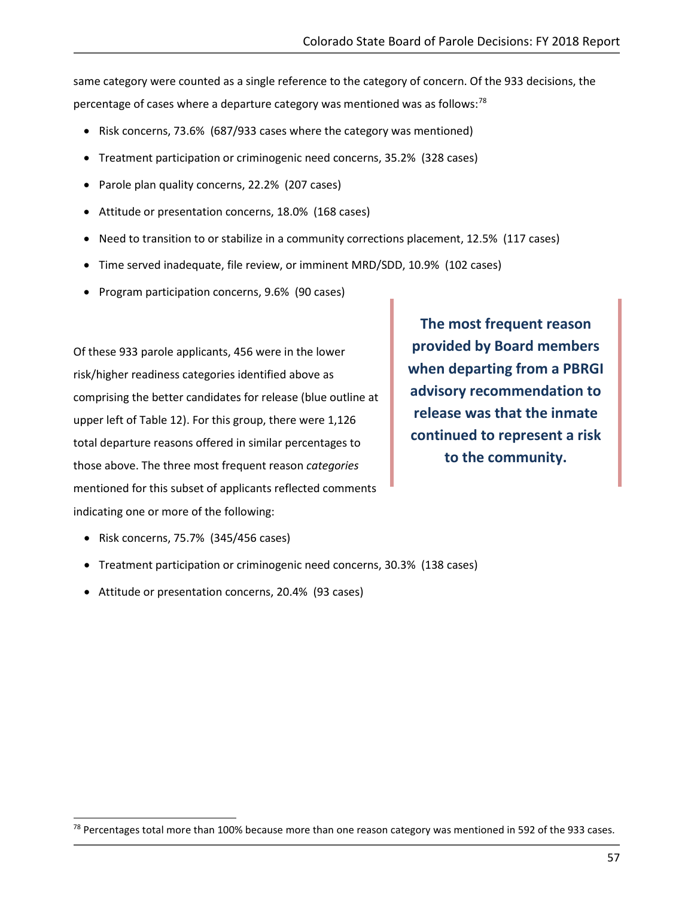same category were counted as a single reference to the category of concern. Of the 933 decisions, the percentage of cases where a departure category was mentioned was as follows:<sup>[78](#page-62-0)</sup>

- Risk concerns, 73.6% (687/933 cases where the category was mentioned)
- Treatment participation or criminogenic need concerns, 35.2% (328 cases)
- Parole plan quality concerns, 22.2% (207 cases)
- Attitude or presentation concerns, 18.0% (168 cases)
- Need to transition to or stabilize in a community corrections placement, 12.5% (117 cases)
- Time served inadequate, file review, or imminent MRD/SDD, 10.9% (102 cases)
- Program participation concerns, 9.6% (90 cases)

Of these 933 parole applicants, 456 were in the lower risk/higher readiness categories identified above as comprising the better candidates for release (blue outline at upper left of Table 12). For this group, there were 1,126 total departure reasons offered in similar percentages to those above. The three most frequent reason *categories* mentioned for this subset of applicants reflected comments indicating one or more of the following:

**The most frequent reason provided by Board members when departing from a PBRGI advisory recommendation to release was that the inmate continued to represent a risk to the community.**

- Risk concerns, 75.7% (345/456 cases)
- Treatment participation or criminogenic need concerns, 30.3% (138 cases)
- Attitude or presentation concerns, 20.4% (93 cases)

<span id="page-62-0"></span> $78$  Percentages total more than 100% because more than one reason category was mentioned in 592 of the 933 cases.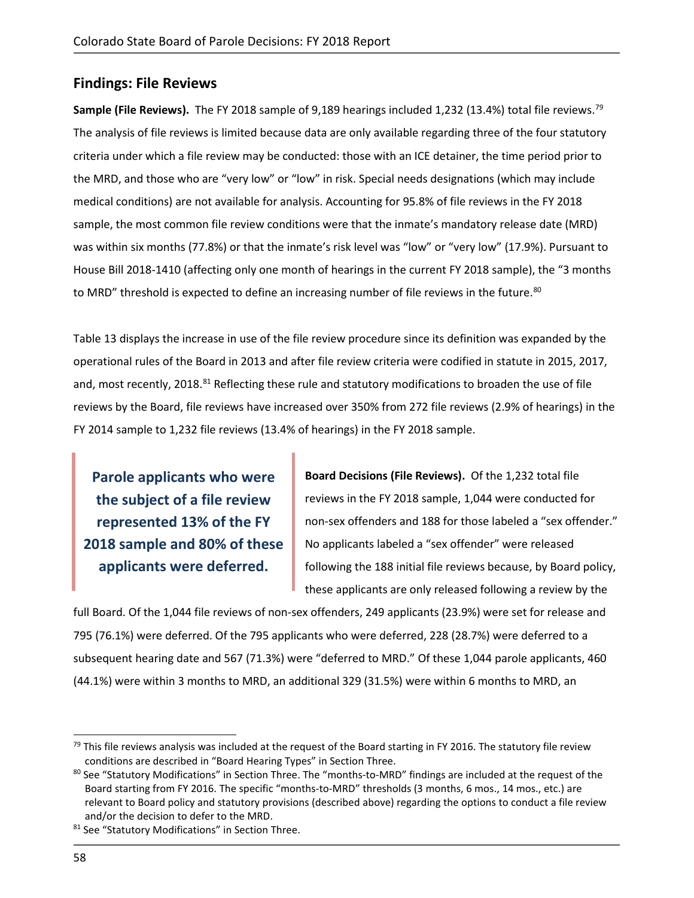## **Findings: File Reviews**

**Sample (File Reviews).** The FY 2018 sample of 9,189 hearings included 1,232 (13.4%) total file reviews. [79](#page-63-0) The analysis of file reviews is limited because data are only available regarding three of the four statutory criteria under which a file review may be conducted: those with an ICE detainer, the time period prior to the MRD, and those who are "very low" or "low" in risk. Special needs designations (which may include medical conditions) are not available for analysis. Accounting for 95.8% of file reviews in the FY 2018 sample, the most common file review conditions were that the inmate's mandatory release date (MRD) was within six months (77.8%) or that the inmate's risk level was "low" or "very low" (17.9%). Pursuant to House Bill 2018-1410 (affecting only one month of hearings in the current FY 2018 sample), the "3 months to MRD" threshold is expected to define an increasing number of file reviews in the future.<sup>[80](#page-63-1)</sup>

Table 13 displays the increase in use of the file review procedure since its definition was expanded by the operational rules of the Board in 2013 and after file review criteria were codified in statute in 2015, 2017, and, most recently, 2018.<sup>[81](#page-63-2)</sup> Reflecting these rule and statutory modifications to broaden the use of file reviews by the Board, file reviews have increased over 350% from 272 file reviews (2.9% of hearings) in the FY 2014 sample to 1,232 file reviews (13.4% of hearings) in the FY 2018 sample.

**Parole applicants who were the subject of a file review represented 13% of the FY 2018 sample and 80% of these applicants were deferred.**

**Board Decisions (File Reviews).** Of the 1,232 total file reviews in the FY 2018 sample, 1,044 were conducted for non-sex offenders and 188 for those labeled a "sex offender." No applicants labeled a "sex offender" were released following the 188 initial file reviews because, by Board policy, these applicants are only released following a review by the

full Board. Of the 1,044 file reviews of non-sex offenders, 249 applicants (23.9%) were set for release and 795 (76.1%) were deferred. Of the 795 applicants who were deferred, 228 (28.7%) were deferred to a subsequent hearing date and 567 (71.3%) were "deferred to MRD." Of these 1,044 parole applicants, 460 (44.1%) were within 3 months to MRD, an additional 329 (31.5%) were within 6 months to MRD, an

<span id="page-63-0"></span> $79$  This file reviews analysis was included at the request of the Board starting in FY 2016. The statutory file review conditions are described in "Board Hearing Types" in Section Three.

<span id="page-63-1"></span><sup>80</sup> See "Statutory Modifications" in Section Three. The "months-to-MRD" findings are included at the request of the Board starting from FY 2016. The specific "months-to-MRD" thresholds (3 months, 6 mos., 14 mos., etc.) are relevant to Board policy and statutory provisions (described above) regarding the options to conduct a file review and/or the decision to defer to the MRD.

<span id="page-63-2"></span><sup>81</sup> See "Statutory Modifications" in Section Three.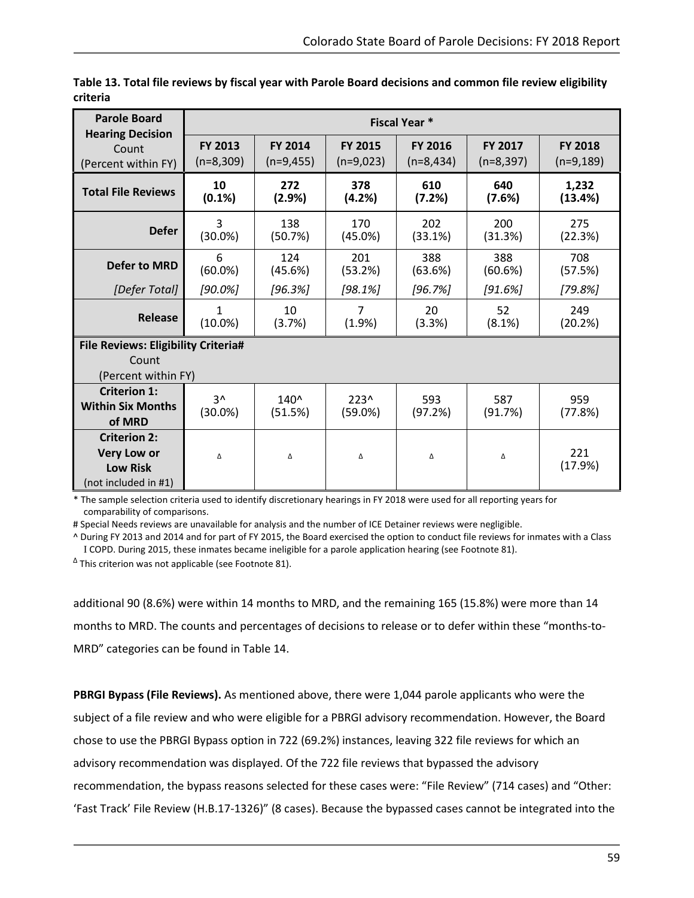| <b>Parole Board</b><br><b>Hearing Decision</b>                                | <b>Fiscal Year *</b>    |                          |                   |                |                |                |  |
|-------------------------------------------------------------------------------|-------------------------|--------------------------|-------------------|----------------|----------------|----------------|--|
| Count                                                                         | FY 2013                 | FY 2014                  | FY 2015           | FY 2016        | FY 2017        | <b>FY 2018</b> |  |
| (Percent within FY)                                                           | $(n=8,309)$             | $(n=9,455)$              | $(n=9,023)$       | $(n=8,434)$    | $(n=8, 397)$   | $(n=9,189)$    |  |
| <b>Total File Reviews</b>                                                     | 10                      | 272                      | 378               | 610            | 640            | 1,232          |  |
|                                                                               | (0.1%)                  | (2.9%)                   | (4.2%)            | (7.2%)         | (7.6%)         | (13.4%)        |  |
| <b>Defer</b>                                                                  | 3                       | 138                      | 170               | 202            | 200            | 275            |  |
|                                                                               | (30.0%)                 | (50.7%)                  | (45.0%)           | (33.1%)        | (31.3%)        | (22.3%)        |  |
| <b>Defer to MRD</b>                                                           | 6                       | 124                      | 201               | 388            | 388            | 708            |  |
|                                                                               | $(60.0\%)$              | (45.6%)                  | (53.2%)           | (63.6%)        | (60.6%)        | (57.5%)        |  |
| [Defer Total]                                                                 | $[90.0\%]$              | [96.3%]                  | [98.1%]           | [96.7%]        | [91.6%]        | [79.8%]        |  |
| <b>Release</b>                                                                | 1                       | 10                       | 7                 | 20             | 52             | 249            |  |
|                                                                               | $(10.0\%)$              | (3.7%)                   | (1.9%)            | (3.3%)         | (8.1%)         | (20.2%)        |  |
| <b>File Reviews: Eligibility Criteria#</b><br>Count<br>(Percent within FY)    |                         |                          |                   |                |                |                |  |
| <b>Criterion 1:</b><br><b>Within Six Months</b><br>of MRD                     | $3^{\wedge}$<br>(30.0%) | $140^{\circ}$<br>(51.5%) | $223^$<br>(59.0%) | 593<br>(97.2%) | 587<br>(91.7%) | 959<br>(77.8%) |  |
| <b>Criterion 2:</b><br>Very Low or<br><b>Low Risk</b><br>(not included in #1) | Δ                       | Δ                        | Δ                 | Δ              | Δ              | 221<br>(17.9%) |  |

| Table 13. Total file reviews by fiscal year with Parole Board decisions and common file review eligibility |  |
|------------------------------------------------------------------------------------------------------------|--|
| criteria                                                                                                   |  |

\* The sample selection criteria used to identify discretionary hearings in FY 2018 were used for all reporting years for comparability of comparisons.

# Special Needs reviews are unavailable for analysis and the number of ICE Detainer reviews were negligible.

^ During FY 2013 and 2014 and for part of FY 2015, the Board exercised the option to conduct file reviews for inmates with a Class I COPD. During 2015, these inmates became ineligible for a parole application hearing (see Footnote 81).

 $\Delta$  This criterion was not applicable (see Footnote 81).

additional 90 (8.6%) were within 14 months to MRD, and the remaining 165 (15.8%) were more than 14 months to MRD. The counts and percentages of decisions to release or to defer within these "months-to-MRD" categories can be found in Table 14.

**PBRGI Bypass (File Reviews).** As mentioned above, there were 1,044 parole applicants who were the subject of a file review and who were eligible for a PBRGI advisory recommendation. However, the Board chose to use the PBRGI Bypass option in 722 (69.2%) instances, leaving 322 file reviews for which an advisory recommendation was displayed. Of the 722 file reviews that bypassed the advisory recommendation, the bypass reasons selected for these cases were: "File Review" (714 cases) and "Other: 'Fast Track' File Review (H.B.17-1326)" (8 cases). Because the bypassed cases cannot be integrated into the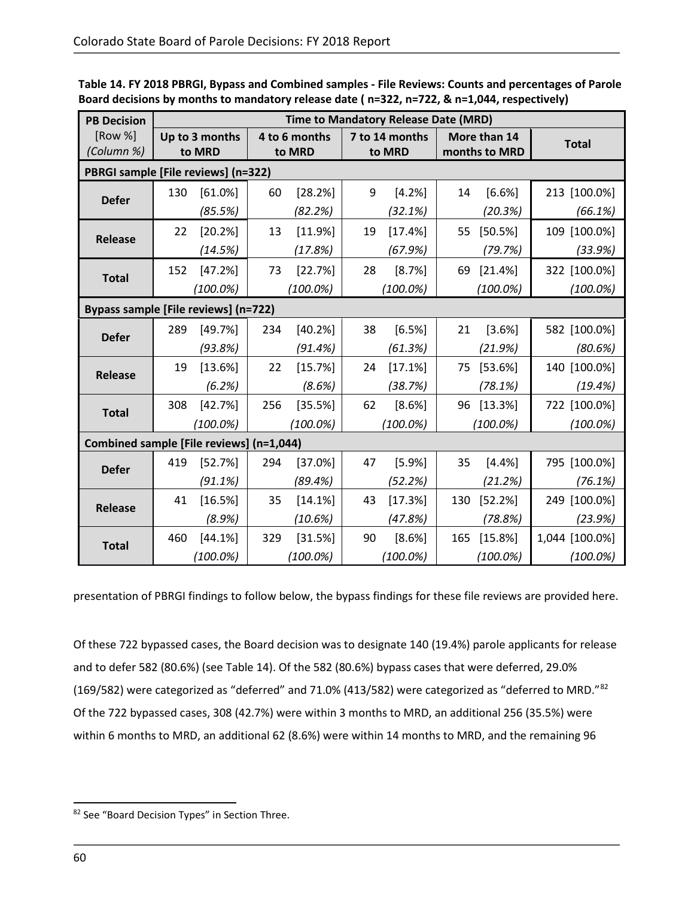| <b>PB Decision</b> | <b>Time to Mandatory Release Date (MRD)</b> |                |               |                |                |  |
|--------------------|---------------------------------------------|----------------|---------------|----------------|----------------|--|
| [Row %]            | Up to 3 months                              | 4 to 6 months  |               | More than 14   | <b>Total</b>   |  |
| (Column %)         | to MRD                                      | to MRD         | to MRD        | months to MRD  |                |  |
|                    | PBRGI sample [File reviews] (n=322)         |                |               |                |                |  |
| <b>Defer</b>       | 130<br>[61.0%]                              | 60<br>[28.2%]  | 9<br>[4.2%]   | 14<br>[6.6%]   | 213 [100.0%]   |  |
|                    | (85.5%)                                     | (82.2%)        | (32.1%)       | (20.3%)        | (66.1%)        |  |
| Release            | [20.2%]<br>22                               | [11.9%]<br>13  | 19<br>[17.4%] | [50.5%]<br>55  | 109 [100.0%]   |  |
|                    | (14.5%)                                     | (17.8%)        | (67.9%)       | (79.7%)        | (33.9%)        |  |
| <b>Total</b>       | 152<br>[47.2%]                              | 73<br>[22.7%]  | 28<br>[8.7%]  | 69<br>[21.4%]  | 322 [100.0%]   |  |
|                    | $(100.0\%)$                                 | $(100.0\%)$    | $(100.0\%)$   | $(100.0\%)$    | $(100.0\%)$    |  |
|                    | Bypass sample [File reviews] (n=722)        |                |               |                |                |  |
| <b>Defer</b>       | 289<br>[49.7%]                              | 234<br>[40.2%] | 38<br>[6.5%]  | 21<br>[3.6%]   | 582 [100.0%]   |  |
|                    | (93.8%)                                     | (91.4%)        | (61.3%)       | (21.9%)        | (80.6%)        |  |
| <b>Release</b>     | 19<br>[13.6%]                               | 22<br>[15.7%]  | 24<br>[17.1%] | [53.6%]<br>75  | 140 [100.0%]   |  |
|                    | (6.2%)                                      | (8.6%)         | (38.7%)       | (78.1%)        | (19.4%)        |  |
| <b>Total</b>       | 308<br>[42.7%]                              | 256<br>[35.5%] | 62<br>[8.6%]  | [13.3%]<br>96  | 722 [100.0%]   |  |
|                    | $(100.0\%)$                                 | $(100.0\%)$    | $(100.0\%)$   | $(100.0\%)$    | $(100.0\%)$    |  |
|                    | Combined sample [File reviews] (n=1,044)    |                |               |                |                |  |
| <b>Defer</b>       | 419<br>[52.7%]                              | 294<br>[37.0%] | 47<br>[5.9%]  | 35<br>[4.4%]   | 795 [100.0%]   |  |
|                    | (91.1%)                                     | (89.4%)        | (52.2%)       | (21.2%)        | (76.1%)        |  |
| <b>Release</b>     | 41<br>[16.5%]                               | 35<br>[14.1%]  | 43<br>[17.3%] | 130<br>[52.2%] | 249 [100.0%]   |  |
|                    | (8.9%)                                      | (10.6%)        | (47.8%)       | (78.8%)        | (23.9%)        |  |
| <b>Total</b>       | 460<br>[44.1%]                              | 329<br>[31.5%] | 90<br>[8.6%]  | [15.8%]<br>165 | 1,044 [100.0%] |  |
|                    | $(100.0\%)$                                 | $(100.0\%)$    | $(100.0\%)$   | $(100.0\%)$    | $(100.0\%)$    |  |

**Table 14. FY 2018 PBRGI, Bypass and Combined samples - File Reviews: Counts and percentages of Parole Board decisions by months to mandatory release date ( n=322, n=722, & n=1,044, respectively)**

presentation of PBRGI findings to follow below, the bypass findings for these file reviews are provided here.

Of these 722 bypassed cases, the Board decision was to designate 140 (19.4%) parole applicants for release and to defer 582 (80.6%) (see Table 14). Of the 582 (80.6%) bypass cases that were deferred, 29.0% (169/5[82](#page-65-0)) were categorized as "deferred" and 71.0% (413/582) were categorized as "deferred to MRD." $82$ Of the 722 bypassed cases, 308 (42.7%) were within 3 months to MRD, an additional 256 (35.5%) were within 6 months to MRD, an additional 62 (8.6%) were within 14 months to MRD, and the remaining 96

<span id="page-65-0"></span><sup>82</sup> See "Board Decision Types" in Section Three.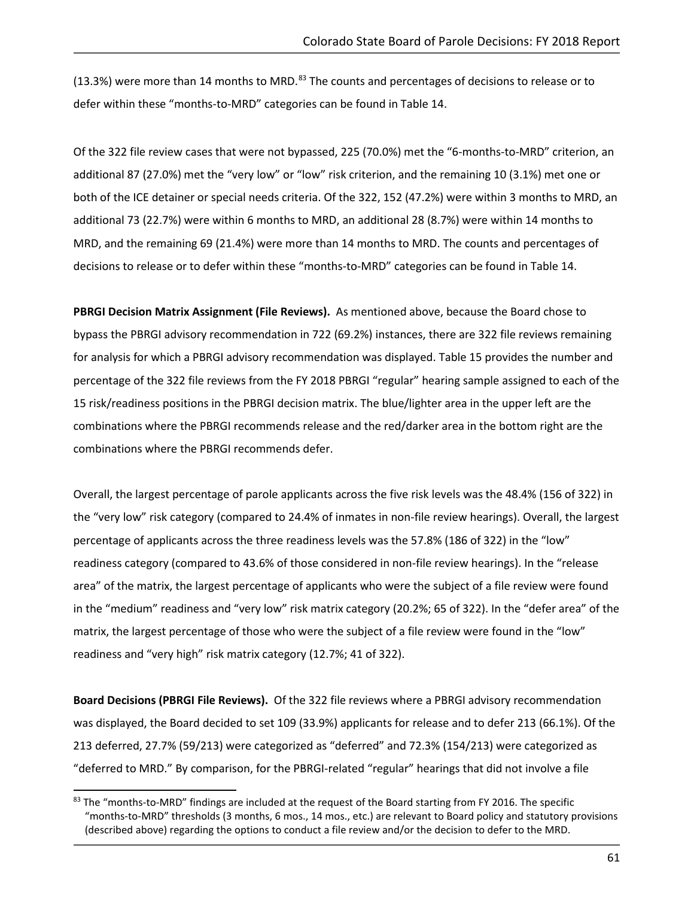(13.3%) were more than 14 months to MRD.<sup>[83](#page-66-0)</sup> The counts and percentages of decisions to release or to defer within these "months-to-MRD" categories can be found in Table 14.

Of the 322 file review cases that were not bypassed, 225 (70.0%) met the "6-months-to-MRD" criterion, an additional 87 (27.0%) met the "very low" or "low" risk criterion, and the remaining 10 (3.1%) met one or both of the ICE detainer or special needs criteria. Of the 322, 152 (47.2%) were within 3 months to MRD, an additional 73 (22.7%) were within 6 months to MRD, an additional 28 (8.7%) were within 14 months to MRD, and the remaining 69 (21.4%) were more than 14 months to MRD. The counts and percentages of decisions to release or to defer within these "months-to-MRD" categories can be found in Table 14.

**PBRGI Decision Matrix Assignment (File Reviews).** As mentioned above, because the Board chose to bypass the PBRGI advisory recommendation in 722 (69.2%) instances, there are 322 file reviews remaining for analysis for which a PBRGI advisory recommendation was displayed. Table 15 provides the number and percentage of the 322 file reviews from the FY 2018 PBRGI "regular" hearing sample assigned to each of the 15 risk/readiness positions in the PBRGI decision matrix. The blue/lighter area in the upper left are the combinations where the PBRGI recommends release and the red/darker area in the bottom right are the combinations where the PBRGI recommends defer.

Overall, the largest percentage of parole applicants across the five risk levels was the 48.4% (156 of 322) in the "very low" risk category (compared to 24.4% of inmates in non-file review hearings). Overall, the largest percentage of applicants across the three readiness levels was the 57.8% (186 of 322) in the "low" readiness category (compared to 43.6% of those considered in non-file review hearings). In the "release area" of the matrix, the largest percentage of applicants who were the subject of a file review were found in the "medium" readiness and "very low" risk matrix category (20.2%; 65 of 322). In the "defer area" of the matrix, the largest percentage of those who were the subject of a file review were found in the "low" readiness and "very high" risk matrix category (12.7%; 41 of 322).

**Board Decisions (PBRGI File Reviews).** Of the 322 file reviews where a PBRGI advisory recommendation was displayed, the Board decided to set 109 (33.9%) applicants for release and to defer 213 (66.1%). Of the 213 deferred, 27.7% (59/213) were categorized as "deferred" and 72.3% (154/213) were categorized as "deferred to MRD." By comparison, for the PBRGI-related "regular" hearings that did not involve a file

<span id="page-66-0"></span> $83$  The "months-to-MRD" findings are included at the request of the Board starting from FY 2016. The specific "months-to-MRD" thresholds (3 months, 6 mos., 14 mos., etc.) are relevant to Board policy and statutory provisions (described above) regarding the options to conduct a file review and/or the decision to defer to the MRD.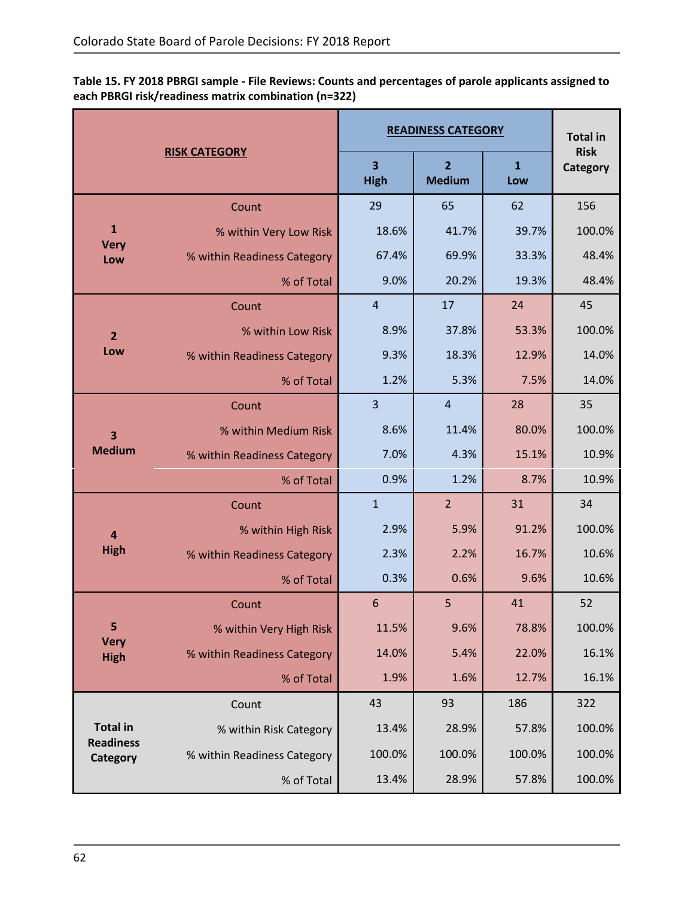**Table 15. FY 2018 PBRGI sample - File Reviews: Counts and percentages of parole applicants assigned to each PBRGI risk/readiness matrix combination (n=322)**

|                                     |                             | <b>READINESS CATEGORY</b>              | <b>Total in</b>                 |                     |                         |
|-------------------------------------|-----------------------------|----------------------------------------|---------------------------------|---------------------|-------------------------|
|                                     | <b>RISK CATEGORY</b>        | $\overline{\mathbf{3}}$<br><b>High</b> | $\overline{2}$<br><b>Medium</b> | $\mathbf{1}$<br>Low | <b>Risk</b><br>Category |
|                                     | Count                       | 29                                     | 65                              | 62                  | 156                     |
| $\mathbf{1}$                        | % within Very Low Risk      | 18.6%                                  | 41.7%                           | 39.7%               | 100.0%                  |
| <b>Very</b><br>Low                  | % within Readiness Category | 67.4%                                  | 69.9%                           | 33.3%               | 48.4%                   |
|                                     | % of Total                  | 9.0%                                   | 20.2%                           | 19.3%               | 48.4%                   |
|                                     | Count                       | $\overline{4}$                         | 17                              | 24                  | 45                      |
| $\overline{2}$                      | % within Low Risk           | 8.9%                                   | 37.8%                           | 53.3%               | 100.0%                  |
| Low                                 | % within Readiness Category | 9.3%                                   | 18.3%                           | 12.9%               | 14.0%                   |
|                                     | % of Total                  | 1.2%                                   | 5.3%                            | 7.5%                | 14.0%                   |
|                                     | Count                       | $\overline{3}$                         | $\overline{4}$                  | 28                  | 35                      |
| $\overline{\mathbf{3}}$             | % within Medium Risk        | 8.6%                                   | 11.4%                           | 80.0%               | 100.0%                  |
| <b>Medium</b>                       | % within Readiness Category | 7.0%                                   | 4.3%                            | 15.1%               | 10.9%                   |
|                                     | % of Total                  | 0.9%                                   | 1.2%                            | 8.7%                | 10.9%                   |
|                                     | Count                       | $\mathbf{1}$                           | $\overline{2}$                  | 31                  | 34                      |
| $\overline{4}$                      | % within High Risk          | 2.9%                                   | 5.9%                            | 91.2%               | 100.0%                  |
| <b>High</b>                         | % within Readiness Category | 2.3%                                   | 2.2%                            | 16.7%               | 10.6%                   |
|                                     | % of Total                  | 0.3%                                   | 0.6%                            | 9.6%                | 10.6%                   |
|                                     | Count                       | 6                                      | 5                               | 41                  | 52                      |
| 5                                   | % within Very High Risk     | 11.5%                                  | 9.6%                            | 78.8%               | 100.0%                  |
| <b>Very</b><br><b>High</b>          | % within Readiness Category | 14.0%                                  | 5.4%                            | 22.0%               | 16.1%                   |
|                                     | % of Total                  | 1.9%                                   | 1.6%                            | 12.7%               | 16.1%                   |
|                                     | Count                       | 43                                     | 93                              | 186                 | 322                     |
| <b>Total in</b>                     | % within Risk Category      | 13.4%                                  | 28.9%                           | 57.8%               | 100.0%                  |
| <b>Readiness</b><br><b>Category</b> | % within Readiness Category | 100.0%                                 | 100.0%                          | 100.0%              | 100.0%                  |
|                                     | % of Total                  | 13.4%                                  | 28.9%                           | 57.8%               | 100.0%                  |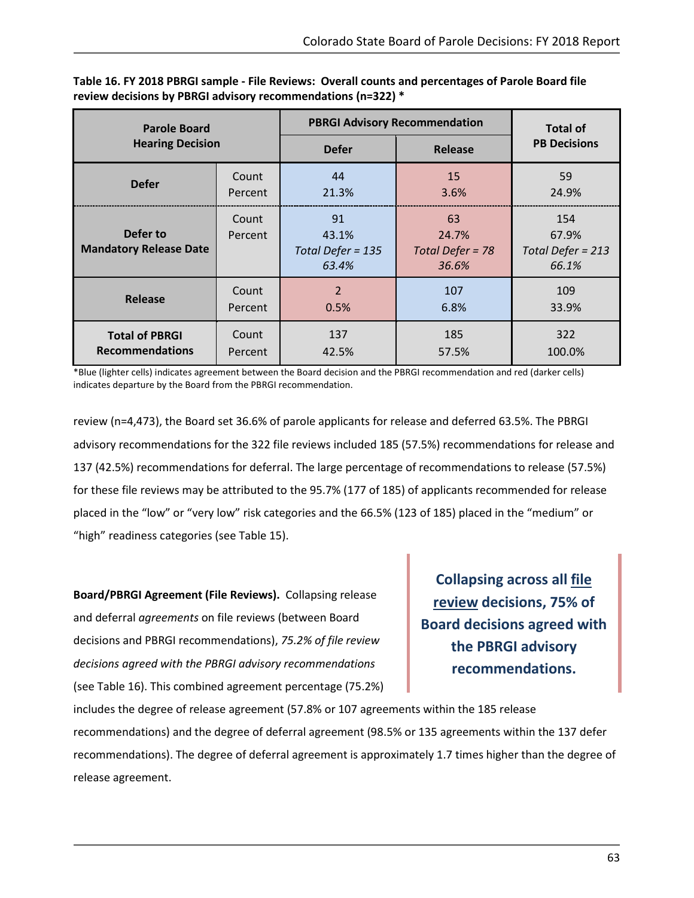| <b>Parole Board</b><br><b>Hearing Decision</b> |                  | <b>PBRGI Advisory Recommendation</b>      | <b>Total of</b>                          |                                            |
|------------------------------------------------|------------------|-------------------------------------------|------------------------------------------|--------------------------------------------|
|                                                |                  | <b>Defer</b>                              | Release                                  | <b>PB Decisions</b>                        |
| <b>Defer</b>                                   | Count            | 44                                        | 15                                       | 59                                         |
|                                                | Percent          | 21.3%                                     | 3.6%                                     | 24.9%                                      |
| Defer to<br><b>Mandatory Release Date</b>      | Count<br>Percent | 91<br>43.1%<br>Total Defer = 135<br>63.4% | 63<br>24.7%<br>Total Defer = 78<br>36.6% | 154<br>67.9%<br>Total Defer = 213<br>66.1% |
| Release                                        | Count            | $\overline{2}$                            | 107                                      | 109                                        |
|                                                | Percent          | 0.5%                                      | 6.8%                                     | 33.9%                                      |
| <b>Total of PBRGI</b>                          | Count            | 137                                       | 185                                      | 322                                        |
| <b>Recommendations</b>                         | Percent          | 42.5%                                     | 57.5%                                    | 100.0%                                     |

**Table 16. FY 2018 PBRGI sample - File Reviews: Overall counts and percentages of Parole Board file review decisions by PBRGI advisory recommendations (n=322) \***

\*Blue (lighter cells) indicates agreement between the Board decision and the PBRGI recommendation and red (darker cells) indicates departure by the Board from the PBRGI recommendation.

review (n=4,473), the Board set 36.6% of parole applicants for release and deferred 63.5%. The PBRGI advisory recommendations for the 322 file reviews included 185 (57.5%) recommendations for release and 137 (42.5%) recommendations for deferral. The large percentage of recommendations to release (57.5%) for these file reviews may be attributed to the 95.7% (177 of 185) of applicants recommended for release placed in the "low" or "very low" risk categories and the 66.5% (123 of 185) placed in the "medium" or "high" readiness categories (see Table 15).

**Board/PBRGI Agreement (File Reviews).** Collapsing release and deferral *agreements* on file reviews (between Board decisions and PBRGI recommendations), *75.2% of file review decisions agreed with the PBRGI advisory recommendations* (see Table 16). This combined agreement percentage (75.2%)

**Collapsing across all file review decisions, 75% of Board decisions agreed with the PBRGI advisory recommendations.**

includes the degree of release agreement (57.8% or 107 agreements within the 185 release recommendations) and the degree of deferral agreement (98.5% or 135 agreements within the 137 defer recommendations). The degree of deferral agreement is approximately 1.7 times higher than the degree of release agreement.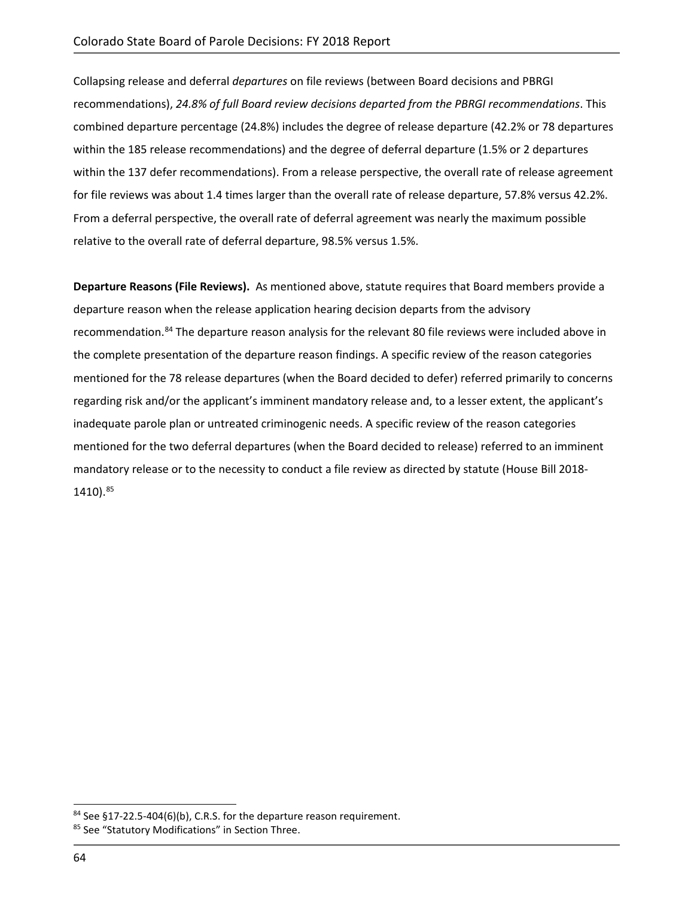Collapsing release and deferral *departures* on file reviews (between Board decisions and PBRGI recommendations), *24.8% of full Board review decisions departed from the PBRGI recommendations*. This combined departure percentage (24.8%) includes the degree of release departure (42.2% or 78 departures within the 185 release recommendations) and the degree of deferral departure (1.5% or 2 departures within the 137 defer recommendations). From a release perspective, the overall rate of release agreement for file reviews was about 1.4 times larger than the overall rate of release departure, 57.8% versus 42.2%. From a deferral perspective, the overall rate of deferral agreement was nearly the maximum possible relative to the overall rate of deferral departure, 98.5% versus 1.5%.

**Departure Reasons (File Reviews).** As mentioned above, statute requires that Board members provide a departure reason when the release application hearing decision departs from the advisory recommendation.<sup>[84](#page-69-0)</sup> The departure reason analysis for the relevant 80 file reviews were included above in the complete presentation of the departure reason findings. A specific review of the reason categories mentioned for the 78 release departures (when the Board decided to defer) referred primarily to concerns regarding risk and/or the applicant's imminent mandatory release and, to a lesser extent, the applicant's inadequate parole plan or untreated criminogenic needs. A specific review of the reason categories mentioned for the two deferral departures (when the Board decided to release) referred to an imminent mandatory release or to the necessity to conduct a file review as directed by statute (House Bill 2018- 1410).<sup>[85](#page-69-1)</sup>

<span id="page-69-0"></span><sup>84</sup> See §17-22.5-404(6)(b), C.R.S. for the departure reason requirement.

<span id="page-69-1"></span><sup>85</sup> See "Statutory Modifications" in Section Three.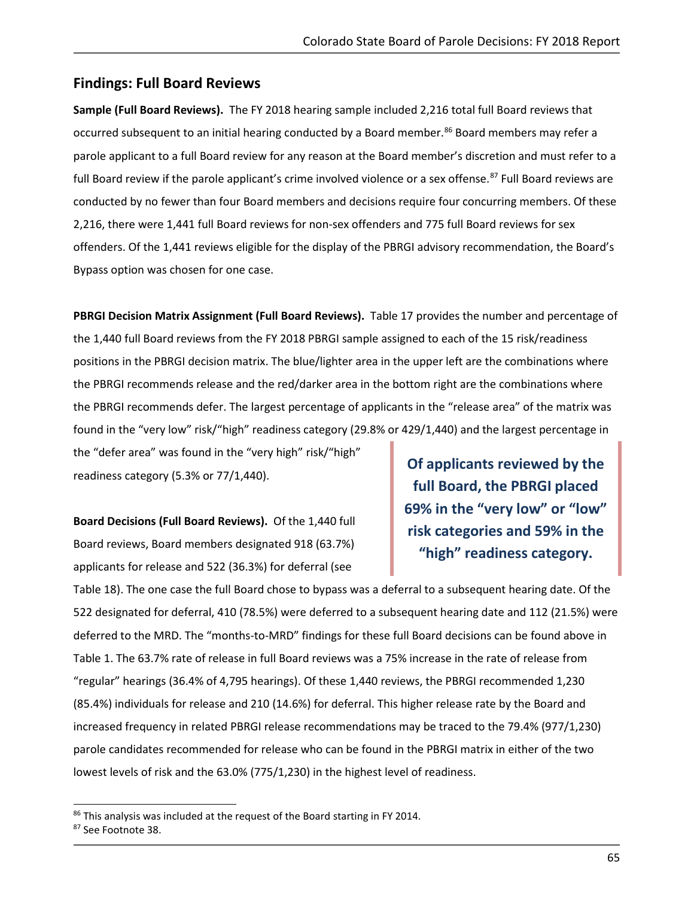## **Findings: Full Board Reviews**

**Sample (Full Board Reviews).** The FY 2018 hearing sample included 2,216 total full Board reviews that occurred subsequent to an initial hearing conducted by a Board member.<sup>[86](#page-70-0)</sup> Board members may refer a parole applicant to a full Board review for any reason at the Board member's discretion and must refer to a full Board review if the parole applicant's crime involved violence or a sex offense.<sup>[87](#page-70-1)</sup> Full Board reviews are conducted by no fewer than four Board members and decisions require four concurring members. Of these 2,216, there were 1,441 full Board reviews for non-sex offenders and 775 full Board reviews for sex offenders. Of the 1,441 reviews eligible for the display of the PBRGI advisory recommendation, the Board's Bypass option was chosen for one case.

**PBRGI Decision Matrix Assignment (Full Board Reviews).** Table 17 provides the number and percentage of the 1,440 full Board reviews from the FY 2018 PBRGI sample assigned to each of the 15 risk/readiness positions in the PBRGI decision matrix. The blue/lighter area in the upper left are the combinations where the PBRGI recommends release and the red/darker area in the bottom right are the combinations where the PBRGI recommends defer. The largest percentage of applicants in the "release area" of the matrix was found in the "very low" risk/"high" readiness category (29.8% or 429/1,440) and the largest percentage in

the "defer area" was found in the "very high" risk/"high" readiness category (5.3% or 77/1,440).

**Board Decisions (Full Board Reviews).** Of the 1,440 full Board reviews, Board members designated 918 (63.7%) applicants for release and 522 (36.3%) for deferral (see

**Of applicants reviewed by the full Board, the PBRGI placed 69% in the "very low" or "low" risk categories and 59% in the "high" readiness category.**

Table 18). The one case the full Board chose to bypass was a deferral to a subsequent hearing date. Of the 522 designated for deferral, 410 (78.5%) were deferred to a subsequent hearing date and 112 (21.5%) were deferred to the MRD. The "months-to-MRD" findings for these full Board decisions can be found above in Table 1. The 63.7% rate of release in full Board reviews was a 75% increase in the rate of release from "regular" hearings (36.4% of 4,795 hearings). Of these 1,440 reviews, the PBRGI recommended 1,230 (85.4%) individuals for release and 210 (14.6%) for deferral. This higher release rate by the Board and increased frequency in related PBRGI release recommendations may be traced to the 79.4% (977/1,230) parole candidates recommended for release who can be found in the PBRGI matrix in either of the two lowest levels of risk and the 63.0% (775/1,230) in the highest level of readiness.

<span id="page-70-0"></span><sup>&</sup>lt;sup>86</sup> This analysis was included at the request of the Board starting in FY 2014.

<span id="page-70-1"></span><sup>&</sup>lt;sup>87</sup> See Footnote 38.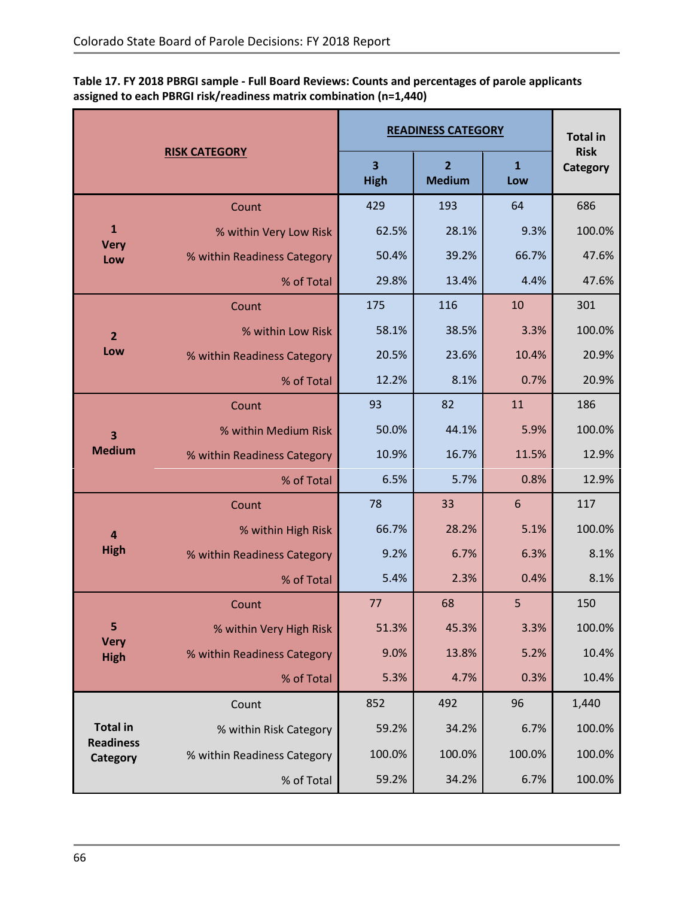| Table 17. FY 2018 PBRGI sample - Full Board Reviews: Counts and percentages of parole applicants |  |
|--------------------------------------------------------------------------------------------------|--|
| assigned to each PBRGI risk/readiness matrix combination (n=1,440)                               |  |

|                              |                             | <b>READINESS CATEGORY</b>              | <b>Total in</b>                 |                     |                         |
|------------------------------|-----------------------------|----------------------------------------|---------------------------------|---------------------|-------------------------|
|                              | <b>RISK CATEGORY</b>        | $\overline{\mathbf{3}}$<br><b>High</b> | $\overline{2}$<br><b>Medium</b> | $\mathbf{1}$<br>Low | <b>Risk</b><br>Category |
|                              | Count                       | 429                                    | 193                             | 64                  | 686                     |
| $\mathbf{1}$                 | % within Very Low Risk      | 62.5%                                  | 28.1%                           | 9.3%                | 100.0%                  |
| <b>Very</b><br>Low           | % within Readiness Category | 50.4%                                  | 39.2%                           | 66.7%               | 47.6%                   |
|                              | % of Total                  | 29.8%                                  | 13.4%                           | 4.4%                | 47.6%                   |
|                              | Count                       | 175                                    | 116                             | 10                  | 301                     |
| $\overline{2}$               | % within Low Risk           | 58.1%                                  | 38.5%                           | 3.3%                | 100.0%                  |
| Low                          | % within Readiness Category | 20.5%                                  | 23.6%                           | 10.4%               | 20.9%                   |
|                              | % of Total                  | 12.2%                                  | 8.1%                            | 0.7%                | 20.9%                   |
|                              | Count                       | 93                                     | 82                              | 11                  | 186                     |
| $\overline{\mathbf{3}}$      | % within Medium Risk        | 50.0%                                  | 44.1%                           | 5.9%                | 100.0%                  |
| <b>Medium</b>                | % within Readiness Category | 10.9%                                  | 16.7%                           | 11.5%               | 12.9%                   |
|                              | % of Total                  | 6.5%                                   | 5.7%                            | 0.8%                | 12.9%                   |
|                              | Count                       | 78                                     | 33                              | $6\phantom{1}6$     | 117                     |
| $\overline{4}$               | % within High Risk          | 66.7%                                  | 28.2%                           | 5.1%                | 100.0%                  |
| <b>High</b>                  | % within Readiness Category | 9.2%                                   | 6.7%                            | 6.3%                | 8.1%                    |
|                              | % of Total                  | 5.4%                                   | 2.3%                            | 0.4%                | 8.1%                    |
|                              | Count                       | 77                                     | 68                              | 5                   | 150                     |
| 5                            | % within Very High Risk     | 51.3%                                  | 45.3%                           | 3.3%                | 100.0%                  |
| <b>Very</b><br><b>High</b>   | % within Readiness Category | 9.0%                                   | 13.8%                           | 5.2%                | 10.4%                   |
|                              | % of Total                  | 5.3%                                   | 4.7%                            | 0.3%                | 10.4%                   |
|                              | Count                       | 852                                    | 492                             | 96                  | 1,440                   |
| <b>Total in</b>              | % within Risk Category      | 59.2%                                  | 34.2%                           | 6.7%                | 100.0%                  |
| <b>Readiness</b><br>Category | % within Readiness Category | 100.0%                                 | 100.0%                          | 100.0%              | 100.0%                  |
|                              | % of Total                  | 59.2%                                  | 34.2%                           | 6.7%                | 100.0%                  |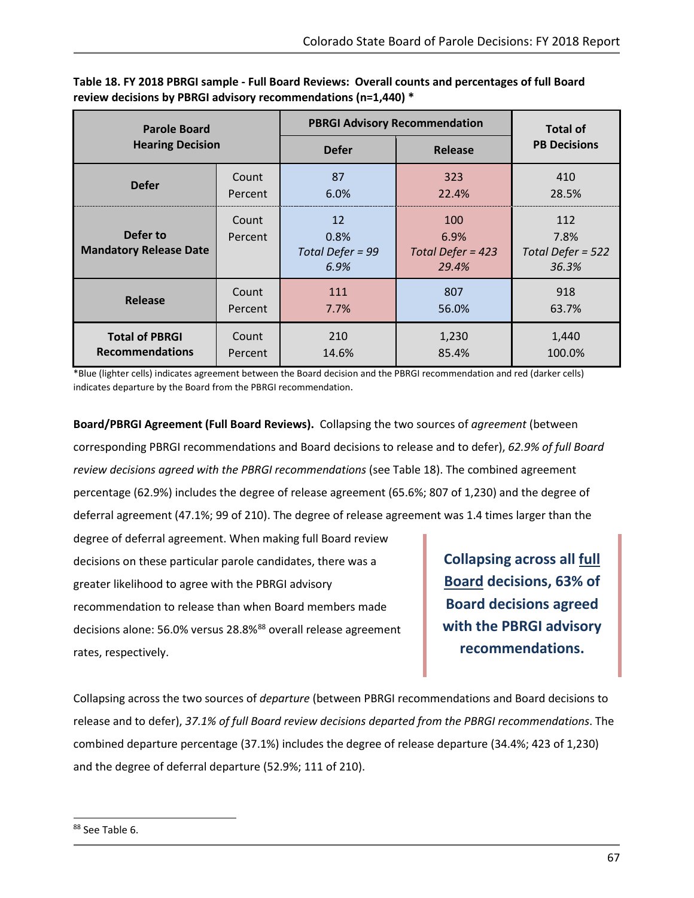| <b>Parole Board</b><br><b>Hearing Decision</b> |                  | <b>PBRGI Advisory Recommendation</b>   | <b>Total of</b>                           |                                           |
|------------------------------------------------|------------------|----------------------------------------|-------------------------------------------|-------------------------------------------|
|                                                |                  | <b>Defer</b>                           | Release                                   | <b>PB Decisions</b>                       |
| <b>Defer</b>                                   | Count            | 87                                     | 323                                       | 410                                       |
|                                                | Percent          | 6.0%                                   | 22.4%                                     | 28.5%                                     |
| Defer to<br><b>Mandatory Release Date</b>      | Count<br>Percent | 12<br>0.8%<br>Total Defer = 99<br>6.9% | 100<br>6.9%<br>Total Defer = 423<br>29.4% | 112<br>7.8%<br>Total Defer = 522<br>36.3% |
| Release                                        | Count            | 111                                    | 807                                       | 918                                       |
|                                                | Percent          | 7.7%                                   | 56.0%                                     | 63.7%                                     |
| <b>Total of PBRGI</b>                          | Count            | 210                                    | 1,230                                     | 1,440                                     |
| <b>Recommendations</b>                         | Percent          | 14.6%                                  | 85.4%                                     | 100.0%                                    |

**Table 18. FY 2018 PBRGI sample - Full Board Reviews: Overall counts and percentages of full Board review decisions by PBRGI advisory recommendations (n=1,440) \***

\*Blue (lighter cells) indicates agreement between the Board decision and the PBRGI recommendation and red (darker cells) indicates departure by the Board from the PBRGI recommendation.

**Board/PBRGI Agreement (Full Board Reviews).** Collapsing the two sources of *agreement* (between corresponding PBRGI recommendations and Board decisions to release and to defer), *62.9% of full Board review decisions agreed with the PBRGI recommendations* (see Table 18). The combined agreement percentage (62.9%) includes the degree of release agreement (65.6%; 807 of 1,230) and the degree of deferral agreement (47.1%; 99 of 210). The degree of release agreement was 1.4 times larger than the

degree of deferral agreement. When making full Board review decisions on these particular parole candidates, there was a greater likelihood to agree with the PBRGI advisory recommendation to release than when Board members made decisions alone: 56.0% versus 28.8%<sup>[88](#page-72-0)</sup> overall release agreement rates, respectively.

**Collapsing across all full Board decisions, 63% of Board decisions agreed with the PBRGI advisory recommendations.**

Collapsing across the two sources of *departure* (between PBRGI recommendations and Board decisions to release and to defer), *37.1% of full Board review decisions departed from the PBRGI recommendations*. The combined departure percentage (37.1%) includes the degree of release departure (34.4%; 423 of 1,230) and the degree of deferral departure (52.9%; 111 of 210).

<span id="page-72-0"></span><sup>88</sup> See Table 6.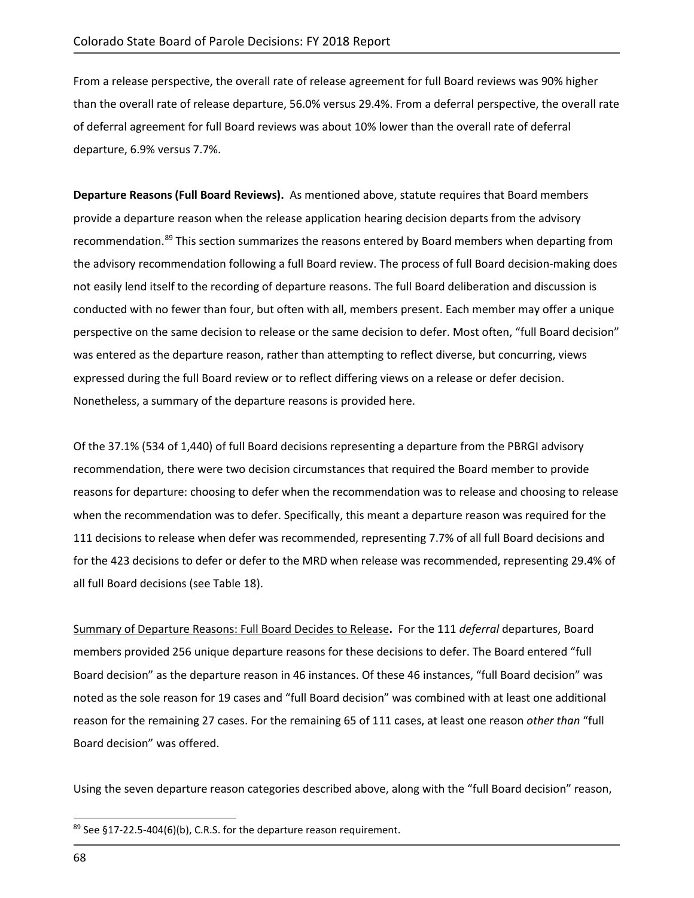From a release perspective, the overall rate of release agreement for full Board reviews was 90% higher than the overall rate of release departure, 56.0% versus 29.4%. From a deferral perspective, the overall rate of deferral agreement for full Board reviews was about 10% lower than the overall rate of deferral departure, 6.9% versus 7.7%.

**Departure Reasons (Full Board Reviews).** As mentioned above, statute requires that Board members provide a departure reason when the release application hearing decision departs from the advisory recommendation.<sup>[89](#page-73-0)</sup> This section summarizes the reasons entered by Board members when departing from the advisory recommendation following a full Board review. The process of full Board decision-making does not easily lend itself to the recording of departure reasons. The full Board deliberation and discussion is conducted with no fewer than four, but often with all, members present. Each member may offer a unique perspective on the same decision to release or the same decision to defer. Most often, "full Board decision" was entered as the departure reason, rather than attempting to reflect diverse, but concurring, views expressed during the full Board review or to reflect differing views on a release or defer decision. Nonetheless, a summary of the departure reasons is provided here.

Of the 37.1% (534 of 1,440) of full Board decisions representing a departure from the PBRGI advisory recommendation, there were two decision circumstances that required the Board member to provide reasons for departure: choosing to defer when the recommendation was to release and choosing to release when the recommendation was to defer. Specifically, this meant a departure reason was required for the 111 decisions to release when defer was recommended, representing 7.7% of all full Board decisions and for the 423 decisions to defer or defer to the MRD when release was recommended, representing 29.4% of all full Board decisions (see Table 18).

Summary of Departure Reasons: Full Board Decides to Release**.** For the 111 *deferral* departures, Board members provided 256 unique departure reasons for these decisions to defer. The Board entered "full Board decision" as the departure reason in 46 instances. Of these 46 instances, "full Board decision" was noted as the sole reason for 19 cases and "full Board decision" was combined with at least one additional reason for the remaining 27 cases. For the remaining 65 of 111 cases, at least one reason *other than* "full Board decision" was offered.

Using the seven departure reason categories described above, along with the "full Board decision" reason,

<span id="page-73-0"></span> $89$  See §17-22.5-404(6)(b), C.R.S. for the departure reason requirement.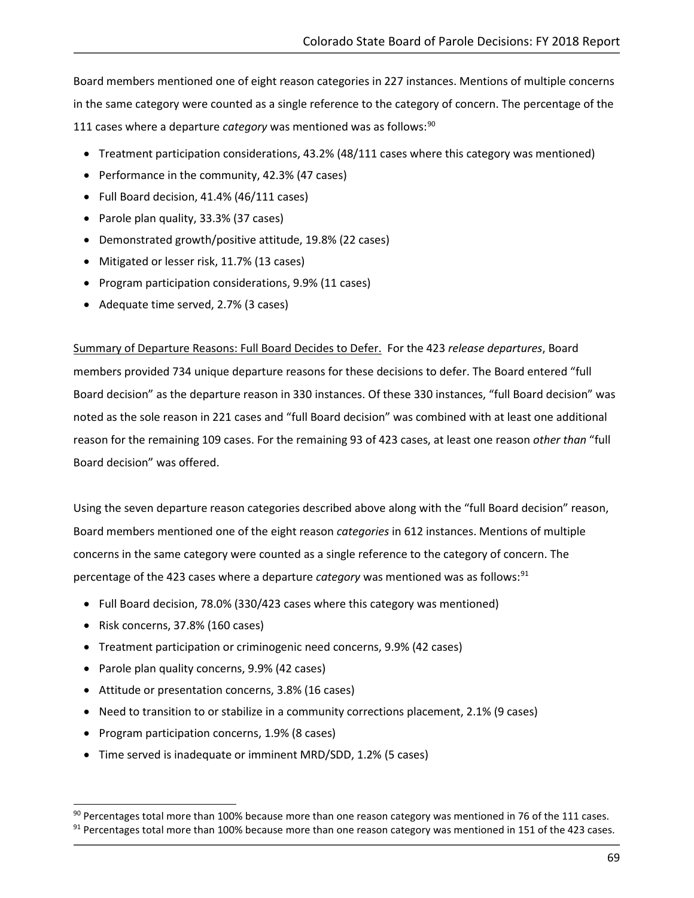Board members mentioned one of eight reason categories in 227 instances. Mentions of multiple concerns in the same category were counted as a single reference to the category of concern. The percentage of the 111 cases where a departure *category* was mentioned was as follows:<sup>[90](#page-74-0)</sup>

- Treatment participation considerations, 43.2% (48/111 cases where this category was mentioned)
- Performance in the community, 42.3% (47 cases)
- Full Board decision, 41.4% (46/111 cases)
- Parole plan quality, 33.3% (37 cases)
- Demonstrated growth/positive attitude, 19.8% (22 cases)
- Mitigated or lesser risk, 11.7% (13 cases)
- Program participation considerations, 9.9% (11 cases)
- Adequate time served, 2.7% (3 cases)

Summary of Departure Reasons: Full Board Decides to Defer. For the 423 *release departures*, Board members provided 734 unique departure reasons for these decisions to defer. The Board entered "full Board decision" as the departure reason in 330 instances. Of these 330 instances, "full Board decision" was noted as the sole reason in 221 cases and "full Board decision" was combined with at least one additional reason for the remaining 109 cases. For the remaining 93 of 423 cases, at least one reason *other than* "full Board decision" was offered.

Using the seven departure reason categories described above along with the "full Board decision" reason, Board members mentioned one of the eight reason *categories* in 612 instances. Mentions of multiple concerns in the same category were counted as a single reference to the category of concern. The percentage of the 423 cases where a departure *category* was mentioned was as follows:<sup>[91](#page-74-1)</sup>

- Full Board decision, 78.0% (330/423 cases where this category was mentioned)
- Risk concerns, 37.8% (160 cases)
- Treatment participation or criminogenic need concerns, 9.9% (42 cases)
- Parole plan quality concerns, 9.9% (42 cases)
- Attitude or presentation concerns, 3.8% (16 cases)
- Need to transition to or stabilize in a community corrections placement, 2.1% (9 cases)
- Program participation concerns, 1.9% (8 cases)
- Time served is inadequate or imminent MRD/SDD, 1.2% (5 cases)

<span id="page-74-1"></span><span id="page-74-0"></span> $90$  Percentages total more than 100% because more than one reason category was mentioned in 76 of the 111 cases.  $91$  Percentages total more than 100% because more than one reason category was mentioned in 151 of the 423 cases.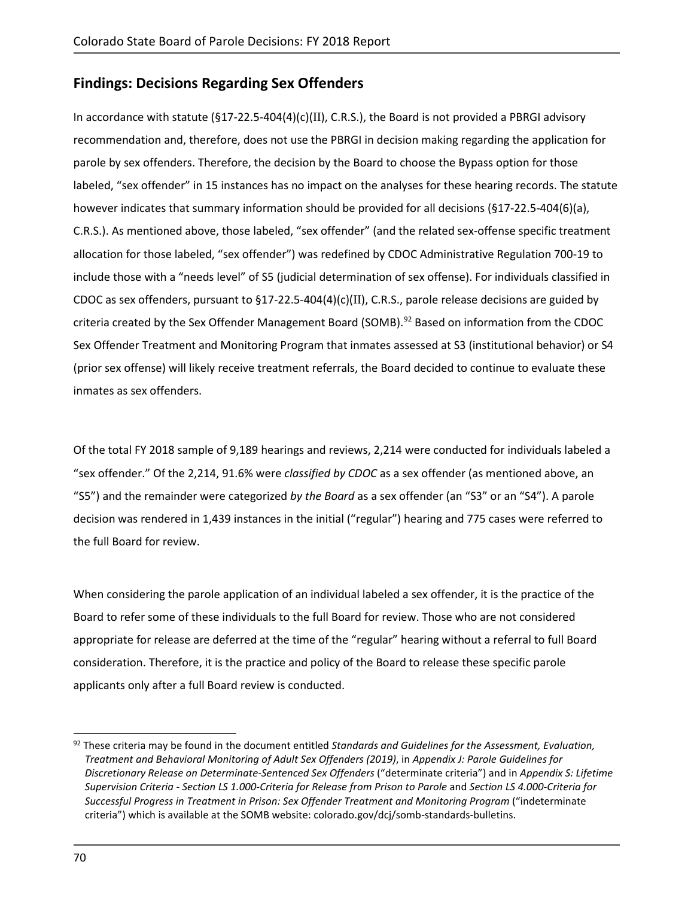## **Findings: Decisions Regarding Sex Offenders**

In accordance with statute  $(\frac{517-22.5-404}{4)(c)}$  (II), C.R.S.), the Board is not provided a PBRGI advisory recommendation and, therefore, does not use the PBRGI in decision making regarding the application for parole by sex offenders. Therefore, the decision by the Board to choose the Bypass option for those labeled, "sex offender" in 15 instances has no impact on the analyses for these hearing records. The statute however indicates that summary information should be provided for all decisions (§17-22.5-404(6)(a), C.R.S.). As mentioned above, those labeled, "sex offender" (and the related sex-offense specific treatment allocation for those labeled, "sex offender") was redefined by CDOC Administrative Regulation 700-19 to include those with a "needs level" of S5 (judicial determination of sex offense). For individuals classified in CDOC as sex offenders, pursuant to §17-22.5-404(4)(c)(II), C.R.S., parole release decisions are guided by criteria created by the Sex Offender Management Board (SOMB).<sup>[92](#page-75-0)</sup> Based on information from the CDOC Sex Offender Treatment and Monitoring Program that inmates assessed at S3 (institutional behavior) or S4 (prior sex offense) will likely receive treatment referrals, the Board decided to continue to evaluate these inmates as sex offenders.

Of the total FY 2018 sample of 9,189 hearings and reviews, 2,214 were conducted for individuals labeled a "sex offender." Of the 2,214, 91.6% were *classified by CDOC* as a sex offender (as mentioned above, an "S5") and the remainder were categorized *by the Board* as a sex offender (an "S3" or an "S4"). A parole decision was rendered in 1,439 instances in the initial ("regular") hearing and 775 cases were referred to the full Board for review.

When considering the parole application of an individual labeled a sex offender, it is the practice of the Board to refer some of these individuals to the full Board for review. Those who are not considered appropriate for release are deferred at the time of the "regular" hearing without a referral to full Board consideration. Therefore, it is the practice and policy of the Board to release these specific parole applicants only after a full Board review is conducted.

<span id="page-75-0"></span> <sup>92</sup> These criteria may be found in the document entitled *Standards and Guidelines for the Assessment, Evaluation, Treatment and Behavioral Monitoring of Adult Sex Offenders (2019)*, in *Appendix J: Parole Guidelines for Discretionary Release on Determinate-Sentenced Sex Offenders* ("determinate criteria") and in *Appendix S: Lifetime Supervision Criteria - Section LS 1.000-Criteria for Release from Prison to Parole* and *Section LS 4.000-Criteria for Successful Progress in Treatment in Prison: Sex Offender Treatment and Monitoring Program* ("indeterminate criteria") which is available at the SOMB website: colorado.gov/dcj/somb-standards-bulletins.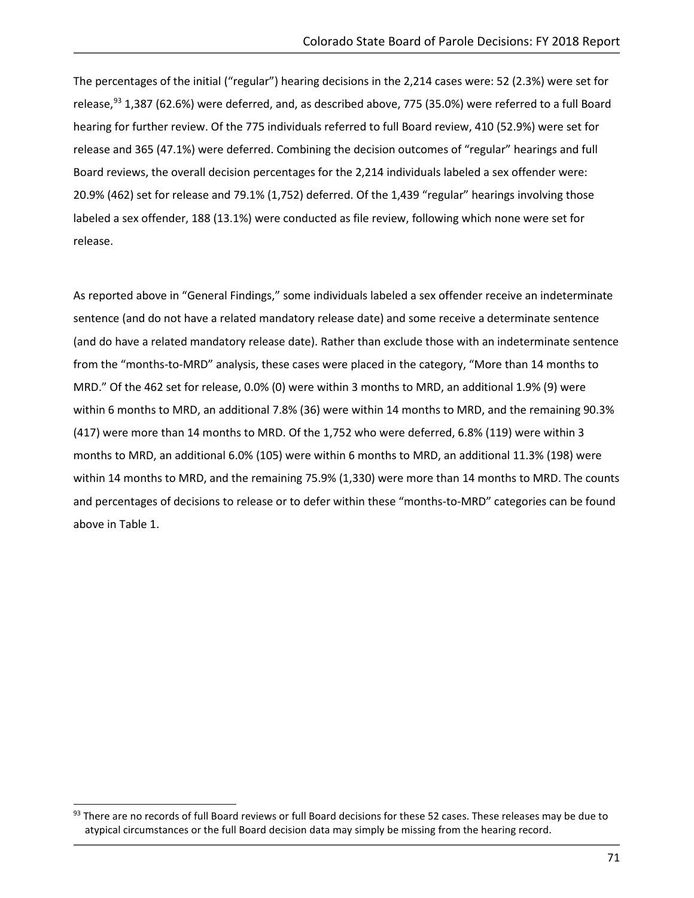The percentages of the initial ("regular") hearing decisions in the 2,214 cases were: 52 (2.3%) were set for release,<sup>[93](#page-76-0)</sup> 1,387 (62.6%) were deferred, and, as described above, 775 (35.0%) were referred to a full Board hearing for further review. Of the 775 individuals referred to full Board review, 410 (52.9%) were set for release and 365 (47.1%) were deferred. Combining the decision outcomes of "regular" hearings and full Board reviews, the overall decision percentages for the 2,214 individuals labeled a sex offender were: 20.9% (462) set for release and 79.1% (1,752) deferred. Of the 1,439 "regular" hearings involving those labeled a sex offender, 188 (13.1%) were conducted as file review, following which none were set for release.

As reported above in "General Findings," some individuals labeled a sex offender receive an indeterminate sentence (and do not have a related mandatory release date) and some receive a determinate sentence (and do have a related mandatory release date). Rather than exclude those with an indeterminate sentence from the "months-to-MRD" analysis, these cases were placed in the category, "More than 14 months to MRD." Of the 462 set for release, 0.0% (0) were within 3 months to MRD, an additional 1.9% (9) were within 6 months to MRD, an additional 7.8% (36) were within 14 months to MRD, and the remaining 90.3% (417) were more than 14 months to MRD. Of the 1,752 who were deferred, 6.8% (119) were within 3 months to MRD, an additional 6.0% (105) were within 6 months to MRD, an additional 11.3% (198) were within 14 months to MRD, and the remaining 75.9% (1,330) were more than 14 months to MRD. The counts and percentages of decisions to release or to defer within these "months-to-MRD" categories can be found above in Table 1.

<span id="page-76-0"></span> $93$  There are no records of full Board reviews or full Board decisions for these 52 cases. These releases may be due to atypical circumstances or the full Board decision data may simply be missing from the hearing record.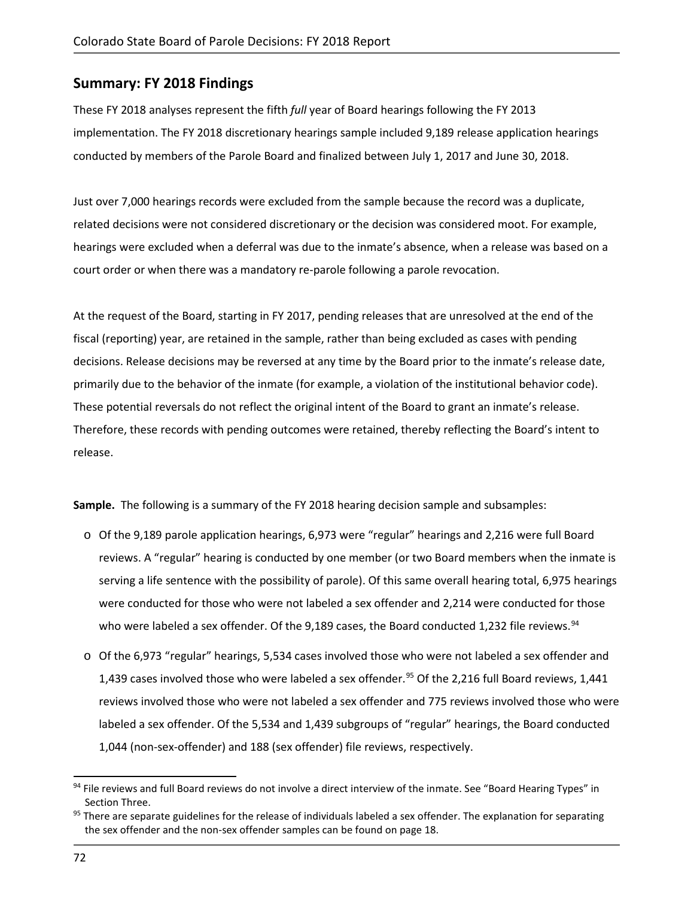## **Summary: FY 2018 Findings**

These FY 2018 analyses represent the fifth *full* year of Board hearings following the FY 2013 implementation. The FY 2018 discretionary hearings sample included 9,189 release application hearings conducted by members of the Parole Board and finalized between July 1, 2017 and June 30, 2018.

Just over 7,000 hearings records were excluded from the sample because the record was a duplicate, related decisions were not considered discretionary or the decision was considered moot. For example, hearings were excluded when a deferral was due to the inmate's absence, when a release was based on a court order or when there was a mandatory re-parole following a parole revocation.

At the request of the Board, starting in FY 2017, pending releases that are unresolved at the end of the fiscal (reporting) year, are retained in the sample, rather than being excluded as cases with pending decisions. Release decisions may be reversed at any time by the Board prior to the inmate's release date, primarily due to the behavior of the inmate (for example, a violation of the institutional behavior code). These potential reversals do not reflect the original intent of the Board to grant an inmate's release. Therefore, these records with pending outcomes were retained, thereby reflecting the Board's intent to release.

**Sample.** The following is a summary of the FY 2018 hearing decision sample and subsamples:

- o Of the 9,189 parole application hearings, 6,973 were "regular" hearings and 2,216 were full Board reviews. A "regular" hearing is conducted by one member (or two Board members when the inmate is serving a life sentence with the possibility of parole). Of this same overall hearing total, 6,975 hearings were conducted for those who were not labeled a sex offender and 2,214 were conducted for those who were labeled a sex offender. Of the 9,189 cases, the Board conducted 1,232 file reviews.<sup>[94](#page-77-0)</sup>
- o Of the 6,973 "regular" hearings, 5,534 cases involved those who were not labeled a sex offender and 1,439 cases involved those who were labeled a sex offender.<sup>[95](#page-77-1)</sup> Of the 2,216 full Board reviews, 1,441 reviews involved those who were not labeled a sex offender and 775 reviews involved those who were labeled a sex offender. Of the 5,534 and 1,439 subgroups of "regular" hearings, the Board conducted 1,044 (non-sex-offender) and 188 (sex offender) file reviews, respectively.

<span id="page-77-0"></span><sup>&</sup>lt;sup>94</sup> File reviews and full Board reviews do not involve a direct interview of the inmate. See "Board Hearing Types" in Section Three.

<span id="page-77-1"></span> $95$  There are separate guidelines for the release of individuals labeled a sex offender. The explanation for separating the sex offender and the non-sex offender samples can be found on page 18.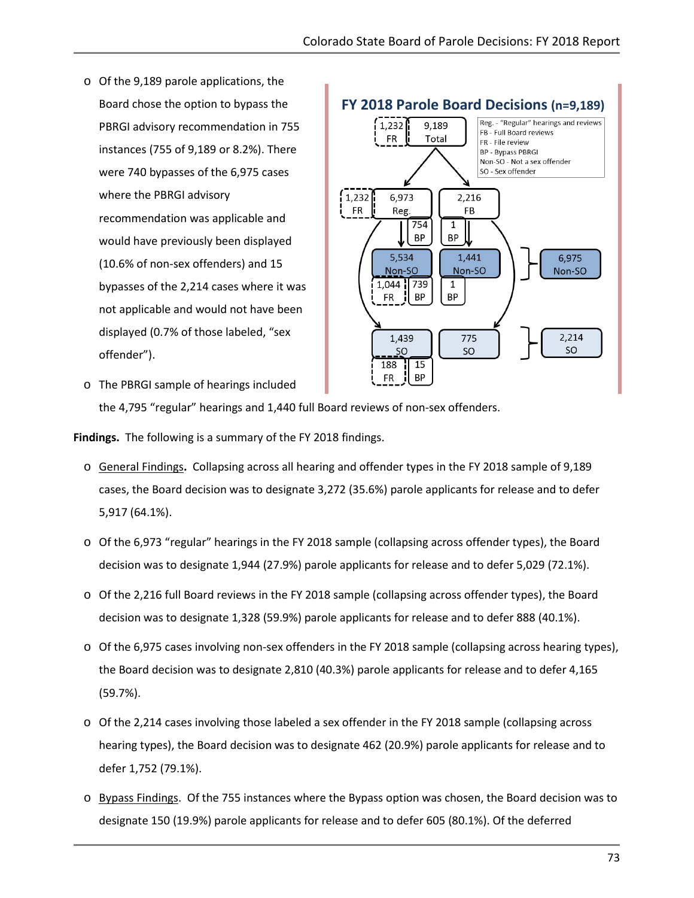o Of the 9,189 parole applications, the Board chose the option to bypass the PBRGI advisory recommendation in 755 instances (755 of 9,189 or 8.2%). There were 740 bypasses of the 6,975 cases where the PBRGI advisory recommendation was applicable and would have previously been displayed (10.6% of non-sex offenders) and 15 bypasses of the 2,214 cases where it was not applicable and would not have been displayed (0.7% of those labeled, "sex offender").



o The PBRGI sample of hearings included

the 4,795 "regular" hearings and 1,440 full Board reviews of non-sex offenders.

**Findings.** The following is a summary of the FY 2018 findings.

- o General Findings**.** Collapsing across all hearing and offender types in the FY 2018 sample of 9,189 cases, the Board decision was to designate 3,272 (35.6%) parole applicants for release and to defer 5,917 (64.1%).
- o Of the 6,973 "regular" hearings in the FY 2018 sample (collapsing across offender types), the Board decision was to designate 1,944 (27.9%) parole applicants for release and to defer 5,029 (72.1%).
- o Of the 2,216 full Board reviews in the FY 2018 sample (collapsing across offender types), the Board decision was to designate 1,328 (59.9%) parole applicants for release and to defer 888 (40.1%).
- o Of the 6,975 cases involving non-sex offenders in the FY 2018 sample (collapsing across hearing types), the Board decision was to designate 2,810 (40.3%) parole applicants for release and to defer 4,165 (59.7%).
- o Of the 2,214 cases involving those labeled a sex offender in the FY 2018 sample (collapsing across hearing types), the Board decision was to designate 462 (20.9%) parole applicants for release and to defer 1,752 (79.1%).
- $\circ$  Bypass Findings. Of the 755 instances where the Bypass option was chosen, the Board decision was to designate 150 (19.9%) parole applicants for release and to defer 605 (80.1%). Of the deferred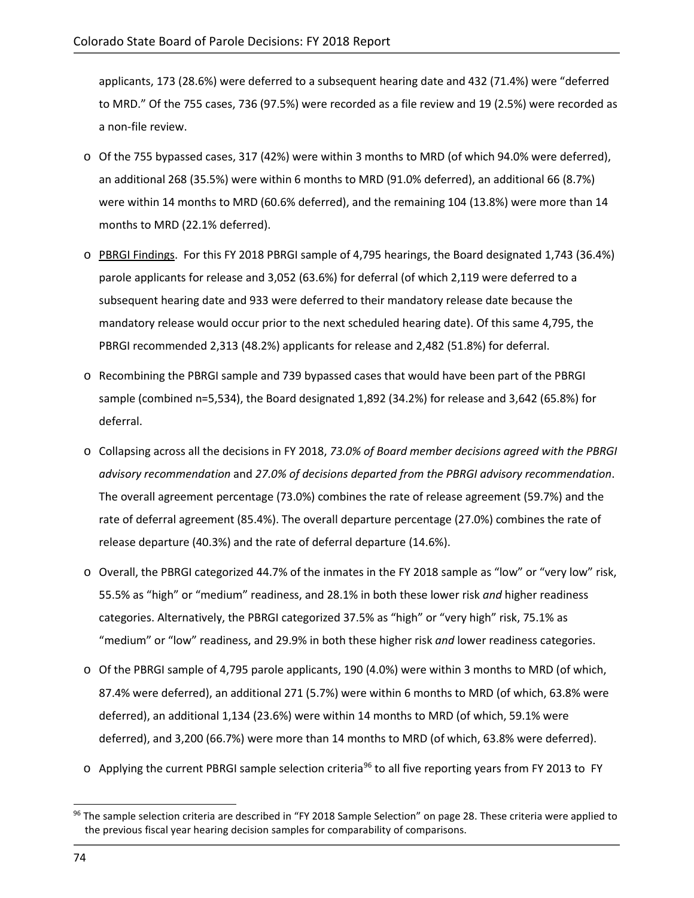applicants, 173 (28.6%) were deferred to a subsequent hearing date and 432 (71.4%) were "deferred to MRD." Of the 755 cases, 736 (97.5%) were recorded as a file review and 19 (2.5%) were recorded as a non-file review.

- o Of the 755 bypassed cases, 317 (42%) were within 3 months to MRD (of which 94.0% were deferred), an additional 268 (35.5%) were within 6 months to MRD (91.0% deferred), an additional 66 (8.7%) were within 14 months to MRD (60.6% deferred), and the remaining 104 (13.8%) were more than 14 months to MRD (22.1% deferred).
- o PBRGI Findings. For this FY 2018 PBRGI sample of 4,795 hearings, the Board designated 1,743 (36.4%) parole applicants for release and 3,052 (63.6%) for deferral (of which 2,119 were deferred to a subsequent hearing date and 933 were deferred to their mandatory release date because the mandatory release would occur prior to the next scheduled hearing date). Of this same 4,795, the PBRGI recommended 2,313 (48.2%) applicants for release and 2,482 (51.8%) for deferral.
- o Recombining the PBRGI sample and 739 bypassed cases that would have been part of the PBRGI sample (combined n=5,534), the Board designated 1,892 (34.2%) for release and 3,642 (65.8%) for deferral.
- o Collapsing across all the decisions in FY 2018, *73.0% of Board member decisions agreed with the PBRGI advisory recommendation* and *27.0% of decisions departed from the PBRGI advisory recommendation*. The overall agreement percentage (73.0%) combines the rate of release agreement (59.7%) and the rate of deferral agreement (85.4%). The overall departure percentage (27.0%) combines the rate of release departure (40.3%) and the rate of deferral departure (14.6%).
- o Overall, the PBRGI categorized 44.7% of the inmates in the FY 2018 sample as "low" or "very low" risk, 55.5% as "high" or "medium" readiness, and 28.1% in both these lower risk *and* higher readiness categories. Alternatively, the PBRGI categorized 37.5% as "high" or "very high" risk, 75.1% as "medium" or "low" readiness, and 29.9% in both these higher risk *and* lower readiness categories.
- o Of the PBRGI sample of 4,795 parole applicants, 190 (4.0%) were within 3 months to MRD (of which, 87.4% were deferred), an additional 271 (5.7%) were within 6 months to MRD (of which, 63.8% were deferred), an additional 1,134 (23.6%) were within 14 months to MRD (of which, 59.1% were deferred), and 3,200 (66.7%) were more than 14 months to MRD (of which, 63.8% were deferred).
- $\circ$  Applying the current PBRGI sample selection criteria<sup>[96](#page-79-0)</sup> to all five reporting years from FY 2013 to FY

<span id="page-79-0"></span><sup>&</sup>lt;sup>96</sup> The sample selection criteria are described in "FY 2018 Sample Selection" on page 28. These criteria were applied to the previous fiscal year hearing decision samples for comparability of comparisons.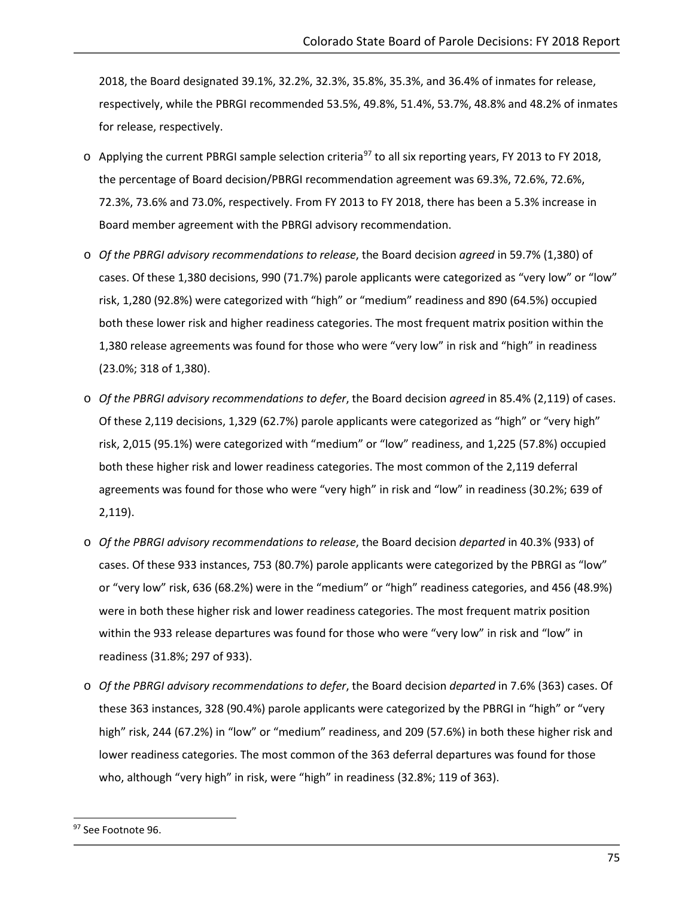2018, the Board designated 39.1%, 32.2%, 32.3%, 35.8%, 35.3%, and 36.4% of inmates for release, respectively, while the PBRGI recommended 53.5%, 49.8%, 51.4%, 53.7%, 48.8% and 48.2% of inmates for release, respectively.

- $\circ$  Applying the current PBRGI sample selection criteria<sup>[97](#page-80-0)</sup> to all six reporting years, FY 2013 to FY 2018, the percentage of Board decision/PBRGI recommendation agreement was 69.3%, 72.6%, 72.6%, 72.3%, 73.6% and 73.0%, respectively. From FY 2013 to FY 2018, there has been a 5.3% increase in Board member agreement with the PBRGI advisory recommendation.
- o *Of the PBRGI advisory recommendations to release*, the Board decision *agreed* in 59.7% (1,380) of cases. Of these 1,380 decisions, 990 (71.7%) parole applicants were categorized as "very low" or "low" risk, 1,280 (92.8%) were categorized with "high" or "medium" readiness and 890 (64.5%) occupied both these lower risk and higher readiness categories. The most frequent matrix position within the 1,380 release agreements was found for those who were "very low" in risk and "high" in readiness (23.0%; 318 of 1,380).
- o *Of the PBRGI advisory recommendations to defer*, the Board decision *agreed* in 85.4% (2,119) of cases. Of these 2,119 decisions, 1,329 (62.7%) parole applicants were categorized as "high" or "very high" risk, 2,015 (95.1%) were categorized with "medium" or "low" readiness, and 1,225 (57.8%) occupied both these higher risk and lower readiness categories. The most common of the 2,119 deferral agreements was found for those who were "very high" in risk and "low" in readiness (30.2%; 639 of 2,119).
- o *Of the PBRGI advisory recommendations to release*, the Board decision *departed* in 40.3% (933) of cases. Of these 933 instances, 753 (80.7%) parole applicants were categorized by the PBRGI as "low" or "very low" risk, 636 (68.2%) were in the "medium" or "high" readiness categories, and 456 (48.9%) were in both these higher risk and lower readiness categories. The most frequent matrix position within the 933 release departures was found for those who were "very low" in risk and "low" in readiness (31.8%; 297 of 933).
- o *Of the PBRGI advisory recommendations to defer*, the Board decision *departed* in 7.6% (363) cases. Of these 363 instances, 328 (90.4%) parole applicants were categorized by the PBRGI in "high" or "very high" risk, 244 (67.2%) in "low" or "medium" readiness, and 209 (57.6%) in both these higher risk and lower readiness categories. The most common of the 363 deferral departures was found for those who, although "very high" in risk, were "high" in readiness (32.8%; 119 of 363).

<span id="page-80-0"></span><sup>&</sup>lt;sup>97</sup> See Footnote 96.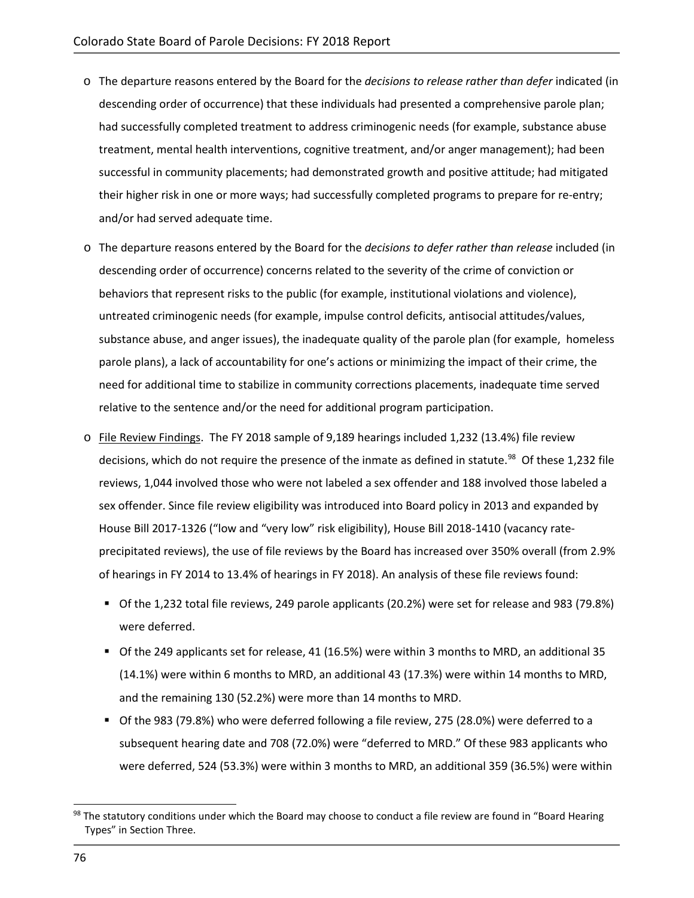- o The departure reasons entered by the Board for the *decisions to release rather than defer* indicated (in descending order of occurrence) that these individuals had presented a comprehensive parole plan; had successfully completed treatment to address criminogenic needs (for example, substance abuse treatment, mental health interventions, cognitive treatment, and/or anger management); had been successful in community placements; had demonstrated growth and positive attitude; had mitigated their higher risk in one or more ways; had successfully completed programs to prepare for re-entry; and/or had served adequate time.
- o The departure reasons entered by the Board for the *decisions to defer rather than release* included (in descending order of occurrence) concerns related to the severity of the crime of conviction or behaviors that represent risks to the public (for example, institutional violations and violence), untreated criminogenic needs (for example, impulse control deficits, antisocial attitudes/values, substance abuse, and anger issues), the inadequate quality of the parole plan (for example, homeless parole plans), a lack of accountability for one's actions or minimizing the impact of their crime, the need for additional time to stabilize in community corrections placements, inadequate time served relative to the sentence and/or the need for additional program participation.
- o File Review Findings. The FY 2018 sample of 9,189 hearings included 1,232 (13.4%) file review decisions, which do not require the presence of the inmate as defined in statute.<sup>[98](#page-81-0)</sup> Of these 1,232 file reviews, 1,044 involved those who were not labeled a sex offender and 188 involved those labeled a sex offender. Since file review eligibility was introduced into Board policy in 2013 and expanded by House Bill 2017-1326 ("low and "very low" risk eligibility), House Bill 2018-1410 (vacancy rateprecipitated reviews), the use of file reviews by the Board has increased over 350% overall (from 2.9% of hearings in FY 2014 to 13.4% of hearings in FY 2018). An analysis of these file reviews found:
	- Of the 1,232 total file reviews, 249 parole applicants (20.2%) were set for release and 983 (79.8%) were deferred.
	- Of the 249 applicants set for release, 41 (16.5%) were within 3 months to MRD, an additional 35 (14.1%) were within 6 months to MRD, an additional 43 (17.3%) were within 14 months to MRD, and the remaining 130 (52.2%) were more than 14 months to MRD.
	- Of the 983 (79.8%) who were deferred following a file review, 275 (28.0%) were deferred to a subsequent hearing date and 708 (72.0%) were "deferred to MRD." Of these 983 applicants who were deferred, 524 (53.3%) were within 3 months to MRD, an additional 359 (36.5%) were within

<span id="page-81-0"></span> $98$  The statutory conditions under which the Board may choose to conduct a file review are found in "Board Hearing Types" in Section Three.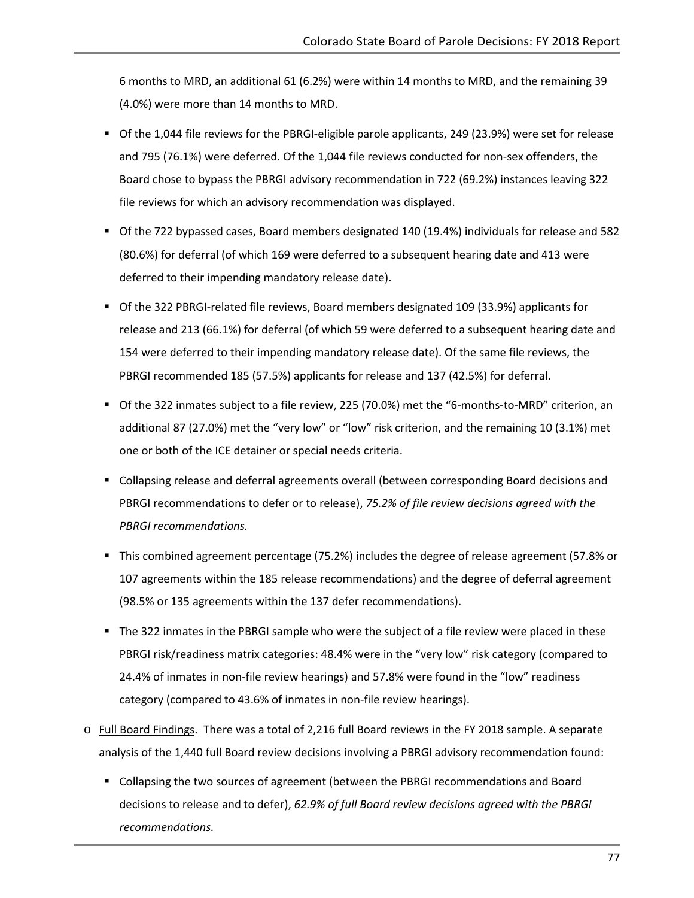6 months to MRD, an additional 61 (6.2%) were within 14 months to MRD, and the remaining 39 (4.0%) were more than 14 months to MRD.

- Of the 1,044 file reviews for the PBRGI-eligible parole applicants, 249 (23.9%) were set for release and 795 (76.1%) were deferred. Of the 1,044 file reviews conducted for non-sex offenders, the Board chose to bypass the PBRGI advisory recommendation in 722 (69.2%) instances leaving 322 file reviews for which an advisory recommendation was displayed.
- Of the 722 bypassed cases, Board members designated 140 (19.4%) individuals for release and 582 (80.6%) for deferral (of which 169 were deferred to a subsequent hearing date and 413 were deferred to their impending mandatory release date).
- Of the 322 PBRGI-related file reviews, Board members designated 109 (33.9%) applicants for release and 213 (66.1%) for deferral (of which 59 were deferred to a subsequent hearing date and 154 were deferred to their impending mandatory release date). Of the same file reviews, the PBRGI recommended 185 (57.5%) applicants for release and 137 (42.5%) for deferral.
- Of the 322 inmates subject to a file review, 225 (70.0%) met the "6-months-to-MRD" criterion, an additional 87 (27.0%) met the "very low" or "low" risk criterion, and the remaining 10 (3.1%) met one or both of the ICE detainer or special needs criteria.
- Collapsing release and deferral agreements overall (between corresponding Board decisions and PBRGI recommendations to defer or to release), *75.2% of file review decisions agreed with the PBRGI recommendations.*
- This combined agreement percentage (75.2%) includes the degree of release agreement (57.8% or 107 agreements within the 185 release recommendations) and the degree of deferral agreement (98.5% or 135 agreements within the 137 defer recommendations).
- The 322 inmates in the PBRGI sample who were the subject of a file review were placed in these PBRGI risk/readiness matrix categories: 48.4% were in the "very low" risk category (compared to 24.4% of inmates in non-file review hearings) and 57.8% were found in the "low" readiness category (compared to 43.6% of inmates in non-file review hearings).
- o Full Board Findings. There was a total of 2,216 full Board reviews in the FY 2018 sample. A separate analysis of the 1,440 full Board review decisions involving a PBRGI advisory recommendation found:
	- Collapsing the two sources of agreement (between the PBRGI recommendations and Board decisions to release and to defer), *62.9% of full Board review decisions agreed with the PBRGI recommendations.*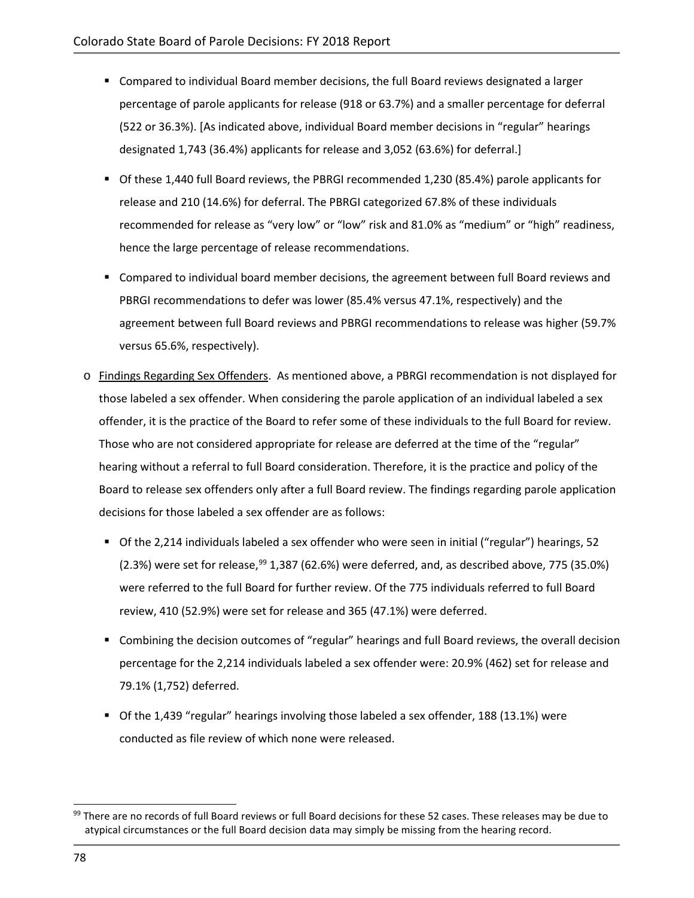- Compared to individual Board member decisions, the full Board reviews designated a larger percentage of parole applicants for release (918 or 63.7%) and a smaller percentage for deferral (522 or 36.3%). [As indicated above, individual Board member decisions in "regular" hearings designated 1,743 (36.4%) applicants for release and 3,052 (63.6%) for deferral.]
- Of these 1,440 full Board reviews, the PBRGI recommended 1,230 (85.4%) parole applicants for release and 210 (14.6%) for deferral. The PBRGI categorized 67.8% of these individuals recommended for release as "very low" or "low" risk and 81.0% as "medium" or "high" readiness, hence the large percentage of release recommendations.
- Compared to individual board member decisions, the agreement between full Board reviews and PBRGI recommendations to defer was lower (85.4% versus 47.1%, respectively) and the agreement between full Board reviews and PBRGI recommendations to release was higher (59.7% versus 65.6%, respectively).
- o Findings Regarding Sex Offenders. As mentioned above, a PBRGI recommendation is not displayed for those labeled a sex offender. When considering the parole application of an individual labeled a sex offender, it is the practice of the Board to refer some of these individuals to the full Board for review. Those who are not considered appropriate for release are deferred at the time of the "regular" hearing without a referral to full Board consideration. Therefore, it is the practice and policy of the Board to release sex offenders only after a full Board review. The findings regarding parole application decisions for those labeled a sex offender are as follows:
	- Of the 2,214 individuals labeled a sex offender who were seen in initial ("regular") hearings, 52  $(2.3%)$  were set for release,  $99$  1,387 (62.6%) were deferred, and, as described above, 775 (35.0%) were referred to the full Board for further review. Of the 775 individuals referred to full Board review, 410 (52.9%) were set for release and 365 (47.1%) were deferred.
	- Combining the decision outcomes of "regular" hearings and full Board reviews, the overall decision percentage for the 2,214 individuals labeled a sex offender were: 20.9% (462) set for release and 79.1% (1,752) deferred.
	- Of the 1,439 "regular" hearings involving those labeled a sex offender, 188 (13.1%) were conducted as file review of which none were released.

<span id="page-83-0"></span><sup>99</sup> There are no records of full Board reviews or full Board decisions for these 52 cases. These releases may be due to atypical circumstances or the full Board decision data may simply be missing from the hearing record.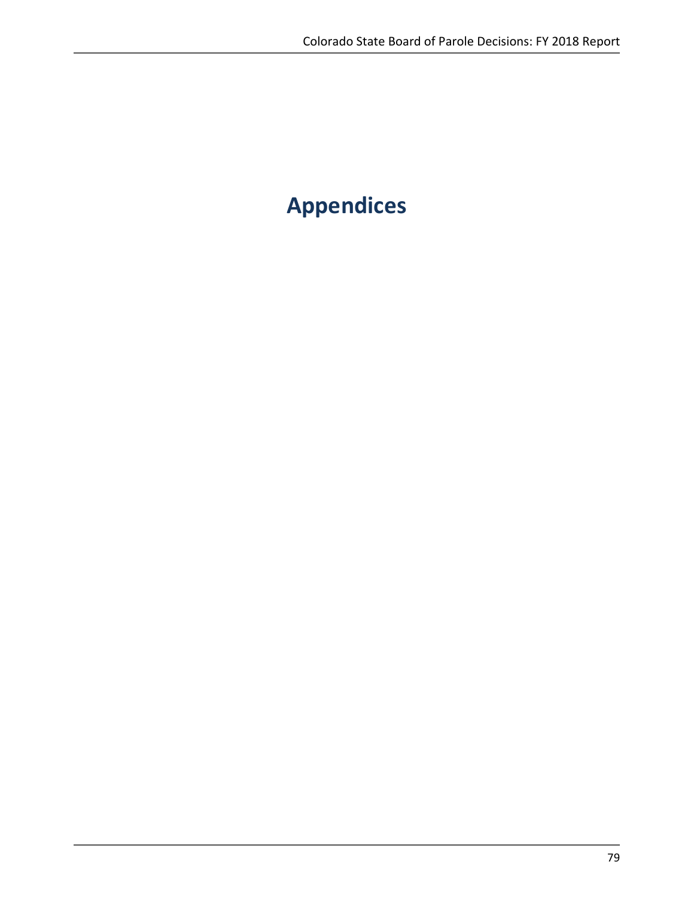# **Appendices**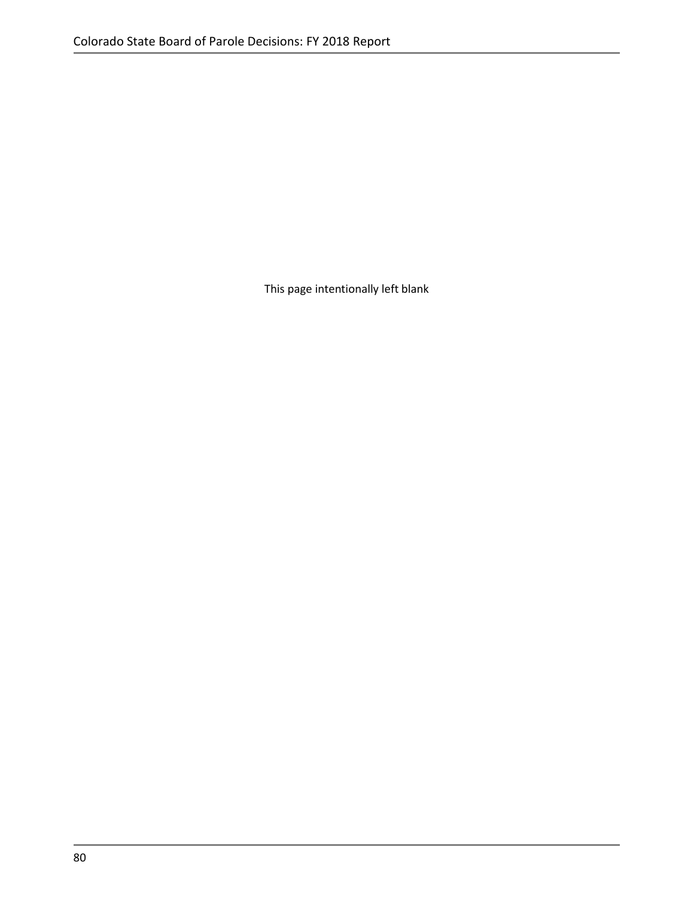This page intentionally left blank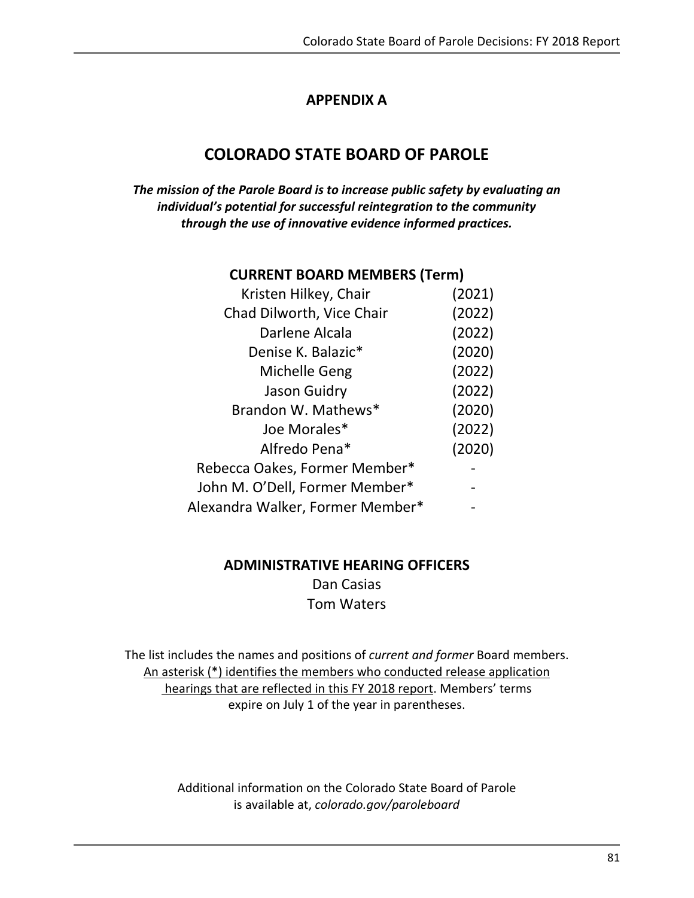## **APPENDIX A**

## **COLORADO STATE BOARD OF PAROLE**

*The mission of the Parole Board is to increase public safety by evaluating an individual's potential for successful reintegration to the community through the use of innovative evidence informed practices.*

## **CURRENT BOARD MEMBERS (Term)**

| Kristen Hilkey, Chair            | (2021) |
|----------------------------------|--------|
| Chad Dilworth, Vice Chair        | (2022) |
| Darlene Alcala                   | (2022) |
| Denise K. Balazic*               | (2020) |
| Michelle Geng                    | (2022) |
| Jason Guidry                     | (2022) |
| Brandon W. Mathews*              | (2020) |
| Joe Morales*                     | (2022) |
| Alfredo Pena*                    | (2020) |
| Rebecca Oakes, Former Member*    |        |
| John M. O'Dell, Former Member*   |        |
| Alexandra Walker, Former Member* |        |

## **ADMINISTRATIVE HEARING OFFICERS** Dan Casias Tom Waters

The list includes the names and positions of *current and former* Board members. An asterisk (\*) identifies the members who conducted release application hearings that are reflected in this FY 2018 report. Members' terms expire on July 1 of the year in parentheses.

> Additional information on the Colorado State Board of Parole is available at, *colorado.gov/paroleboard*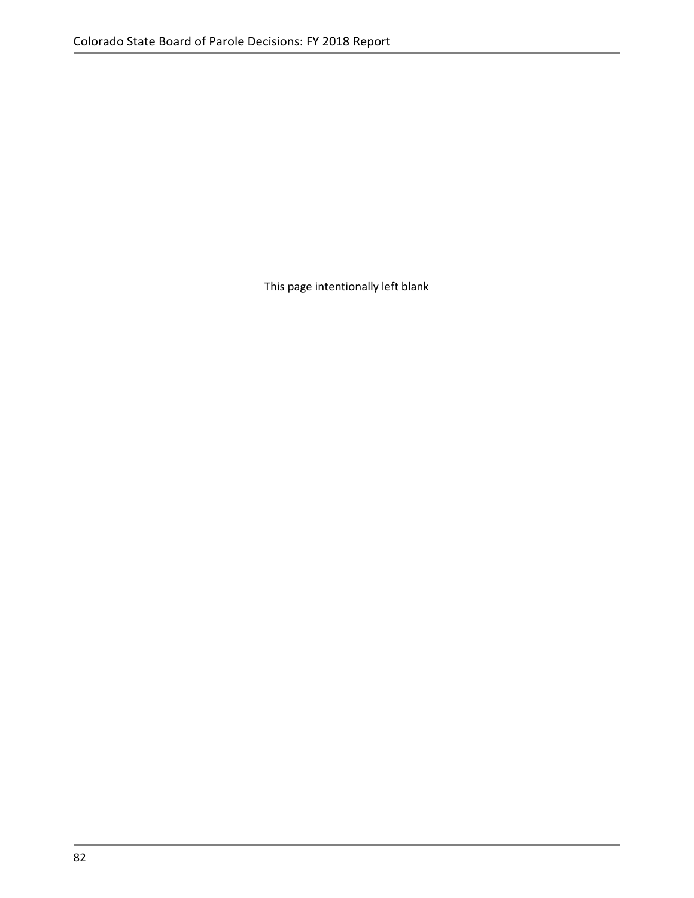This page intentionally left blank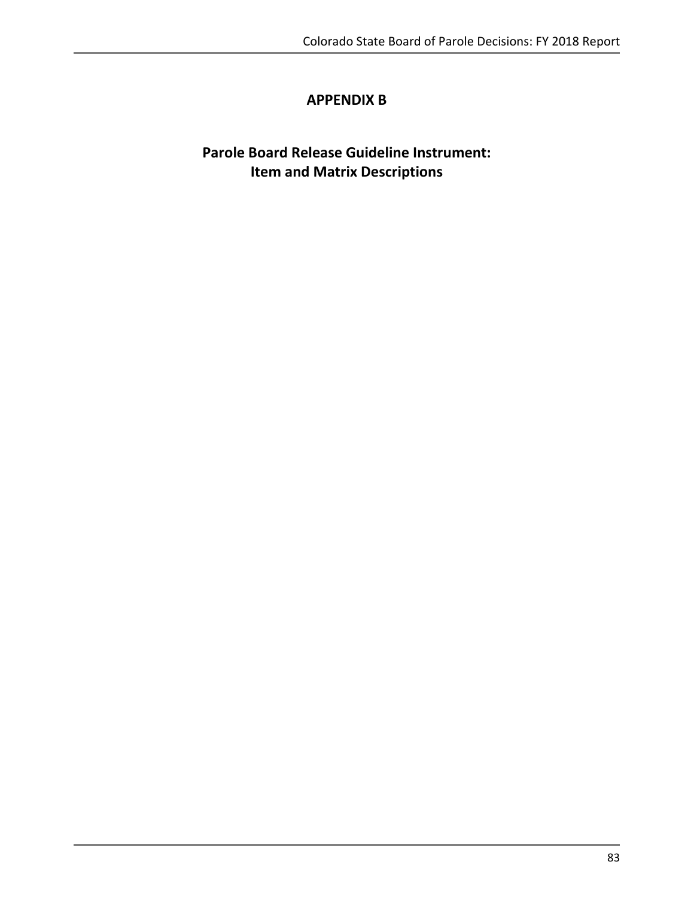## **APPENDIX B**

## **Parole Board Release Guideline Instrument: Item and Matrix Descriptions**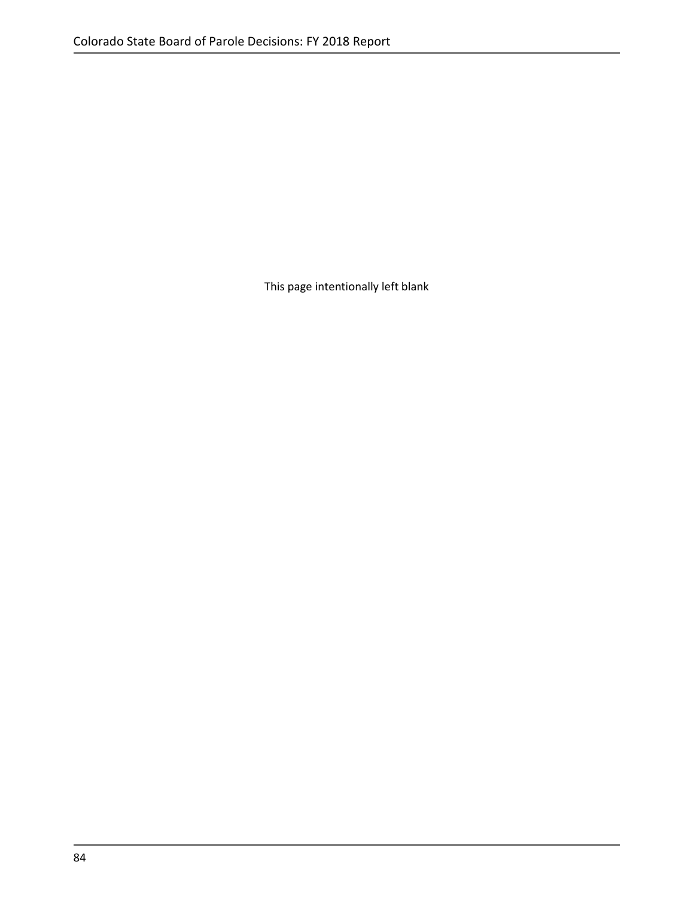This page intentionally left blank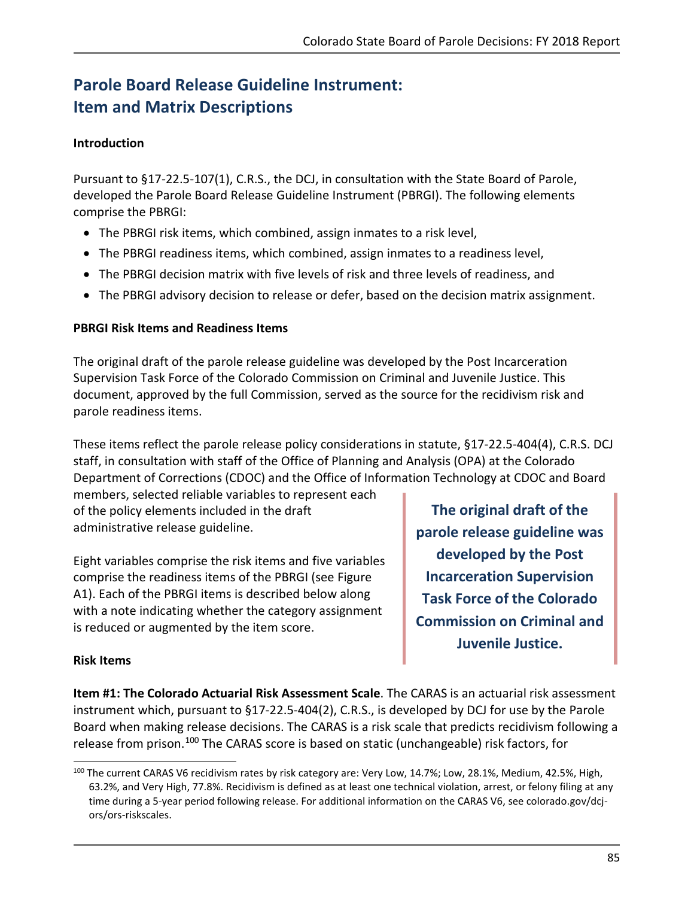## **Parole Board Release Guideline Instrument: Item and Matrix Descriptions**

## **Introduction**

Pursuant to §17-22.5-107(1), C.R.S., the DCJ, in consultation with the State Board of Parole, developed the Parole Board Release Guideline Instrument (PBRGI). The following elements comprise the PBRGI:

- The PBRGI risk items, which combined, assign inmates to a risk level,
- The PBRGI readiness items, which combined, assign inmates to a readiness level,
- The PBRGI decision matrix with five levels of risk and three levels of readiness, and
- The PBRGI advisory decision to release or defer, based on the decision matrix assignment.

## **PBRGI Risk Items and Readiness Items**

The original draft of the parole release guideline was developed by the Post Incarceration Supervision Task Force of the Colorado Commission on Criminal and Juvenile Justice. This document, approved by the full Commission, served as the source for the recidivism risk and parole readiness items.

These items reflect the parole release policy considerations in statute, §17-22.5-404(4), C.R.S. DCJ staff, in consultation with staff of the Office of Planning and Analysis (OPA) at the Colorado Department of Corrections (CDOC) and the Office of Information Technology at CDOC and Board

members, selected reliable variables to represent each of the policy elements included in the draft administrative release guideline.

Eight variables comprise the risk items and five variables comprise the readiness items of the PBRGI (see Figure A1). Each of the PBRGI items is described below along with a note indicating whether the category assignment is reduced or augmented by the item score.

**The original draft of the parole release guideline was developed by the Post Incarceration Supervision Task Force of the Colorado Commission on Criminal and Juvenile Justice.**

## **Risk Items**

**Item #1: The Colorado Actuarial Risk Assessment Scale**. The CARAS is an actuarial risk assessment instrument which, pursuant to §17-22.5-404(2), C.R.S., is developed by DCJ for use by the Parole Board when making release decisions. The CARAS is a risk scale that predicts recidivism following a release from prison.<sup>[100](#page-90-0)</sup> The CARAS score is based on static (unchangeable) risk factors, for

<span id="page-90-0"></span><sup>&</sup>lt;sup>100</sup> The current CARAS V6 recidivism rates by risk category are: Very Low, 14.7%; Low, 28.1%, Medium, 42.5%, High, 63.2%, and Very High, 77.8%. Recidivism is defined as at least one technical violation, arrest, or felony filing at any time during a 5-year period following release. For additional information on the CARAS V6, see colorado.gov/dcjors/ors-riskscales.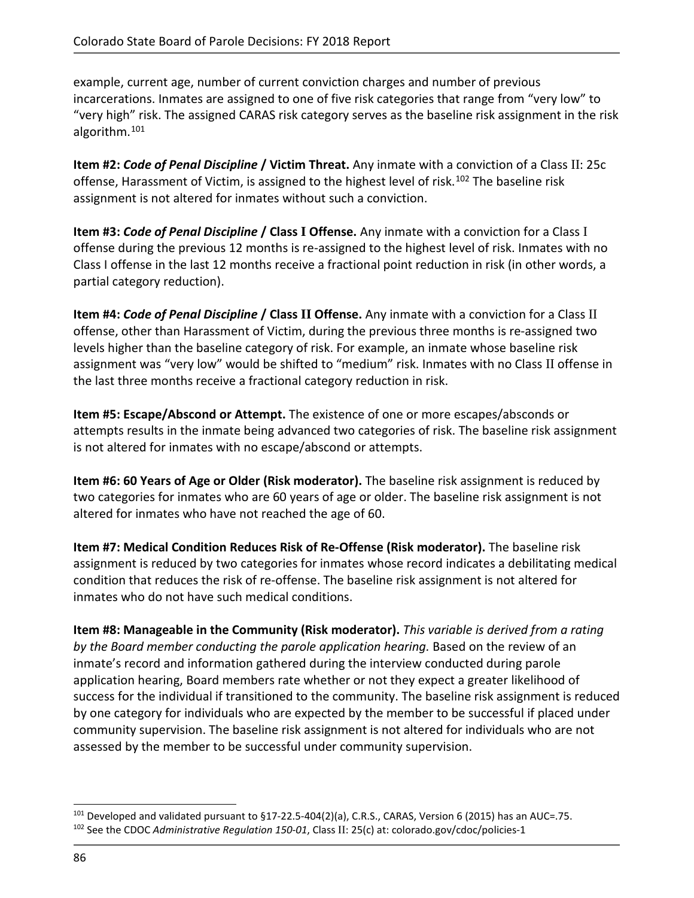example, current age, number of current conviction charges and number of previous incarcerations. Inmates are assigned to one of five risk categories that range from "very low" to "very high" risk. The assigned CARAS risk category serves as the baseline risk assignment in the risk algorithm.[101](#page-91-0)

**Item #2:** *Code of Penal Discipline* **/ Victim Threat.** Any inmate with a conviction of a Class II: 25c offense, Harassment of Victim, is assigned to the highest level of risk.<sup>[102](#page-91-1)</sup> The baseline risk assignment is not altered for inmates without such a conviction.

**Item #3:** *Code of Penal Discipline* **/ Class I Offense.** Any inmate with a conviction for a Class I offense during the previous 12 months is re-assigned to the highest level of risk. Inmates with no Class I offense in the last 12 months receive a fractional point reduction in risk (in other words, a partial category reduction).

**Item #4:** *Code of Penal Discipline* **/ Class II Offense.** Any inmate with a conviction for a Class II offense, other than Harassment of Victim, during the previous three months is re-assigned two levels higher than the baseline category of risk. For example, an inmate whose baseline risk assignment was "very low" would be shifted to "medium" risk. Inmates with no Class II offense in the last three months receive a fractional category reduction in risk.

**Item #5: Escape/Abscond or Attempt.** The existence of one or more escapes/absconds or attempts results in the inmate being advanced two categories of risk. The baseline risk assignment is not altered for inmates with no escape/abscond or attempts.

**Item #6: 60 Years of Age or Older (Risk moderator).** The baseline risk assignment is reduced by two categories for inmates who are 60 years of age or older. The baseline risk assignment is not altered for inmates who have not reached the age of 60.

**Item #7: Medical Condition Reduces Risk of Re-Offense (Risk moderator).** The baseline risk assignment is reduced by two categories for inmates whose record indicates a debilitating medical condition that reduces the risk of re-offense. The baseline risk assignment is not altered for inmates who do not have such medical conditions.

**Item #8: Manageable in the Community (Risk moderator).** *This variable is derived from a rating by the Board member conducting the parole application hearing.* Based on the review of an inmate's record and information gathered during the interview conducted during parole application hearing, Board members rate whether or not they expect a greater likelihood of success for the individual if transitioned to the community. The baseline risk assignment is reduced by one category for individuals who are expected by the member to be successful if placed under community supervision. The baseline risk assignment is not altered for individuals who are not assessed by the member to be successful under community supervision.

<span id="page-91-1"></span><span id="page-91-0"></span> $101$  Developed and validated pursuant to §17-22.5-404(2)(a), C.R.S., CARAS, Version 6 (2015) has an AUC=.75. <sup>102</sup> See the CDOC *Administrative Regulation 150-01*, Class II: 25(c) at: colorado.gov/cdoc/policies-1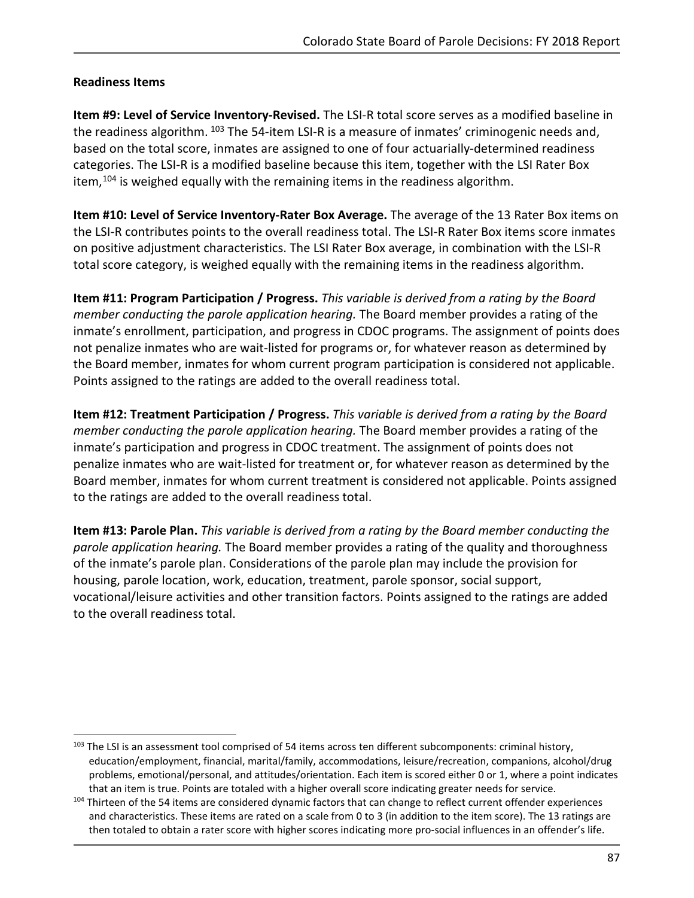#### **Readiness Items**

**Item #9: Level of Service Inventory-Revised.** The LSI-R total score serves as a modified baseline in the readiness algorithm. <sup>[103](#page-92-0)</sup> The 54-item LSI-R is a measure of inmates' criminogenic needs and, based on the total score, inmates are assigned to one of four actuarially-determined readiness categories. The LSI-R is a modified baseline because this item, together with the LSI Rater Box item,<sup>[104](#page-92-1)</sup> is weighed equally with the remaining items in the readiness algorithm.

**Item #10: Level of Service Inventory-Rater Box Average.** The average of the 13 Rater Box items on the LSI-R contributes points to the overall readiness total. The LSI-R Rater Box items score inmates on positive adjustment characteristics. The LSI Rater Box average, in combination with the LSI-R total score category, is weighed equally with the remaining items in the readiness algorithm.

**Item #11: Program Participation / Progress.** *This variable is derived from a rating by the Board member conducting the parole application hearing.* The Board member provides a rating of the inmate's enrollment, participation, and progress in CDOC programs. The assignment of points does not penalize inmates who are wait-listed for programs or, for whatever reason as determined by the Board member, inmates for whom current program participation is considered not applicable. Points assigned to the ratings are added to the overall readiness total.

**Item #12: Treatment Participation / Progress.** *This variable is derived from a rating by the Board member conducting the parole application hearing.* The Board member provides a rating of the inmate's participation and progress in CDOC treatment. The assignment of points does not penalize inmates who are wait-listed for treatment or, for whatever reason as determined by the Board member, inmates for whom current treatment is considered not applicable. Points assigned to the ratings are added to the overall readiness total.

**Item #13: Parole Plan.** *This variable is derived from a rating by the Board member conducting the parole application hearing.* The Board member provides a rating of the quality and thoroughness of the inmate's parole plan. Considerations of the parole plan may include the provision for housing, parole location, work, education, treatment, parole sponsor, social support, vocational/leisure activities and other transition factors. Points assigned to the ratings are added to the overall readiness total.

<span id="page-92-0"></span><sup>&</sup>lt;sup>103</sup> The LSI is an assessment tool comprised of 54 items across ten different subcomponents: criminal history, education/employment, financial, marital/family, accommodations, leisure/recreation, companions, alcohol/drug problems, emotional/personal, and attitudes/orientation. Each item is scored either 0 or 1, where a point indicates that an item is true. Points are totaled with a higher overall score indicating greater needs for service.

<span id="page-92-1"></span><sup>&</sup>lt;sup>104</sup> Thirteen of the 54 items are considered dynamic factors that can change to reflect current offender experiences and characteristics. These items are rated on a scale from 0 to 3 (in addition to the item score). The 13 ratings are then totaled to obtain a rater score with higher scores indicating more pro-social influences in an offender's life.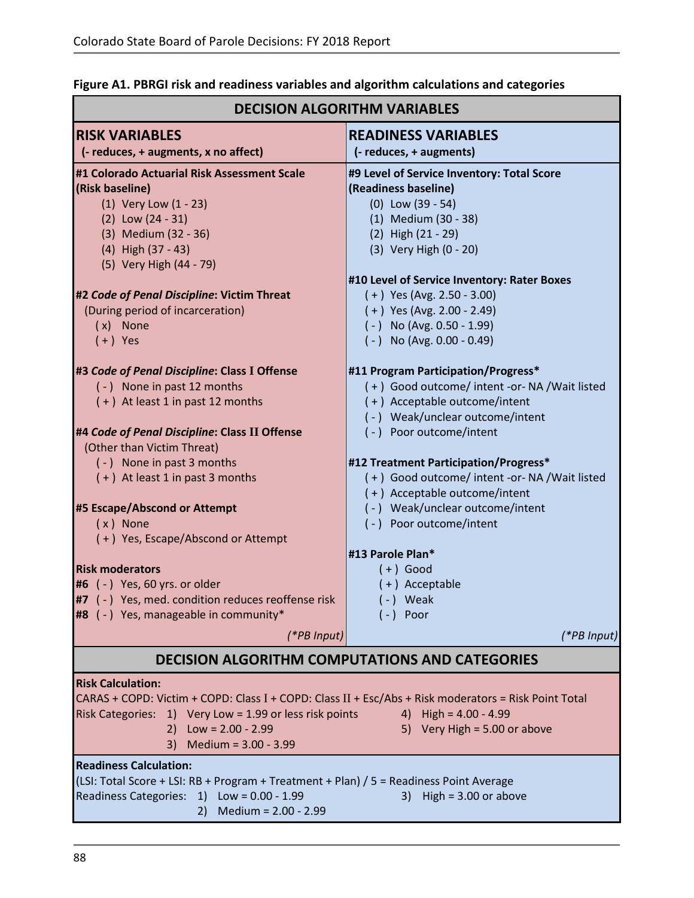| <b>DECISION ALGORITHM VARIABLES</b>                                                                  |                                                       |  |  |  |  |  |
|------------------------------------------------------------------------------------------------------|-------------------------------------------------------|--|--|--|--|--|
| <b>RISK VARIABLES</b>                                                                                | <b>READINESS VARIABLES</b>                            |  |  |  |  |  |
| (- reduces, + augments, x no affect)                                                                 | (- reduces, + augments)                               |  |  |  |  |  |
| #1 Colorado Actuarial Risk Assessment Scale                                                          | #9 Level of Service Inventory: Total Score            |  |  |  |  |  |
| (Risk baseline)                                                                                      | (Readiness baseline)                                  |  |  |  |  |  |
| $(1)$ Very Low $(1 - 23)$                                                                            | $(0)$ Low $(39 - 54)$                                 |  |  |  |  |  |
| $(2)$ Low $(24 - 31)$                                                                                | (1) Medium (30 - 38)                                  |  |  |  |  |  |
| (3) Medium (32 - 36)                                                                                 | $(2)$ High $(21 - 29)$                                |  |  |  |  |  |
| $(4)$ High $(37 - 43)$                                                                               | (3) Very High (0 - 20)                                |  |  |  |  |  |
| (5) Very High (44 - 79)                                                                              |                                                       |  |  |  |  |  |
|                                                                                                      | #10 Level of Service Inventory: Rater Boxes           |  |  |  |  |  |
| #2 Code of Penal Discipline: Victim Threat                                                           | $(+)$ Yes (Avg. 2.50 - 3.00)                          |  |  |  |  |  |
| (During period of incarceration)                                                                     | $(+)$ Yes (Avg. 2.00 - 2.49)                          |  |  |  |  |  |
| $(x)$ None                                                                                           | $(-)$ No (Avg. 0.50 - 1.99)                           |  |  |  |  |  |
| $(+)$ Yes                                                                                            | $(-)$ No (Avg. 0.00 - 0.49)                           |  |  |  |  |  |
| #3 Code of Penal Discipline: Class I Offense                                                         | #11 Program Participation/Progress*                   |  |  |  |  |  |
| (-) None in past 12 months                                                                           | (+) Good outcome/ intent -or- NA / Wait listed        |  |  |  |  |  |
| (+) At least 1 in past 12 months                                                                     | (+) Acceptable outcome/intent                         |  |  |  |  |  |
|                                                                                                      | (-) Weak/unclear outcome/intent                       |  |  |  |  |  |
| #4 Code of Penal Discipline: Class II Offense                                                        | (-) Poor outcome/intent                               |  |  |  |  |  |
| (Other than Victim Threat)                                                                           |                                                       |  |  |  |  |  |
| (-) None in past 3 months                                                                            | #12 Treatment Participation/Progress*                 |  |  |  |  |  |
| (+) At least 1 in past 3 months                                                                      | (+) Good outcome/ intent -or- NA / Wait listed        |  |  |  |  |  |
|                                                                                                      | (+) Acceptable outcome/intent                         |  |  |  |  |  |
| #5 Escape/Abscond or Attempt                                                                         | (-) Weak/unclear outcome/intent                       |  |  |  |  |  |
| $(x)$ None                                                                                           | (-) Poor outcome/intent                               |  |  |  |  |  |
| (+) Yes, Escape/Abscond or Attempt                                                                   |                                                       |  |  |  |  |  |
|                                                                                                      | #13 Parole Plan*                                      |  |  |  |  |  |
| <b>Risk moderators</b>                                                                               | $(+)$ Good                                            |  |  |  |  |  |
| $#6$ (-) Yes, 60 yrs. or older                                                                       | (+) Acceptable                                        |  |  |  |  |  |
| $\#$ 7 (-) Yes, med. condition reduces reoffense risk                                                | $(-)$ Weak                                            |  |  |  |  |  |
| $#8$ (-) Yes, manageable in community*                                                               | $(-)$ Poor                                            |  |  |  |  |  |
| $(*PB$ Input)                                                                                        | (*PB Input)                                           |  |  |  |  |  |
|                                                                                                      | <b>DECISION ALGORITHM COMPUTATIONS AND CATEGORIES</b> |  |  |  |  |  |
| <b>Risk Calculation:</b>                                                                             |                                                       |  |  |  |  |  |
| CARAS + COPD: Victim + COPD: Class I + COPD: Class II + Esc/Abs + Risk moderators = Risk Point Total |                                                       |  |  |  |  |  |
| Risk Categories: 1) Very Low = 1.99 or less risk points<br>4) High = $4.00 - 4.99$                   |                                                       |  |  |  |  |  |
| 2) Low = $2.00 - 2.99$<br>5) Very High = $5.00$ or above                                             |                                                       |  |  |  |  |  |
| 3) Medium = $3.00 - 3.99$                                                                            |                                                       |  |  |  |  |  |
| <b>Readiness Calculation:</b>                                                                        |                                                       |  |  |  |  |  |
| (LSI: Total Score + LSI: RB + Program + Treatment + Plan) / 5 = Readiness Point Average              |                                                       |  |  |  |  |  |
| Readiness Categories: 1) Low = 0.00 - 1.99<br>High = $3.00$ or above<br>3)                           |                                                       |  |  |  |  |  |

2) Medium = 2.00 - 2.99

## **Figure A1. PBRGI risk and readiness variables and algorithm calculations and categories**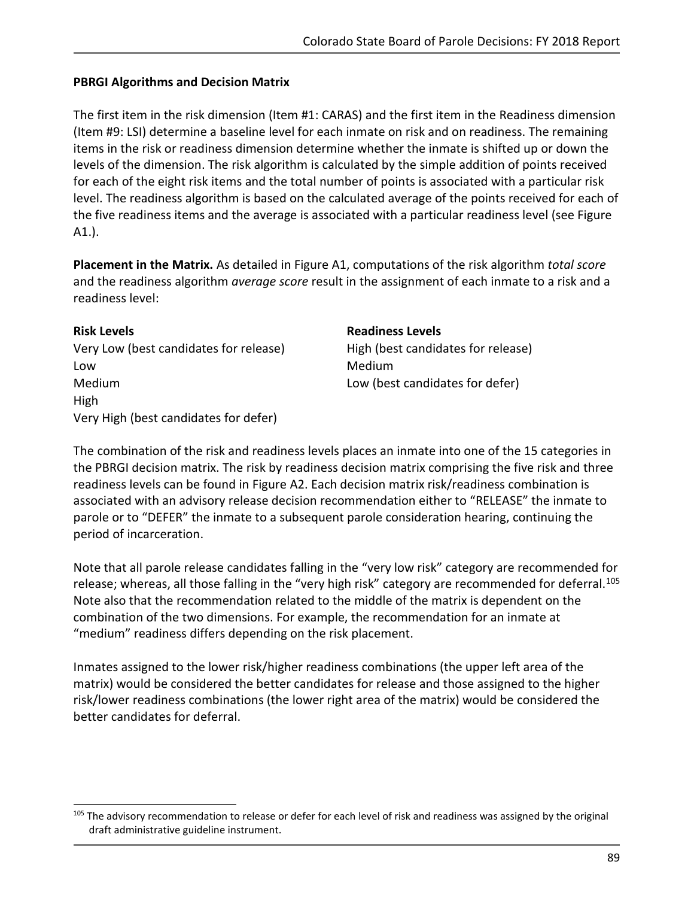#### **PBRGI Algorithms and Decision Matrix**

The first item in the risk dimension (Item #1: CARAS) and the first item in the Readiness dimension (Item #9: LSI) determine a baseline level for each inmate on risk and on readiness. The remaining items in the risk or readiness dimension determine whether the inmate is shifted up or down the levels of the dimension. The risk algorithm is calculated by the simple addition of points received for each of the eight risk items and the total number of points is associated with a particular risk level. The readiness algorithm is based on the calculated average of the points received for each of the five readiness items and the average is associated with a particular readiness level (see Figure A1.).

**Placement in the Matrix.** As detailed in Figure A1, computations of the risk algorithm *total score* and the readiness algorithm *average score* result in the assignment of each inmate to a risk and a readiness level:

Very Low (best candidates for release) Low Medium High Very High (best candidates for defer)

#### **Risk Levels Readiness Levels**

High (best candidates for release) Medium Low (best candidates for defer)

The combination of the risk and readiness levels places an inmate into one of the 15 categories in the PBRGI decision matrix. The risk by readiness decision matrix comprising the five risk and three readiness levels can be found in Figure A2. Each decision matrix risk/readiness combination is associated with an advisory release decision recommendation either to "RELEASE" the inmate to parole or to "DEFER" the inmate to a subsequent parole consideration hearing, continuing the period of incarceration.

Note that all parole release candidates falling in the "very low risk" category are recommended for release; whereas, all those falling in the "very high risk" category are recommended for deferral.<sup>[105](#page-94-0)</sup> Note also that the recommendation related to the middle of the matrix is dependent on the combination of the two dimensions. For example, the recommendation for an inmate at "medium" readiness differs depending on the risk placement.

Inmates assigned to the lower risk/higher readiness combinations (the upper left area of the matrix) would be considered the better candidates for release and those assigned to the higher risk/lower readiness combinations (the lower right area of the matrix) would be considered the better candidates for deferral.

<span id="page-94-0"></span><sup>&</sup>lt;sup>105</sup> The advisory recommendation to release or defer for each level of risk and readiness was assigned by the original draft administrative guideline instrument.